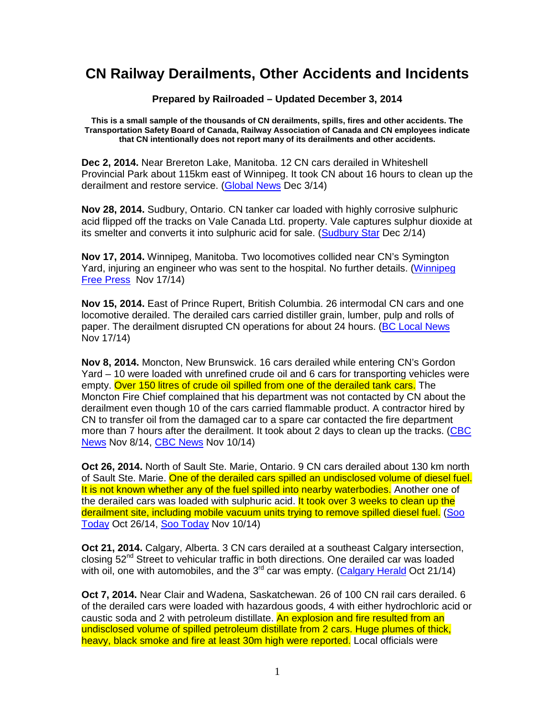## **CN Railway Derailments, Other Accidents and Incidents**

## **Prepared by Railroaded – Updated December 3, 2014**

**This is a small sample of the thousands of CN derailments, spills, fires and other accidents. The Transportation Safety Board of Canada, Railway Association of Canada and CN employees indicate that CN intentionally does not report many of its derailments and other accidents.** 

**Dec 2, 2014.** Near Brereton Lake, Manitoba. 12 CN cars derailed in Whiteshell Provincial Park about 115km east of Winnipeg. It took CN about 16 hours to clean up the derailment and restore service. (Global News Dec 3/14)

**Nov 28, 2014.** Sudbury, Ontario. CN tanker car loaded with highly corrosive sulphuric acid flipped off the tracks on Vale Canada Ltd. property. Vale captures sulphur dioxide at its smelter and converts it into sulphuric acid for sale. (Sudbury Star Dec 2/14)

**Nov 17, 2014.** Winnipeg, Manitoba. Two locomotives collided near CN's Symington Yard, injuring an engineer who was sent to the hospital. No further details. (Winnipeg Free Press Nov 17/14)

**Nov 15, 2014.** East of Prince Rupert, British Columbia. 26 intermodal CN cars and one locomotive derailed. The derailed cars carried distiller grain, lumber, pulp and rolls of paper. The derailment disrupted CN operations for about 24 hours. (BC Local News Nov 17/14)

**Nov 8, 2014.** Moncton, New Brunswick. 16 cars derailed while entering CN's Gordon Yard – 10 were loaded with unrefined crude oil and 6 cars for transporting vehicles were empty. Over 150 litres of crude oil spilled from one of the derailed tank cars. The Moncton Fire Chief complained that his department was not contacted by CN about the derailment even though 10 of the cars carried flammable product. A contractor hired by CN to transfer oil from the damaged car to a spare car contacted the fire department more than 7 hours after the derailment. It took about 2 days to clean up the tracks. (CBC News Nov 8/14, CBC News Nov 10/14)

**Oct 26, 2014.** North of Sault Ste. Marie, Ontario. 9 CN cars derailed about 130 km north of Sault Ste. Marie. One of the derailed cars spilled an undisclosed volume of diesel fuel. It is not known whether any of the fuel spilled into nearby waterbodies. Another one of the derailed cars was loaded with sulphuric acid. It took over 3 weeks to clean up the derailment site, including mobile vacuum units trying to remove spilled diesel fuel. (Soo Today Oct 26/14, Soo Today Nov 10/14)

**Oct 21, 2014.** Calgary, Alberta. 3 CN cars derailed at a southeast Calgary intersection, closing  $52<sup>nd</sup>$  Street to vehicular traffic in both directions. One derailed car was loaded with oil, one with automobiles, and the  $3<sup>rd</sup>$  car was empty. (Calgary Herald Oct 21/14)

**Oct 7, 2014.** Near Clair and Wadena, Saskatchewan. 26 of 100 CN rail cars derailed. 6 of the derailed cars were loaded with hazardous goods, 4 with either hydrochloric acid or caustic soda and 2 with petroleum distillate. An explosion and fire resulted from an undisclosed volume of spilled petroleum distillate from 2 cars. Huge plumes of thick, heavy, black smoke and fire at least 30m high were reported. Local officials were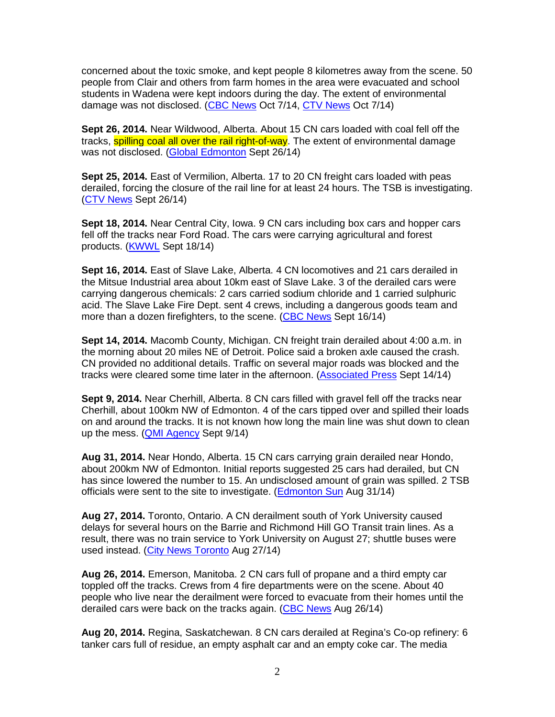concerned about the toxic smoke, and kept people 8 kilometres away from the scene. 50 people from Clair and others from farm homes in the area were evacuated and school students in Wadena were kept indoors during the day. The extent of environmental damage was not disclosed. (CBC News Oct 7/14, CTV News Oct 7/14)

**Sept 26, 2014.** Near Wildwood, Alberta. About 15 CN cars loaded with coal fell off the tracks, **spilling coal all over the rail right-of-way**. The extent of environmental damage was not disclosed. (Global Edmonton Sept 26/14)

**Sept 25, 2014.** East of Vermilion, Alberta. 17 to 20 CN freight cars loaded with peas derailed, forcing the closure of the rail line for at least 24 hours. The TSB is investigating. (CTV News Sept 26/14)

**Sept 18, 2014.** Near Central City, Iowa. 9 CN cars including box cars and hopper cars fell off the tracks near Ford Road. The cars were carrying agricultural and forest products. (KWWL Sept 18/14)

**Sept 16, 2014.** East of Slave Lake, Alberta. 4 CN locomotives and 21 cars derailed in the Mitsue Industrial area about 10km east of Slave Lake. 3 of the derailed cars were carrying dangerous chemicals: 2 cars carried sodium chloride and 1 carried sulphuric acid. The Slave Lake Fire Dept. sent 4 crews, including a dangerous goods team and more than a dozen firefighters, to the scene. (CBC News Sept 16/14)

**Sept 14, 2014.** Macomb County, Michigan. CN freight train derailed about 4:00 a.m. in the morning about 20 miles NE of Detroit. Police said a broken axle caused the crash. CN provided no additional details. Traffic on several major roads was blocked and the tracks were cleared some time later in the afternoon. (Associated Press Sept 14/14)

**Sept 9, 2014.** Near Cherhill, Alberta. 8 CN cars filled with gravel fell off the tracks near Cherhill, about 100km NW of Edmonton. 4 of the cars tipped over and spilled their loads on and around the tracks. It is not known how long the main line was shut down to clean up the mess. (QMI Agency Sept 9/14)

**Aug 31, 2014.** Near Hondo, Alberta. 15 CN cars carrying grain derailed near Hondo, about 200km NW of Edmonton. Initial reports suggested 25 cars had derailed, but CN has since lowered the number to 15. An undisclosed amount of grain was spilled. 2 TSB officials were sent to the site to investigate. (Edmonton Sun Aug 31/14)

**Aug 27, 2014.** Toronto, Ontario. A CN derailment south of York University caused delays for several hours on the Barrie and Richmond Hill GO Transit train lines. As a result, there was no train service to York University on August 27; shuttle buses were used instead. (City News Toronto Aug 27/14)

**Aug 26, 2014.** Emerson, Manitoba. 2 CN cars full of propane and a third empty car toppled off the tracks. Crews from 4 fire departments were on the scene. About 40 people who live near the derailment were forced to evacuate from their homes until the derailed cars were back on the tracks again. (CBC News Aug 26/14)

**Aug 20, 2014.** Regina, Saskatchewan. 8 CN cars derailed at Regina's Co-op refinery: 6 tanker cars full of residue, an empty asphalt car and an empty coke car. The media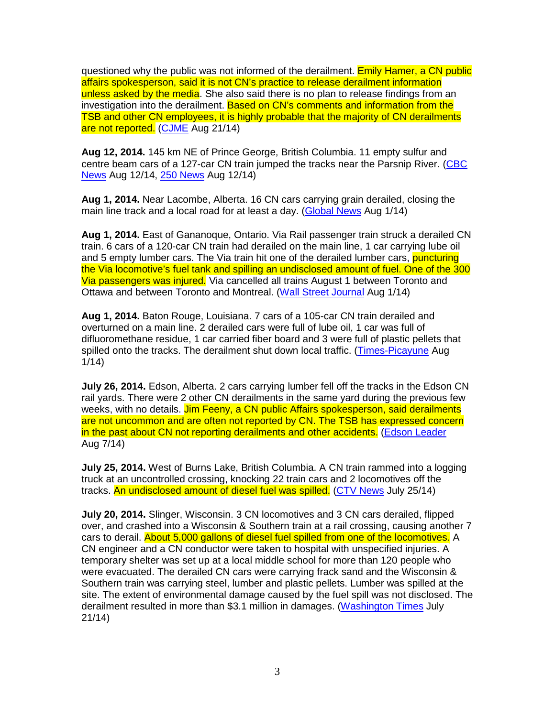questioned why the public was not informed of the derailment. **Emily Hamer, a CN public** affairs spokesperson, said it is not CN's practice to release derailment information unless asked by the media. She also said there is no plan to release findings from an investigation into the derailment. Based on CN's comments and information from the TSB and other CN employees, it is highly probable that the majority of CN derailments are not reported. (CJME Aug 21/14)

**Aug 12, 2014.** 145 km NE of Prince George, British Columbia. 11 empty sulfur and centre beam cars of a 127-car CN train jumped the tracks near the Parsnip River. (CBC News Aug 12/14, 250 News Aug 12/14)

**Aug 1, 2014.** Near Lacombe, Alberta. 16 CN cars carrying grain derailed, closing the main line track and a local road for at least a day. (Global News Aug 1/14)

**Aug 1, 2014.** East of Gananoque, Ontario. Via Rail passenger train struck a derailed CN train. 6 cars of a 120-car CN train had derailed on the main line, 1 car carrying lube oil and 5 empty lumber cars. The Via train hit one of the derailed lumber cars, puncturing the Via locomotive's fuel tank and spilling an undisclosed amount of fuel. One of the 300 Via passengers was injured. Via cancelled all trains August 1 between Toronto and Ottawa and between Toronto and Montreal. (Wall Street Journal Aug 1/14)

**Aug 1, 2014.** Baton Rouge, Louisiana. 7 cars of a 105-car CN train derailed and overturned on a main line. 2 derailed cars were full of lube oil, 1 car was full of difluoromethane residue, 1 car carried fiber board and 3 were full of plastic pellets that spilled onto the tracks. The derailment shut down local traffic. (Times-Picayune Aug 1/14)

**July 26, 2014.** Edson, Alberta. 2 cars carrying lumber fell off the tracks in the Edson CN rail yards. There were 2 other CN derailments in the same yard during the previous few weeks, with no details. Jim Feeny, a CN public Affairs spokesperson, said derailments are not uncommon and are often not reported by CN. The TSB has expressed concern in the past about CN not reporting derailments and other accidents. (Edson Leader Aug 7/14)

**July 25, 2014.** West of Burns Lake, British Columbia. A CN train rammed into a logging truck at an uncontrolled crossing, knocking 22 train cars and 2 locomotives off the tracks. An undisclosed amount of diesel fuel was spilled. (CTV News July 25/14)

**July 20, 2014.** Slinger, Wisconsin. 3 CN locomotives and 3 CN cars derailed, flipped over, and crashed into a Wisconsin & Southern train at a rail crossing, causing another 7 cars to derail. About 5,000 gallons of diesel fuel spilled from one of the locomotives. A CN engineer and a CN conductor were taken to hospital with unspecified injuries. A temporary shelter was set up at a local middle school for more than 120 people who were evacuated. The derailed CN cars were carrying frack sand and the Wisconsin & Southern train was carrying steel, lumber and plastic pellets. Lumber was spilled at the site. The extent of environmental damage caused by the fuel spill was not disclosed. The derailment resulted in more than \$3.1 million in damages. (Washington Times July 21/14)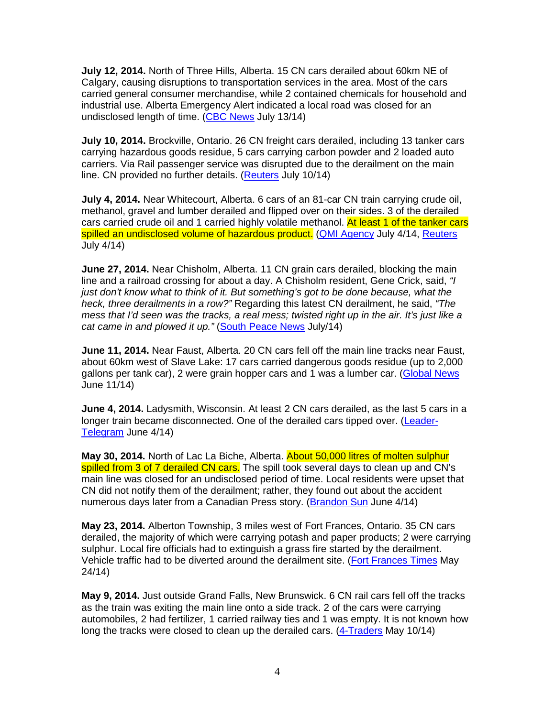**July 12, 2014.** North of Three Hills, Alberta. 15 CN cars derailed about 60km NE of Calgary, causing disruptions to transportation services in the area. Most of the cars carried general consumer merchandise, while 2 contained chemicals for household and industrial use. Alberta Emergency Alert indicated a local road was closed for an undisclosed length of time. (CBC News July 13/14)

**July 10, 2014.** Brockville, Ontario. 26 CN freight cars derailed, including 13 tanker cars carrying hazardous goods residue, 5 cars carrying carbon powder and 2 loaded auto carriers. Via Rail passenger service was disrupted due to the derailment on the main line. CN provided no further details. (Reuters July 10/14)

**July 4, 2014.** Near Whitecourt, Alberta. 6 cars of an 81-car CN train carrying crude oil, methanol, gravel and lumber derailed and flipped over on their sides. 3 of the derailed cars carried crude oil and 1 carried highly volatile methanol. At least 1 of the tanker cars spilled an undisclosed volume of hazardous product. (QMI Agency July 4/14, Reuters July 4/14)

**June 27, 2014.** Near Chisholm, Alberta. 11 CN grain cars derailed, blocking the main line and a railroad crossing for about a day. A Chisholm resident, Gene Crick, said, "I just don't know what to think of it. But something's got to be done because, what the heck, three derailments in a row?" Regarding this latest CN derailment, he said, "The mess that I'd seen was the tracks, a real mess; twisted right up in the air. It's just like a cat came in and plowed it up." (South Peace News July/14)

**June 11, 2014.** Near Faust, Alberta. 20 CN cars fell off the main line tracks near Faust, about 60km west of Slave Lake: 17 cars carried dangerous goods residue (up to 2,000 gallons per tank car), 2 were grain hopper cars and 1 was a lumber car. (Global News June 11/14)

**June 4, 2014.** Ladysmith, Wisconsin. At least 2 CN cars derailed, as the last 5 cars in a longer train became disconnected. One of the derailed cars tipped over. (Leader-Telegram June 4/14)

**May 30, 2014.** North of Lac La Biche, Alberta. About 50,000 litres of molten sulphur spilled from 3 of 7 derailed CN cars. The spill took several days to clean up and CN's main line was closed for an undisclosed period of time. Local residents were upset that CN did not notify them of the derailment; rather, they found out about the accident numerous days later from a Canadian Press story. (Brandon Sun June 4/14)

**May 23, 2014.** Alberton Township, 3 miles west of Fort Frances, Ontario. 35 CN cars derailed, the majority of which were carrying potash and paper products; 2 were carrying sulphur. Local fire officials had to extinguish a grass fire started by the derailment. Vehicle traffic had to be diverted around the derailment site. (Fort Frances Times May 24/14)

**May 9, 2014.** Just outside Grand Falls, New Brunswick. 6 CN rail cars fell off the tracks as the train was exiting the main line onto a side track. 2 of the cars were carrying automobiles, 2 had fertilizer, 1 carried railway ties and 1 was empty. It is not known how long the tracks were closed to clean up the derailed cars. (4-Traders May 10/14)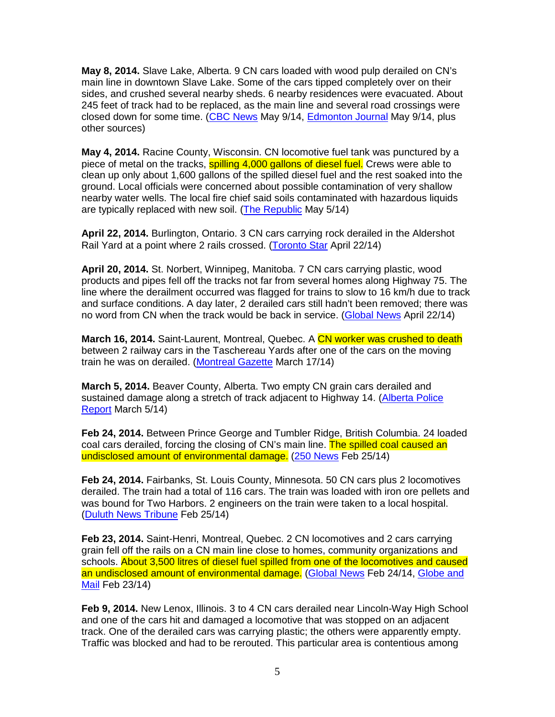**May 8, 2014.** Slave Lake, Alberta. 9 CN cars loaded with wood pulp derailed on CN's main line in downtown Slave Lake. Some of the cars tipped completely over on their sides, and crushed several nearby sheds. 6 nearby residences were evacuated. About 245 feet of track had to be replaced, as the main line and several road crossings were closed down for some time. (CBC News May 9/14, Edmonton Journal May 9/14, plus other sources)

**May 4, 2014.** Racine County, Wisconsin. CN locomotive fuel tank was punctured by a piece of metal on the tracks, **spilling 4,000 gallons of diesel fuel.** Crews were able to clean up only about 1,600 gallons of the spilled diesel fuel and the rest soaked into the ground. Local officials were concerned about possible contamination of very shallow nearby water wells. The local fire chief said soils contaminated with hazardous liquids are typically replaced with new soil. (The Republic May 5/14)

**April 22, 2014.** Burlington, Ontario. 3 CN cars carrying rock derailed in the Aldershot Rail Yard at a point where 2 rails crossed. (Toronto Star April 22/14)

**April 20, 2014.** St. Norbert, Winnipeg, Manitoba. 7 CN cars carrying plastic, wood products and pipes fell off the tracks not far from several homes along Highway 75. The line where the derailment occurred was flagged for trains to slow to 16 km/h due to track and surface conditions. A day later, 2 derailed cars still hadn't been removed; there was no word from CN when the track would be back in service. (Global News April 22/14)

**March 16, 2014.** Saint-Laurent, Montreal, Quebec. A CN worker was crushed to death between 2 railway cars in the Taschereau Yards after one of the cars on the moving train he was on derailed. (Montreal Gazette March 17/14)

**March 5, 2014.** Beaver County, Alberta. Two empty CN grain cars derailed and sustained damage along a stretch of track adjacent to Highway 14. (Alberta Police Report March 5/14)

**Feb 24, 2014.** Between Prince George and Tumbler Ridge, British Columbia. 24 loaded coal cars derailed, forcing the closing of CN's main line. The spilled coal caused an undisclosed amount of environmental damage. (250 News Feb 25/14)

**Feb 24, 2014.** Fairbanks, St. Louis County, Minnesota. 50 CN cars plus 2 locomotives derailed. The train had a total of 116 cars. The train was loaded with iron ore pellets and was bound for Two Harbors. 2 engineers on the train were taken to a local hospital. (Duluth News Tribune Feb 25/14)

**Feb 23, 2014.** Saint-Henri, Montreal, Quebec. 2 CN locomotives and 2 cars carrying grain fell off the rails on a CN main line close to homes, community organizations and schools. About 3,500 litres of diesel fuel spilled from one of the locomotives and caused an undisclosed amount of environmental damage. (Global News Feb 24/14, Globe and Mail Feb 23/14)

**Feb 9, 2014.** New Lenox, Illinois. 3 to 4 CN cars derailed near Lincoln-Way High School and one of the cars hit and damaged a locomotive that was stopped on an adjacent track. One of the derailed cars was carrying plastic; the others were apparently empty. Traffic was blocked and had to be rerouted. This particular area is contentious among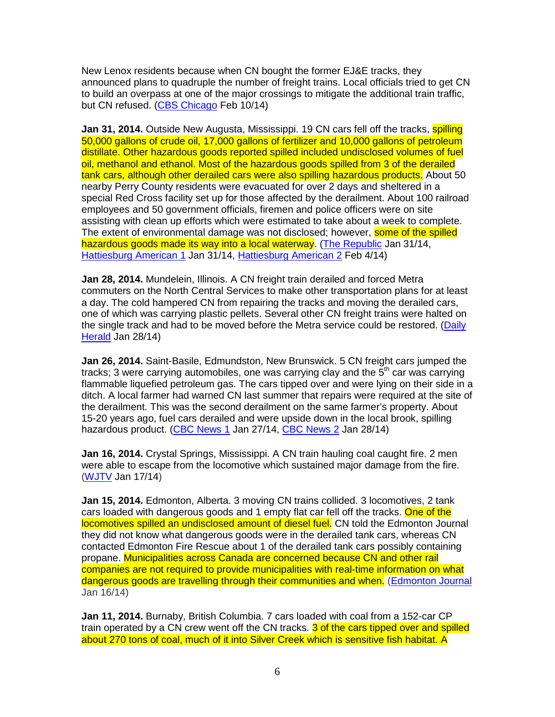New Lenox residents because when CN bought the former EJ&E tracks, they announced plans to quadruple the number of freight trains. Local officials tried to get CN to build an overpass at one of the major crossings to mitigate the additional train traffic, but CN refused. (CBS Chicago Feb 10/14)

**Jan 31, 2014.** Outside New Augusta, Mississippi. 19 CN cars fell off the tracks, **spilling** 50,000 gallons of crude oil, 17,000 gallons of fertilizer and 10,000 gallons of petroleum distillate. Other hazardous goods reported spilled included undisclosed volumes of fuel oil, methanol and ethanol. Most of the hazardous goods spilled from 3 of the derailed tank cars, although other derailed cars were also spilling hazardous products. About 50 nearby Perry County residents were evacuated for over 2 days and sheltered in a special Red Cross facility set up for those affected by the derailment. About 100 railroad employees and 50 government officials, firemen and police officers were on site assisting with clean up efforts which were estimated to take about a week to complete. The extent of environmental damage was not disclosed; however, some of the spilled hazardous goods made its way into a local waterway. (The Republic Jan 31/14, Hattiesburg American 1 Jan 31/14, Hattiesburg American 2 Feb 4/14)

**Jan 28, 2014.** Mundelein, Illinois. A CN freight train derailed and forced Metra commuters on the North Central Services to make other transportation plans for at least a day. The cold hampered CN from repairing the tracks and moving the derailed cars, one of which was carrying plastic pellets. Several other CN freight trains were halted on the single track and had to be moved before the Metra service could be restored. (Daily Herald Jan 28/14)

**Jan 26, 2014.** Saint-Basile, Edmundston, New Brunswick. 5 CN freight cars jumped the tracks; 3 were carrying automobiles, one was carrying clay and the  $5<sup>th</sup>$  car was carrying flammable liquefied petroleum gas. The cars tipped over and were lying on their side in a ditch. A local farmer had warned CN last summer that repairs were required at the site of the derailment. This was the second derailment on the same farmer's property. About 15-20 years ago, fuel cars derailed and were upside down in the local brook, spilling hazardous product. (CBC News 1 Jan 27/14, CBC News 2 Jan 28/14)

**Jan 16, 2014.** Crystal Springs, Mississippi. A CN train hauling coal caught fire. 2 men were able to escape from the locomotive which sustained major damage from the fire. (WJTV Jan 17/14)

**Jan 15, 2014.** Edmonton, Alberta. 3 moving CN trains collided. 3 locomotives, 2 tank cars loaded with dangerous goods and 1 empty flat car fell off the tracks. One of the locomotives spilled an undisclosed amount of diesel fuel. CN told the Edmonton Journal they did not know what dangerous goods were in the derailed tank cars, whereas CN contacted Edmonton Fire Rescue about 1 of the derailed tank cars possibly containing propane. Municipalities across Canada are concerned because CN and other rail companies are not required to provide municipalities with real-time information on what dangerous goods are travelling through their communities and when. (Edmonton Journal Jan 16/14)

**Jan 11, 2014.** Burnaby, British Columbia. 7 cars loaded with coal from a 152-car CP train operated by a CN crew went off the CN tracks. 3 of the cars tipped over and spilled about 270 tons of coal, much of it into Silver Creek which is sensitive fish habitat. A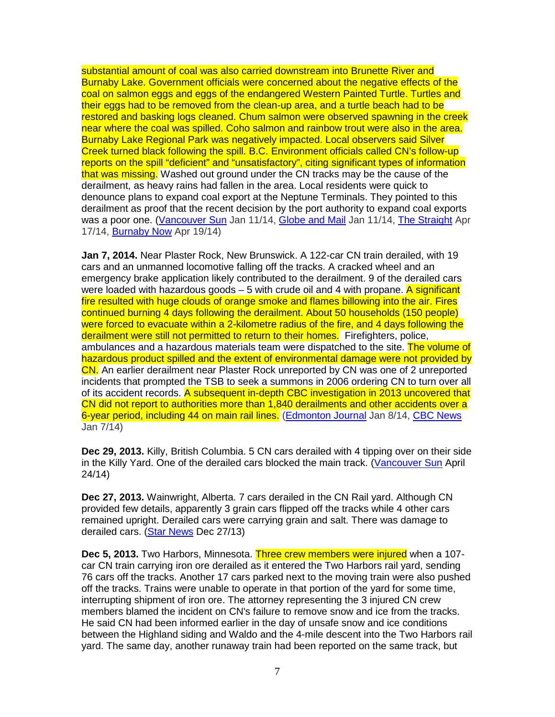substantial amount of coal was also carried downstream into Brunette River and Burnaby Lake. Government officials were concerned about the negative effects of the coal on salmon eggs and eggs of the endangered Western Painted Turtle. Turtles and their eggs had to be removed from the clean-up area, and a turtle beach had to be restored and basking logs cleaned. Chum salmon were observed spawning in the creek near where the coal was spilled. Coho salmon and rainbow trout were also in the area. Burnaby Lake Regional Park was negatively impacted. Local observers said Silver Creek turned black following the spill. B.C. Environment officials called CN's follow-up reports on the spill "deficient" and "unsatisfactory", citing significant types of information that was missing. Washed out ground under the CN tracks may be the cause of the derailment, as heavy rains had fallen in the area. Local residents were quick to denounce plans to expand coal export at the Neptune Terminals. They pointed to this derailment as proof that the recent decision by the port authority to expand coal exports was a poor one. (Vancouver Sun Jan 11/14, Globe and Mail Jan 11/14, The Straight Apr 17/14, Burnaby Now Apr 19/14)

**Jan 7, 2014.** Near Plaster Rock, New Brunswick. A 122-car CN train derailed, with 19 cars and an unmanned locomotive falling off the tracks. A cracked wheel and an emergency brake application likely contributed to the derailment. 9 of the derailed cars were loaded with hazardous goods  $-5$  with crude oil and 4 with propane. A significant fire resulted with huge clouds of orange smoke and flames billowing into the air. Fires continued burning 4 days following the derailment. About 50 households (150 people) were forced to evacuate within a 2-kilometre radius of the fire, and 4 days following the derailment were still not permitted to return to their homes. Firefighters, police, ambulances and a hazardous materials team were dispatched to the site. The volume of hazardous product spilled and the extent of environmental damage were not provided by CN. An earlier derailment near Plaster Rock unreported by CN was one of 2 unreported incidents that prompted the TSB to seek a summons in 2006 ordering CN to turn over all of its accident records. A subsequent in-depth CBC investigation in 2013 uncovered that CN did not report to authorities more than 1,840 derailments and other accidents over a 6-year period, including 44 on main rail lines. (Edmonton Journal Jan 8/14, CBC News Jan 7/14)

**Dec 29, 2013.** Killy, British Columbia. 5 CN cars derailed with 4 tipping over on their side in the Killy Yard. One of the derailed cars blocked the main track. (Vancouver Sun April 24/14)

**Dec 27, 2013.** Wainwright, Alberta. 7 cars derailed in the CN Rail yard. Although CN provided few details, apparently 3 grain cars flipped off the tracks while 4 other cars remained upright. Derailed cars were carrying grain and salt. There was damage to derailed cars. (Star News Dec 27/13)

**Dec 5, 2013.** Two Harbors, Minnesota. Three crew members were injured when a 107 car CN train carrying iron ore derailed as it entered the Two Harbors rail yard, sending 76 cars off the tracks. Another 17 cars parked next to the moving train were also pushed off the tracks. Trains were unable to operate in that portion of the yard for some time, interrupting shipment of iron ore. The attorney representing the 3 injured CN crew members blamed the incident on CN's failure to remove snow and ice from the tracks. He said CN had been informed earlier in the day of unsafe snow and ice conditions between the Highland siding and Waldo and the 4-mile descent into the Two Harbors rail yard. The same day, another runaway train had been reported on the same track, but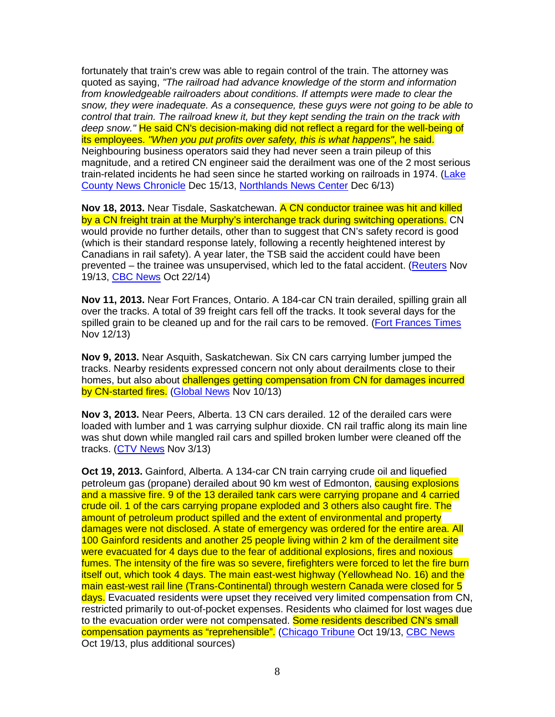fortunately that train's crew was able to regain control of the train. The attorney was quoted as saying, "The railroad had advance knowledge of the storm and information from knowledgeable railroaders about conditions. If attempts were made to clear the snow, they were inadequate. As a consequence, these guys were not going to be able to control that train. The railroad knew it, but they kept sending the train on the track with deep snow." He said CN's decision-making did not reflect a regard for the well-being of its employees. "When you put profits over safety, this is what happens", he said. Neighbouring business operators said they had never seen a train pileup of this magnitude, and a retired CN engineer said the derailment was one of the 2 most serious train-related incidents he had seen since he started working on railroads in 1974. (Lake County News Chronicle Dec 15/13, Northlands News Center Dec 6/13)

**Nov 18, 2013.** Near Tisdale, Saskatchewan. A CN conductor trainee was hit and killed by a CN freight train at the Murphy's interchange track during switching operations. CN would provide no further details, other than to suggest that CN's safety record is good (which is their standard response lately, following a recently heightened interest by Canadians in rail safety). A year later, the TSB said the accident could have been prevented – the trainee was unsupervised, which led to the fatal accident. (Reuters Nov 19/13, CBC News Oct 22/14)

**Nov 11, 2013.** Near Fort Frances, Ontario. A 184-car CN train derailed, spilling grain all over the tracks. A total of 39 freight cars fell off the tracks. It took several days for the spilled grain to be cleaned up and for the rail cars to be removed. (Fort Frances Times Nov 12/13)

**Nov 9, 2013.** Near Asquith, Saskatchewan. Six CN cars carrying lumber jumped the tracks. Nearby residents expressed concern not only about derailments close to their homes, but also about challenges getting compensation from CN for damages incurred by CN-started fires. (Global News Nov 10/13)

**Nov 3, 2013.** Near Peers, Alberta. 13 CN cars derailed. 12 of the derailed cars were loaded with lumber and 1 was carrying sulphur dioxide. CN rail traffic along its main line was shut down while mangled rail cars and spilled broken lumber were cleaned off the tracks. (CTV News Nov 3/13)

**Oct 19, 2013.** Gainford, Alberta. A 134-car CN train carrying crude oil and liquefied petroleum gas (propane) derailed about 90 km west of Edmonton, causing explosions and a massive fire. 9 of the 13 derailed tank cars were carrying propane and 4 carried crude oil. 1 of the cars carrying propane exploded and 3 others also caught fire. The amount of petroleum product spilled and the extent of environmental and property damages were not disclosed. A state of emergency was ordered for the entire area. All 100 Gainford residents and another 25 people living within 2 km of the derailment site were evacuated for 4 days due to the fear of additional explosions, fires and noxious fumes. The intensity of the fire was so severe, firefighters were forced to let the fire burn itself out, which took 4 days. The main east-west highway (Yellowhead No. 16) and the main east-west rail line (Trans-Continental) through western Canada were closed for 5 days. Evacuated residents were upset they received very limited compensation from CN, restricted primarily to out-of-pocket expenses. Residents who claimed for lost wages due to the evacuation order were not compensated. Some residents described CN's small compensation payments as "reprehensible". (Chicago Tribune Oct 19/13, CBC News Oct 19/13, plus additional sources)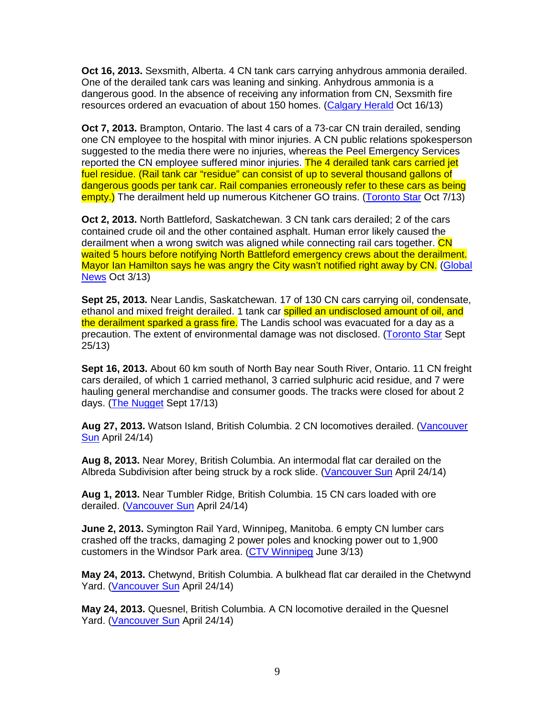**Oct 16, 2013.** Sexsmith, Alberta. 4 CN tank cars carrying anhydrous ammonia derailed. One of the derailed tank cars was leaning and sinking. Anhydrous ammonia is a dangerous good. In the absence of receiving any information from CN, Sexsmith fire resources ordered an evacuation of about 150 homes. (Calgary Herald Oct 16/13)

**Oct 7, 2013.** Brampton, Ontario. The last 4 cars of a 73-car CN train derailed, sending one CN employee to the hospital with minor injuries. A CN public relations spokesperson suggested to the media there were no injuries, whereas the Peel Emergency Services reported the CN employee suffered minor injuries. The 4 derailed tank cars carried jet fuel residue. (Rail tank car "residue" can consist of up to several thousand gallons of dangerous goods per tank car. Rail companies erroneously refer to these cars as being empty.) The derailment held up numerous Kitchener GO trains. (Toronto Star Oct 7/13)

**Oct 2, 2013.** North Battleford, Saskatchewan. 3 CN tank cars derailed; 2 of the cars contained crude oil and the other contained asphalt. Human error likely caused the derailment when a wrong switch was aligned while connecting rail cars together. CN waited 5 hours before notifying North Battleford emergency crews about the derailment. Mayor Ian Hamilton says he was angry the City wasn't notified right away by CN. (Global News Oct 3/13)

**Sept 25, 2013.** Near Landis, Saskatchewan. 17 of 130 CN cars carrying oil, condensate, ethanol and mixed freight derailed. 1 tank car spilled an undisclosed amount of oil, and the derailment sparked a grass fire. The Landis school was evacuated for a day as a precaution. The extent of environmental damage was not disclosed. (Toronto Star Sept 25/13)

**Sept 16, 2013.** About 60 km south of North Bay near South River, Ontario. 11 CN freight cars derailed, of which 1 carried methanol, 3 carried sulphuric acid residue, and 7 were hauling general merchandise and consumer goods. The tracks were closed for about 2 days. (The Nugget Sept 17/13)

**Aug 27, 2013.** Watson Island, British Columbia. 2 CN locomotives derailed. (Vancouver Sun April 24/14)

**Aug 8, 2013.** Near Morey, British Columbia. An intermodal flat car derailed on the Albreda Subdivision after being struck by a rock slide. (Vancouver Sun April 24/14)

**Aug 1, 2013.** Near Tumbler Ridge, British Columbia. 15 CN cars loaded with ore derailed. (Vancouver Sun April 24/14)

**June 2, 2013.** Symington Rail Yard, Winnipeg, Manitoba. 6 empty CN lumber cars crashed off the tracks, damaging 2 power poles and knocking power out to 1,900 customers in the Windsor Park area. (CTV Winnipeg June 3/13)

**May 24, 2013.** Chetwynd, British Columbia. A bulkhead flat car derailed in the Chetwynd Yard. (Vancouver Sun April 24/14)

**May 24, 2013.** Quesnel, British Columbia. A CN locomotive derailed in the Quesnel Yard. (Vancouver Sun April 24/14)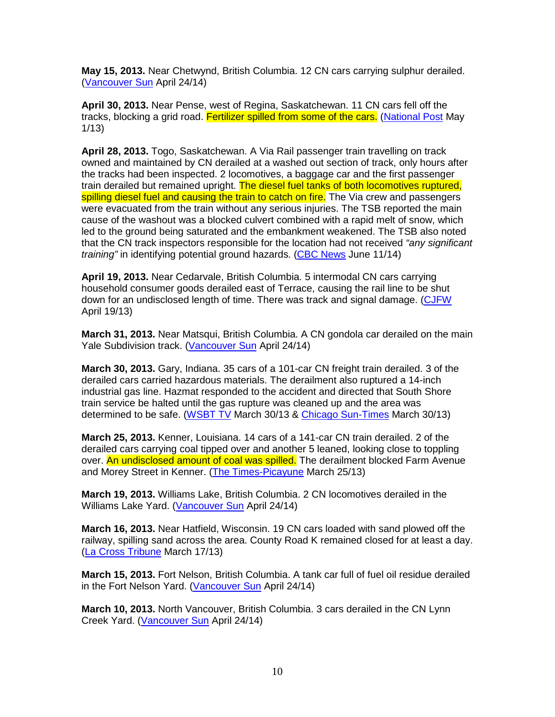**May 15, 2013.** Near Chetwynd, British Columbia. 12 CN cars carrying sulphur derailed. (Vancouver Sun April 24/14)

**April 30, 2013.** Near Pense, west of Regina, Saskatchewan. 11 CN cars fell off the tracks, blocking a grid road. Fertilizer spilled from some of the cars. (National Post May 1/13)

**April 28, 2013.** Togo, Saskatchewan. A Via Rail passenger train travelling on track owned and maintained by CN derailed at a washed out section of track, only hours after the tracks had been inspected. 2 locomotives, a baggage car and the first passenger train derailed but remained upright. The diesel fuel tanks of both locomotives ruptured, spilling diesel fuel and causing the train to catch on fire. The Via crew and passengers were evacuated from the train without any serious injuries. The TSB reported the main cause of the washout was a blocked culvert combined with a rapid melt of snow, which led to the ground being saturated and the embankment weakened. The TSB also noted that the CN track inspectors responsible for the location had not received "any significant" training" in identifying potential ground hazards. (CBC News June 11/14)

**April 19, 2013.** Near Cedarvale, British Columbia. 5 intermodal CN cars carrying household consumer goods derailed east of Terrace, causing the rail line to be shut down for an undisclosed length of time. There was track and signal damage. (CJFW April 19/13)

**March 31, 2013.** Near Matsqui, British Columbia. A CN gondola car derailed on the main Yale Subdivision track. (Vancouver Sun April 24/14)

**March 30, 2013.** Gary, Indiana. 35 cars of a 101-car CN freight train derailed. 3 of the derailed cars carried hazardous materials. The derailment also ruptured a 14-inch industrial gas line. Hazmat responded to the accident and directed that South Shore train service be halted until the gas rupture was cleaned up and the area was determined to be safe. (WSBT TV March 30/13 & Chicago Sun-Times March 30/13)

**March 25, 2013.** Kenner, Louisiana. 14 cars of a 141-car CN train derailed. 2 of the derailed cars carrying coal tipped over and another 5 leaned, looking close to toppling over. An undisclosed amount of coal was spilled. The derailment blocked Farm Avenue and Morey Street in Kenner. (The Times-Picayune March 25/13)

**March 19, 2013.** Williams Lake, British Columbia. 2 CN locomotives derailed in the Williams Lake Yard. (Vancouver Sun April 24/14)

**March 16, 2013.** Near Hatfield, Wisconsin. 19 CN cars loaded with sand plowed off the railway, spilling sand across the area. County Road K remained closed for at least a day. (La Cross Tribune March 17/13)

**March 15, 2013.** Fort Nelson, British Columbia. A tank car full of fuel oil residue derailed in the Fort Nelson Yard. (Vancouver Sun April 24/14)

**March 10, 2013.** North Vancouver, British Columbia. 3 cars derailed in the CN Lynn Creek Yard. (Vancouver Sun April 24/14)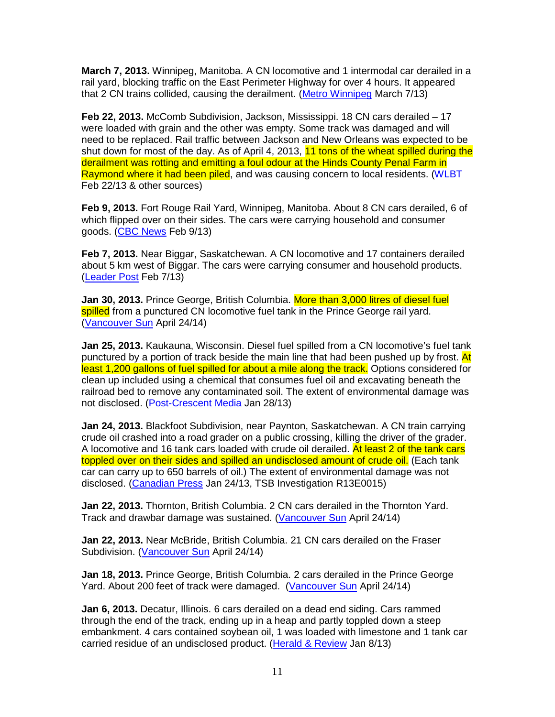**March 7, 2013.** Winnipeg, Manitoba. A CN locomotive and 1 intermodal car derailed in a rail yard, blocking traffic on the East Perimeter Highway for over 4 hours. It appeared that 2 CN trains collided, causing the derailment. (Metro Winnipeg March 7/13)

**Feb 22, 2013.** McComb Subdivision, Jackson, Mississippi. 18 CN cars derailed – 17 were loaded with grain and the other was empty. Some track was damaged and will need to be replaced. Rail traffic between Jackson and New Orleans was expected to be shut down for most of the day. As of April 4, 2013, 11 tons of the wheat spilled during the derailment was rotting and emitting a foul odour at the Hinds County Penal Farm in Raymond where it had been piled, and was causing concern to local residents. (WLBT Feb 22/13 & other sources)

**Feb 9, 2013.** Fort Rouge Rail Yard, Winnipeg, Manitoba. About 8 CN cars derailed, 6 of which flipped over on their sides. The cars were carrying household and consumer goods. (CBC News Feb 9/13)

**Feb 7, 2013.** Near Biggar, Saskatchewan. A CN locomotive and 17 containers derailed about 5 km west of Biggar. The cars were carrying consumer and household products. (Leader Post Feb 7/13)

**Jan 30, 2013.** Prince George, British Columbia. More than 3,000 litres of diesel fuel spilled from a punctured CN locomotive fuel tank in the Prince George rail yard. (Vancouver Sun April 24/14)

**Jan 25, 2013.** Kaukauna, Wisconsin. Diesel fuel spilled from a CN locomotive's fuel tank punctured by a portion of track beside the main line that had been pushed up by frost. At least 1,200 gallons of fuel spilled for about a mile along the track. Options considered for clean up included using a chemical that consumes fuel oil and excavating beneath the railroad bed to remove any contaminated soil. The extent of environmental damage was not disclosed. (Post-Crescent Media Jan 28/13)

**Jan 24, 2013.** Blackfoot Subdivision, near Paynton, Saskatchewan. A CN train carrying crude oil crashed into a road grader on a public crossing, killing the driver of the grader. A locomotive and 16 tank cars loaded with crude oil derailed. At least 2 of the tank cars toppled over on their sides and spilled an undisclosed amount of crude oil. (Each tank car can carry up to 650 barrels of oil.) The extent of environmental damage was not disclosed. (Canadian Press Jan 24/13, TSB Investigation R13E0015)

**Jan 22, 2013.** Thornton, British Columbia. 2 CN cars derailed in the Thornton Yard. Track and drawbar damage was sustained. (Vancouver Sun April 24/14)

**Jan 22, 2013.** Near McBride, British Columbia. 21 CN cars derailed on the Fraser Subdivision. (Vancouver Sun April 24/14)

**Jan 18, 2013.** Prince George, British Columbia. 2 cars derailed in the Prince George Yard. About 200 feet of track were damaged. (Vancouver Sun April 24/14)

**Jan 6, 2013.** Decatur, Illinois. 6 cars derailed on a dead end siding. Cars rammed through the end of the track, ending up in a heap and partly toppled down a steep embankment. 4 cars contained soybean oil, 1 was loaded with limestone and 1 tank car carried residue of an undisclosed product. (Herald & Review Jan 8/13)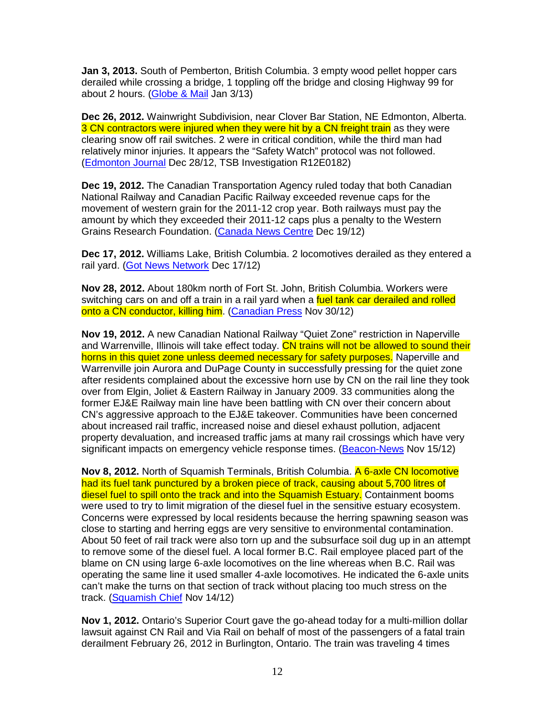**Jan 3, 2013.** South of Pemberton, British Columbia. 3 empty wood pellet hopper cars derailed while crossing a bridge, 1 toppling off the bridge and closing Highway 99 for about 2 hours. (Globe & Mail Jan 3/13)

**Dec 26, 2012.** Wainwright Subdivision, near Clover Bar Station, NE Edmonton, Alberta. 3 CN contractors were injured when they were hit by a CN freight train as they were clearing snow off rail switches. 2 were in critical condition, while the third man had relatively minor injuries. It appears the "Safety Watch" protocol was not followed. (Edmonton Journal Dec 28/12, TSB Investigation R12E0182)

**Dec 19, 2012.** The Canadian Transportation Agency ruled today that both Canadian National Railway and Canadian Pacific Railway exceeded revenue caps for the movement of western grain for the 2011-12 crop year. Both railways must pay the amount by which they exceeded their 2011-12 caps plus a penalty to the Western Grains Research Foundation. (Canada News Centre Dec 19/12)

**Dec 17, 2012.** Williams Lake, British Columbia. 2 locomotives derailed as they entered a rail yard. (Got News Network Dec 17/12)

**Nov 28, 2012.** About 180km north of Fort St. John, British Columbia. Workers were switching cars on and off a train in a rail yard when a fuel tank car derailed and rolled onto a CN conductor, killing him. (Canadian Press Nov 30/12)

**Nov 19, 2012.** A new Canadian National Railway "Quiet Zone" restriction in Naperville and Warrenville, Illinois will take effect today. CN trains will not be allowed to sound their horns in this quiet zone unless deemed necessary for safety purposes. Naperville and Warrenville join Aurora and DuPage County in successfully pressing for the quiet zone after residents complained about the excessive horn use by CN on the rail line they took over from Elgin, Joliet & Eastern Railway in January 2009. 33 communities along the former EJ&E Railway main line have been battling with CN over their concern about CN's aggressive approach to the EJ&E takeover. Communities have been concerned about increased rail traffic, increased noise and diesel exhaust pollution, adjacent property devaluation, and increased traffic jams at many rail crossings which have very significant impacts on emergency vehicle response times. (Beacon-News Nov 15/12)

**Nov 8, 2012.** North of Squamish Terminals, British Columbia. A 6-axle CN locomotive had its fuel tank punctured by a broken piece of track, causing about 5,700 litres of diesel fuel to spill onto the track and into the Squamish Estuary. Containment booms were used to try to limit migration of the diesel fuel in the sensitive estuary ecosystem. Concerns were expressed by local residents because the herring spawning season was close to starting and herring eggs are very sensitive to environmental contamination. About 50 feet of rail track were also torn up and the subsurface soil dug up in an attempt to remove some of the diesel fuel. A local former B.C. Rail employee placed part of the blame on CN using large 6-axle locomotives on the line whereas when B.C. Rail was operating the same line it used smaller 4-axle locomotives. He indicated the 6-axle units can't make the turns on that section of track without placing too much stress on the track. (Squamish Chief Nov 14/12)

**Nov 1, 2012.** Ontario's Superior Court gave the go-ahead today for a multi-million dollar lawsuit against CN Rail and Via Rail on behalf of most of the passengers of a fatal train derailment February 26, 2012 in Burlington, Ontario. The train was traveling 4 times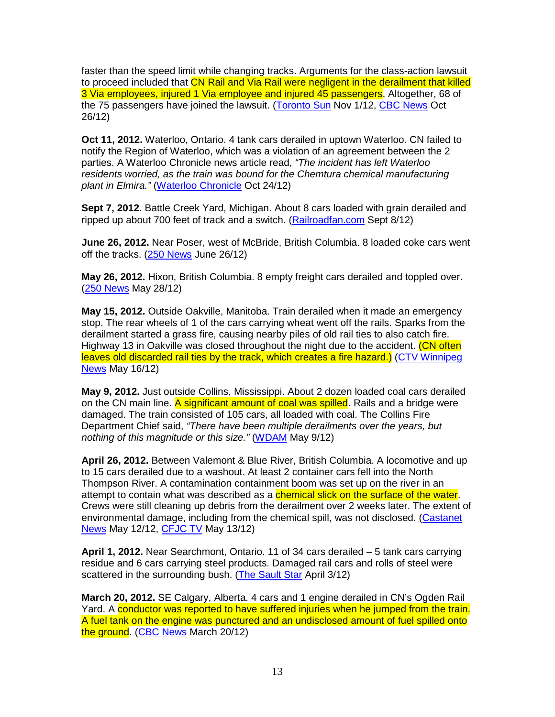faster than the speed limit while changing tracks. Arguments for the class-action lawsuit to proceed included that CN Rail and Via Rail were negligent in the derailment that killed 3 Via employees, injured 1 Via employee and injured 45 passengers. Altogether, 68 of the 75 passengers have joined the lawsuit. (Toronto Sun Nov 1/12, CBC News Oct 26/12)

**Oct 11, 2012.** Waterloo, Ontario. 4 tank cars derailed in uptown Waterloo. CN failed to notify the Region of Waterloo, which was a violation of an agreement between the 2 parties. A Waterloo Chronicle news article read, "The incident has left Waterloo residents worried, as the train was bound for the Chemtura chemical manufacturing plant in Elmira." (Waterloo Chronicle Oct 24/12)

**Sept 7, 2012.** Battle Creek Yard, Michigan. About 8 cars loaded with grain derailed and ripped up about 700 feet of track and a switch. (Railroadfan.com Sept 8/12)

**June 26, 2012.** Near Poser, west of McBride, British Columbia. 8 loaded coke cars went off the tracks. (250 News June 26/12)

**May 26, 2012.** Hixon, British Columbia. 8 empty freight cars derailed and toppled over. (250 News May 28/12)

**May 15, 2012.** Outside Oakville, Manitoba. Train derailed when it made an emergency stop. The rear wheels of 1 of the cars carrying wheat went off the rails. Sparks from the derailment started a grass fire, causing nearby piles of old rail ties to also catch fire. Highway 13 in Oakville was closed throughout the night due to the accident. (CN often leaves old discarded rail ties by the track, which creates a fire hazard.) (CTV Winnipeg News May 16/12)

**May 9, 2012.** Just outside Collins, Mississippi. About 2 dozen loaded coal cars derailed on the CN main line. A significant amount of coal was spilled. Rails and a bridge were damaged. The train consisted of 105 cars, all loaded with coal. The Collins Fire Department Chief said, "There have been multiple derailments over the years, but nothing of this magnitude or this size." (WDAM May 9/12)

**April 26, 2012.** Between Valemont & Blue River, British Columbia. A locomotive and up to 15 cars derailed due to a washout. At least 2 container cars fell into the North Thompson River. A contamination containment boom was set up on the river in an attempt to contain what was described as a **chemical slick on the surface of the water**. Crews were still cleaning up debris from the derailment over 2 weeks later. The extent of environmental damage, including from the chemical spill, was not disclosed. (Castanet News May 12/12, CFJC TV May 13/12)

**April 1, 2012.** Near Searchmont, Ontario. 11 of 34 cars derailed – 5 tank cars carrying residue and 6 cars carrying steel products. Damaged rail cars and rolls of steel were scattered in the surrounding bush. (The Sault Star April 3/12)

**March 20, 2012.** SE Calgary, Alberta. 4 cars and 1 engine derailed in CN's Ogden Rail Yard. A conductor was reported to have suffered injuries when he jumped from the train. A fuel tank on the engine was punctured and an undisclosed amount of fuel spilled onto the ground. (CBC News March 20/12)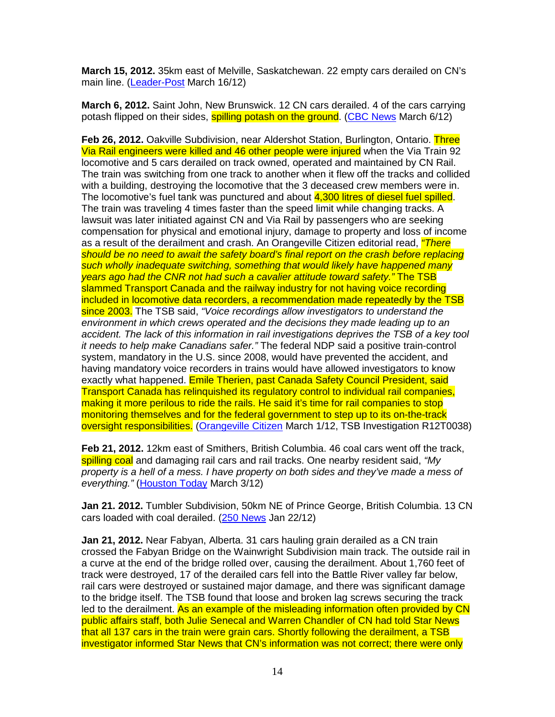**March 15, 2012.** 35km east of Melville, Saskatchewan. 22 empty cars derailed on CN's main line. (Leader-Post March 16/12)

**March 6, 2012.** Saint John, New Brunswick. 12 CN cars derailed. 4 of the cars carrying potash flipped on their sides, **spilling potash on the ground.** (CBC News March 6/12)

**Feb 26, 2012.** Oakville Subdivision, near Aldershot Station, Burlington, Ontario. Three Via Rail engineers were killed and 46 other people were injured when the Via Train 92 locomotive and 5 cars derailed on track owned, operated and maintained by CN Rail. The train was switching from one track to another when it flew off the tracks and collided with a building, destroying the locomotive that the 3 deceased crew members were in. The locomotive's fuel tank was punctured and about 4,300 litres of diesel fuel spilled. The train was traveling 4 times faster than the speed limit while changing tracks. A lawsuit was later initiated against CN and Via Rail by passengers who are seeking compensation for physical and emotional injury, damage to property and loss of income as a result of the derailment and crash. An Orangeville Citizen editorial read, *"There* should be no need to await the safety board's final report on the crash before replacing such wholly inadequate switching, something that would likely have happened many years ago had the CNR not had such a cavalier attitude toward safety." The TSB slammed Transport Canada and the railway industry for not having voice recording included in locomotive data recorders, a recommendation made repeatedly by the TSB since 2003. The TSB said, "Voice recordings allow investigators to understand the environment in which crews operated and the decisions they made leading up to an accident. The lack of this information in rail investigations deprives the TSB of a key tool it needs to help make Canadians safer." The federal NDP said a positive train-control system, mandatory in the U.S. since 2008, would have prevented the accident, and having mandatory voice recorders in trains would have allowed investigators to know exactly what happened. Emile Therien, past Canada Safety Council President, said Transport Canada has relinquished its regulatory control to individual rail companies, making it more perilous to ride the rails. He said it's time for rail companies to stop monitoring themselves and for the federal government to step up to its on-the-track oversight responsibilities. (Orangeville Citizen March 1/12, TSB Investigation R12T0038)

**Feb 21, 2012.** 12km east of Smithers, British Columbia. 46 coal cars went off the track, spilling coal and damaging rail cars and rail tracks. One nearby resident said, "My property is a hell of a mess. I have property on both sides and they've made a mess of everything." (Houston Today March 3/12)

**Jan 21. 2012.** Tumbler Subdivision, 50km NE of Prince George, British Columbia. 13 CN cars loaded with coal derailed. (250 News Jan 22/12)

**Jan 21, 2012.** Near Fabyan, Alberta. 31 cars hauling grain derailed as a CN train crossed the Fabyan Bridge on the Wainwright Subdivision main track. The outside rail in a curve at the end of the bridge rolled over, causing the derailment. About 1,760 feet of track were destroyed, 17 of the derailed cars fell into the Battle River valley far below, rail cars were destroyed or sustained major damage, and there was significant damage to the bridge itself. The TSB found that loose and broken lag screws securing the track led to the derailment. As an example of the misleading information often provided by CN public affairs staff, both Julie Senecal and Warren Chandler of CN had told Star News that all 137 cars in the train were grain cars. Shortly following the derailment, a TSB investigator informed Star News that CN's information was not correct; there were only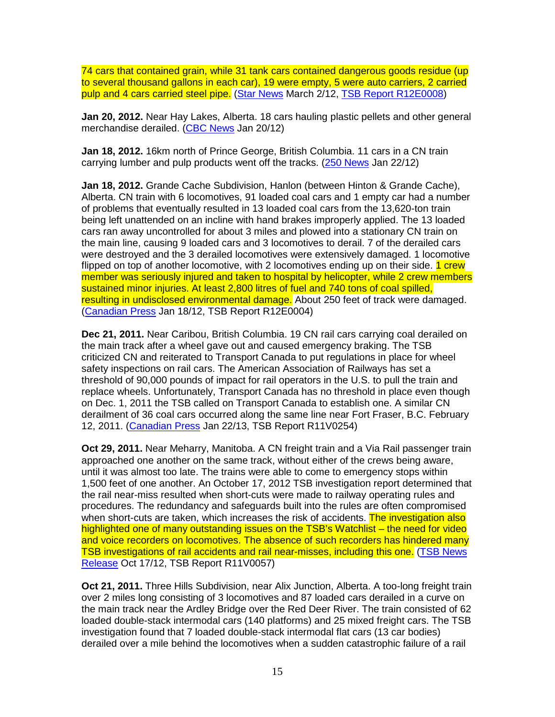74 cars that contained grain, while 31 tank cars contained dangerous goods residue (up to several thousand gallons in each car), 19 were empty, 5 were auto carriers, 2 carried pulp and 4 cars carried steel pipe. (Star News March 2/12, TSB Report R12E0008)

**Jan 20, 2012.** Near Hay Lakes, Alberta. 18 cars hauling plastic pellets and other general merchandise derailed. (CBC News Jan 20/12)

**Jan 18, 2012.** 16km north of Prince George, British Columbia. 11 cars in a CN train carrying lumber and pulp products went off the tracks. (250 News Jan 22/12)

**Jan 18, 2012.** Grande Cache Subdivision, Hanlon (between Hinton & Grande Cache), Alberta. CN train with 6 locomotives, 91 loaded coal cars and 1 empty car had a number of problems that eventually resulted in 13 loaded coal cars from the 13,620-ton train being left unattended on an incline with hand brakes improperly applied. The 13 loaded cars ran away uncontrolled for about 3 miles and plowed into a stationary CN train on the main line, causing 9 loaded cars and 3 locomotives to derail. 7 of the derailed cars were destroyed and the 3 derailed locomotives were extensively damaged. 1 locomotive flipped on top of another locomotive, with 2 locomotives ending up on their side. 1 crew member was seriously injured and taken to hospital by helicopter, while 2 crew members sustained minor injuries. At least 2,800 litres of fuel and 740 tons of coal spilled, resulting in undisclosed environmental damage. About 250 feet of track were damaged. (Canadian Press Jan 18/12, TSB Report R12E0004)

**Dec 21, 2011.** Near Caribou, British Columbia. 19 CN rail cars carrying coal derailed on the main track after a wheel gave out and caused emergency braking. The TSB criticized CN and reiterated to Transport Canada to put regulations in place for wheel safety inspections on rail cars. The American Association of Railways has set a threshold of 90,000 pounds of impact for rail operators in the U.S. to pull the train and replace wheels. Unfortunately, Transport Canada has no threshold in place even though on Dec. 1, 2011 the TSB called on Transport Canada to establish one. A similar CN derailment of 36 coal cars occurred along the same line near Fort Fraser, B.C. February 12, 2011. (Canadian Press Jan 22/13, TSB Report R11V0254)

**Oct 29, 2011.** Near Meharry, Manitoba. A CN freight train and a Via Rail passenger train approached one another on the same track, without either of the crews being aware, until it was almost too late. The trains were able to come to emergency stops within 1,500 feet of one another. An October 17, 2012 TSB investigation report determined that the rail near-miss resulted when short-cuts were made to railway operating rules and procedures. The redundancy and safeguards built into the rules are often compromised when short-cuts are taken, which increases the risk of accidents. The investigation also highlighted one of many outstanding issues on the TSB's Watchlist – the need for video and voice recorders on locomotives. The absence of such recorders has hindered many TSB investigations of rail accidents and rail near-misses, including this one. (TSB News Release Oct 17/12, TSB Report R11V0057)

**Oct 21, 2011.** Three Hills Subdivision, near Alix Junction, Alberta. A too-long freight train over 2 miles long consisting of 3 locomotives and 87 loaded cars derailed in a curve on the main track near the Ardley Bridge over the Red Deer River. The train consisted of 62 loaded double-stack intermodal cars (140 platforms) and 25 mixed freight cars. The TSB investigation found that 7 loaded double-stack intermodal flat cars (13 car bodies) derailed over a mile behind the locomotives when a sudden catastrophic failure of a rail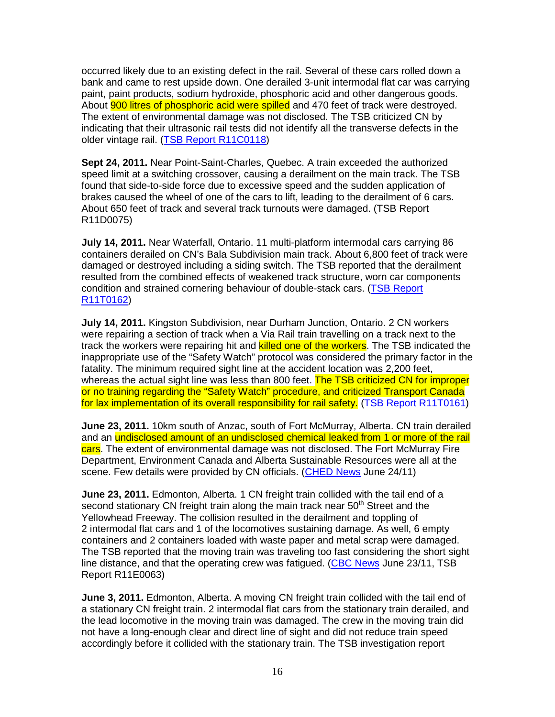occurred likely due to an existing defect in the rail. Several of these cars rolled down a bank and came to rest upside down. One derailed 3-unit intermodal flat car was carrying paint, paint products, sodium hydroxide, phosphoric acid and other dangerous goods. About **900 litres of phosphoric acid were spilled** and 470 feet of track were destroyed. The extent of environmental damage was not disclosed. The TSB criticized CN by indicating that their ultrasonic rail tests did not identify all the transverse defects in the older vintage rail. (TSB Report R11C0118)

**Sept 24, 2011.** Near Point-Saint-Charles, Quebec. A train exceeded the authorized speed limit at a switching crossover, causing a derailment on the main track. The TSB found that side-to-side force due to excessive speed and the sudden application of brakes caused the wheel of one of the cars to lift, leading to the derailment of 6 cars. About 650 feet of track and several track turnouts were damaged. (TSB Report R11D0075)

**July 14, 2011.** Near Waterfall, Ontario. 11 multi-platform intermodal cars carrying 86 containers derailed on CN's Bala Subdivision main track. About 6,800 feet of track were damaged or destroyed including a siding switch. The TSB reported that the derailment resulted from the combined effects of weakened track structure, worn car components condition and strained cornering behaviour of double-stack cars. (TSB Report R11T0162)

**July 14, 2011.** Kingston Subdivision, near Durham Junction, Ontario. 2 CN workers were repairing a section of track when a Via Rail train travelling on a track next to the track the workers were repairing hit and killed one of the workers. The TSB indicated the inappropriate use of the "Safety Watch" protocol was considered the primary factor in the fatality. The minimum required sight line at the accident location was 2,200 feet, whereas the actual sight line was less than 800 feet. The TSB criticized CN for improper or no training regarding the "Safety Watch" procedure, and criticized Transport Canada for lax implementation of its overall responsibility for rail safety. (TSB Report R11T0161)

**June 23, 2011.** 10km south of Anzac, south of Fort McMurray, Alberta. CN train derailed and an undisclosed amount of an undisclosed chemical leaked from 1 or more of the rail cars. The extent of environmental damage was not disclosed. The Fort McMurray Fire Department, Environment Canada and Alberta Sustainable Resources were all at the scene. Few details were provided by CN officials. (CHED News June 24/11)

**June 23, 2011.** Edmonton, Alberta. 1 CN freight train collided with the tail end of a second stationary CN freight train along the main track near 50<sup>th</sup> Street and the Yellowhead Freeway. The collision resulted in the derailment and toppling of 2 intermodal flat cars and 1 of the locomotives sustaining damage. As well, 6 empty containers and 2 containers loaded with waste paper and metal scrap were damaged. The TSB reported that the moving train was traveling too fast considering the short sight line distance, and that the operating crew was fatigued. (CBC News June 23/11, TSB Report R11E0063)

**June 3, 2011.** Edmonton, Alberta. A moving CN freight train collided with the tail end of a stationary CN freight train. 2 intermodal flat cars from the stationary train derailed, and the lead locomotive in the moving train was damaged. The crew in the moving train did not have a long-enough clear and direct line of sight and did not reduce train speed accordingly before it collided with the stationary train. The TSB investigation report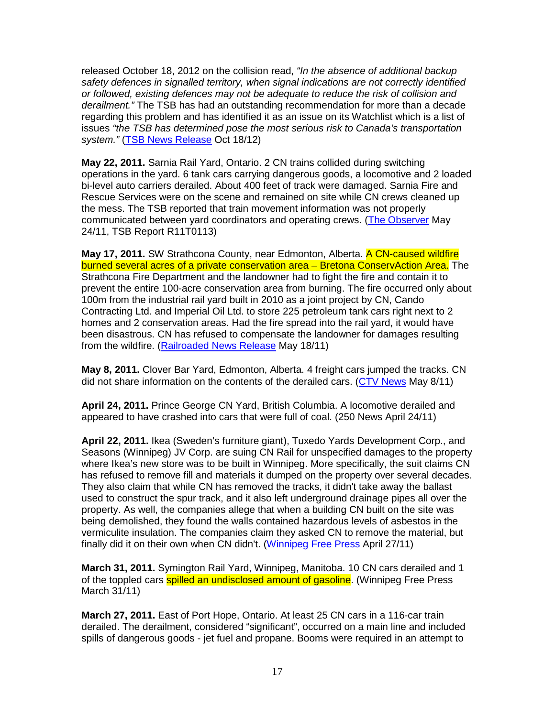released October 18, 2012 on the collision read, "In the absence of additional backup safety defences in signalled territory, when signal indications are not correctly identified or followed, existing defences may not be adequate to reduce the risk of collision and derailment." The TSB has had an outstanding recommendation for more than a decade regarding this problem and has identified it as an issue on its Watchlist which is a list of issues "the TSB has determined pose the most serious risk to Canada's transportation system." (TSB News Release Oct 18/12)

**May 22, 2011.** Sarnia Rail Yard, Ontario. 2 CN trains collided during switching operations in the yard. 6 tank cars carrying dangerous goods, a locomotive and 2 loaded bi-level auto carriers derailed. About 400 feet of track were damaged. Sarnia Fire and Rescue Services were on the scene and remained on site while CN crews cleaned up the mess. The TSB reported that train movement information was not properly communicated between yard coordinators and operating crews. (The Observer May 24/11, TSB Report R11T0113)

**May 17, 2011.** SW Strathcona County, near Edmonton, Alberta. A CN-caused wildfire burned several acres of a private conservation area – Bretona ConservAction Area. The Strathcona Fire Department and the landowner had to fight the fire and contain it to prevent the entire 100-acre conservation area from burning. The fire occurred only about 100m from the industrial rail yard built in 2010 as a joint project by CN, Cando Contracting Ltd. and Imperial Oil Ltd. to store 225 petroleum tank cars right next to 2 homes and 2 conservation areas. Had the fire spread into the rail yard, it would have been disastrous. CN has refused to compensate the landowner for damages resulting from the wildfire. (Railroaded News Release May 18/11)

**May 8, 2011.** Clover Bar Yard, Edmonton, Alberta. 4 freight cars jumped the tracks. CN did not share information on the contents of the derailed cars. (CTV News May 8/11)

**April 24, 2011.** Prince George CN Yard, British Columbia. A locomotive derailed and appeared to have crashed into cars that were full of coal. (250 News April 24/11)

**April 22, 2011.** Ikea (Sweden's furniture giant), Tuxedo Yards Development Corp., and Seasons (Winnipeg) JV Corp. are suing CN Rail for unspecified damages to the property where Ikea's new store was to be built in Winnipeg. More specifically, the suit claims CN has refused to remove fill and materials it dumped on the property over several decades. They also claim that while CN has removed the tracks, it didn't take away the ballast used to construct the spur track, and it also left underground drainage pipes all over the property. As well, the companies allege that when a building CN built on the site was being demolished, they found the walls contained hazardous levels of asbestos in the vermiculite insulation. The companies claim they asked CN to remove the material, but finally did it on their own when CN didn't. (Winnipeg Free Press April 27/11)

**March 31, 2011.** Symington Rail Yard, Winnipeg, Manitoba. 10 CN cars derailed and 1 of the toppled cars **spilled an undisclosed amount of gasoline**. (Winnipeg Free Press March 31/11)

**March 27, 2011.** East of Port Hope, Ontario. At least 25 CN cars in a 116-car train derailed. The derailment, considered "significant", occurred on a main line and included spills of dangerous goods - jet fuel and propane. Booms were required in an attempt to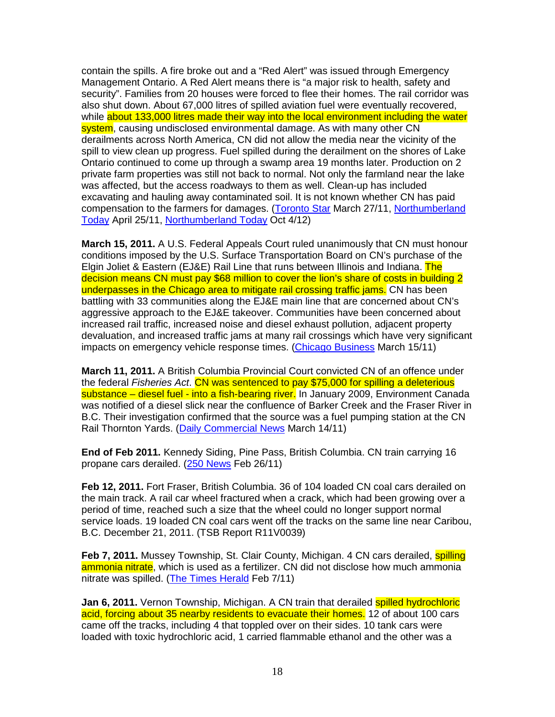contain the spills. A fire broke out and a "Red Alert" was issued through Emergency Management Ontario. A Red Alert means there is "a major risk to health, safety and security". Families from 20 houses were forced to flee their homes. The rail corridor was also shut down. About 67,000 litres of spilled aviation fuel were eventually recovered, while about 133,000 litres made their way into the local environment including the water system, causing undisclosed environmental damage. As with many other CN derailments across North America, CN did not allow the media near the vicinity of the spill to view clean up progress. Fuel spilled during the derailment on the shores of Lake Ontario continued to come up through a swamp area 19 months later. Production on 2 private farm properties was still not back to normal. Not only the farmland near the lake was affected, but the access roadways to them as well. Clean-up has included excavating and hauling away contaminated soil. It is not known whether CN has paid compensation to the farmers for damages. (Toronto Star March 27/11, Northumberland Today April 25/11, Northumberland Today Oct 4/12)

**March 15, 2011.** A U.S. Federal Appeals Court ruled unanimously that CN must honour conditions imposed by the U.S. Surface Transportation Board on CN's purchase of the Elgin Joliet & Eastern (EJ&E) Rail Line that runs between Illinois and Indiana. The decision means CN must pay \$68 million to cover the lion's share of costs in building 2 underpasses in the Chicago area to mitigate rail crossing traffic jams. CN has been battling with 33 communities along the EJ&E main line that are concerned about CN's aggressive approach to the EJ&E takeover. Communities have been concerned about increased rail traffic, increased noise and diesel exhaust pollution, adjacent property devaluation, and increased traffic jams at many rail crossings which have very significant impacts on emergency vehicle response times. (Chicago Business March 15/11)

**March 11, 2011.** A British Columbia Provincial Court convicted CN of an offence under the federal Fisheries Act. CN was sentenced to pay \$75,000 for spilling a deleterious substance – diesel fuel - into a fish-bearing river. In January 2009, Environment Canada was notified of a diesel slick near the confluence of Barker Creek and the Fraser River in B.C. Their investigation confirmed that the source was a fuel pumping station at the CN Rail Thornton Yards. (Daily Commercial News March 14/11)

**End of Feb 2011.** Kennedy Siding, Pine Pass, British Columbia. CN train carrying 16 propane cars derailed. (250 News Feb 26/11)

**Feb 12, 2011.** Fort Fraser, British Columbia. 36 of 104 loaded CN coal cars derailed on the main track. A rail car wheel fractured when a crack, which had been growing over a period of time, reached such a size that the wheel could no longer support normal service loads. 19 loaded CN coal cars went off the tracks on the same line near Caribou, B.C. December 21, 2011. (TSB Report R11V0039)

**Feb 7, 2011.** Mussey Township, St. Clair County, Michigan. 4 CN cars derailed, **spilling** ammonia nitrate, which is used as a fertilizer. CN did not disclose how much ammonia nitrate was spilled. (The Times Herald Feb 7/11)

**Jan 6, 2011.** Vernon Township, Michigan. A CN train that derailed spilled hydrochloric acid, forcing about 35 nearby residents to evacuate their homes. 12 of about 100 cars came off the tracks, including 4 that toppled over on their sides. 10 tank cars were loaded with toxic hydrochloric acid, 1 carried flammable ethanol and the other was a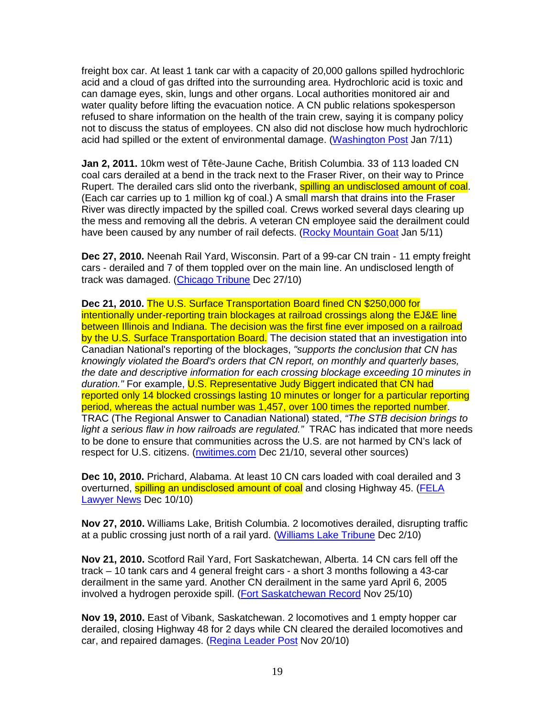freight box car. At least 1 tank car with a capacity of 20,000 gallons spilled hydrochloric acid and a cloud of gas drifted into the surrounding area. Hydrochloric acid is toxic and can damage eyes, skin, lungs and other organs. Local authorities monitored air and water quality before lifting the evacuation notice. A CN public relations spokesperson refused to share information on the health of the train crew, saying it is company policy not to discuss the status of employees. CN also did not disclose how much hydrochloric acid had spilled or the extent of environmental damage. (Washington Post Jan 7/11)

**Jan 2, 2011.** 10km west of Tête-Jaune Cache, British Columbia. 33 of 113 loaded CN coal cars derailed at a bend in the track next to the Fraser River, on their way to Prince Rupert. The derailed cars slid onto the riverbank, **spilling an undisclosed amount of coal**. (Each car carries up to 1 million kg of coal.) A small marsh that drains into the Fraser River was directly impacted by the spilled coal. Crews worked several days clearing up the mess and removing all the debris. A veteran CN employee said the derailment could have been caused by any number of rail defects. (Rocky Mountain Goat Jan 5/11)

**Dec 27, 2010.** Neenah Rail Yard, Wisconsin. Part of a 99-car CN train - 11 empty freight cars - derailed and 7 of them toppled over on the main line. An undisclosed length of track was damaged. (Chicago Tribune Dec 27/10)

**Dec 21, 2010.** The U.S. Surface Transportation Board fined CN \$250,000 for intentionally under-reporting train blockages at railroad crossings along the EJ&E line between Illinois and Indiana. The decision was the first fine ever imposed on a railroad by the U.S. Surface Transportation Board. The decision stated that an investigation into Canadian National's reporting of the blockages, "supports the conclusion that CN has knowingly violated the Board's orders that CN report, on monthly and quarterly bases, the date and descriptive information for each crossing blockage exceeding 10 minutes in duration." For example, U.S. Representative Judy Biggert indicated that CN had reported only 14 blocked crossings lasting 10 minutes or longer for a particular reporting period, whereas the actual number was 1,457, over 100 times the reported number. TRAC (The Regional Answer to Canadian National) stated, "The STB decision brings to light a serious flaw in how railroads are regulated." TRAC has indicated that more needs to be done to ensure that communities across the U.S. are not harmed by CN's lack of respect for U.S. citizens. (nwitimes.com Dec 21/10, several other sources)

**Dec 10, 2010.** Prichard, Alabama. At least 10 CN cars loaded with coal derailed and 3 overturned, spilling an undisclosed amount of coal and closing Highway 45. (FELA Lawyer News Dec 10/10)

**Nov 27, 2010.** Williams Lake, British Columbia. 2 locomotives derailed, disrupting traffic at a public crossing just north of a rail yard. (Williams Lake Tribune Dec 2/10)

**Nov 21, 2010.** Scotford Rail Yard, Fort Saskatchewan, Alberta. 14 CN cars fell off the track – 10 tank cars and 4 general freight cars - a short 3 months following a 43-car derailment in the same yard. Another CN derailment in the same yard April 6, 2005 involved a hydrogen peroxide spill. (Fort Saskatchewan Record Nov 25/10)

**Nov 19, 2010.** East of Vibank, Saskatchewan. 2 locomotives and 1 empty hopper car derailed, closing Highway 48 for 2 days while CN cleared the derailed locomotives and car, and repaired damages. (Regina Leader Post Nov 20/10)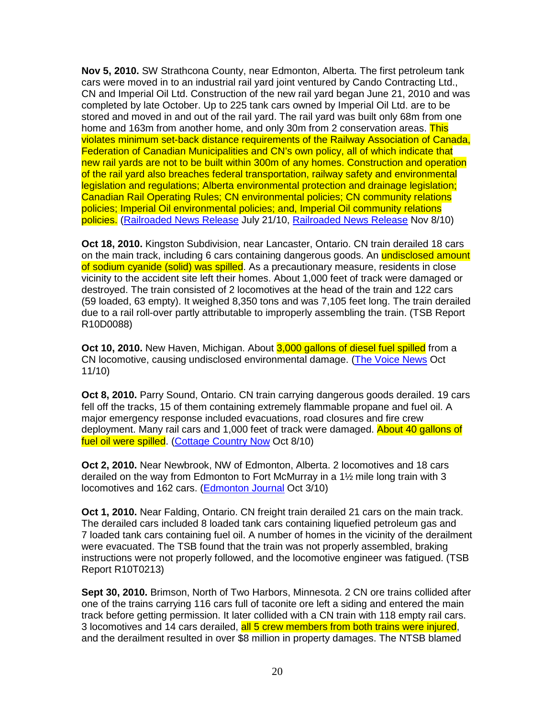**Nov 5, 2010.** SW Strathcona County, near Edmonton, Alberta. The first petroleum tank cars were moved in to an industrial rail yard joint ventured by Cando Contracting Ltd., CN and Imperial Oil Ltd. Construction of the new rail yard began June 21, 2010 and was completed by late October. Up to 225 tank cars owned by Imperial Oil Ltd. are to be stored and moved in and out of the rail yard. The rail yard was built only 68m from one home and 163m from another home, and only 30m from 2 conservation areas. This violates minimum set-back distance requirements of the Railway Association of Canada, Federation of Canadian Municipalities and CN's own policy, all of which indicate that new rail yards are not to be built within 300m of any homes. Construction and operation of the rail yard also breaches federal transportation, railway safety and environmental legislation and regulations; Alberta environmental protection and drainage legislation; Canadian Rail Operating Rules; CN environmental policies; CN community relations policies; Imperial Oil environmental policies; and, Imperial Oil community relations policies. (Railroaded News Release July 21/10, Railroaded News Release Nov 8/10)

**Oct 18, 2010.** Kingston Subdivision, near Lancaster, Ontario. CN train derailed 18 cars on the main track, including 6 cars containing dangerous goods. An undisclosed amount of sodium cyanide (solid) was spilled. As a precautionary measure, residents in close vicinity to the accident site left their homes. About 1,000 feet of track were damaged or destroyed. The train consisted of 2 locomotives at the head of the train and 122 cars (59 loaded, 63 empty). It weighed 8,350 tons and was 7,105 feet long. The train derailed due to a rail roll-over partly attributable to improperly assembling the train. (TSB Report R10D0088)

**Oct 10, 2010.** New Haven, Michigan. About 3,000 gallons of diesel fuel spilled from a CN locomotive, causing undisclosed environmental damage. (The Voice News Oct 11/10)

**Oct 8, 2010.** Parry Sound, Ontario. CN train carrying dangerous goods derailed. 19 cars fell off the tracks, 15 of them containing extremely flammable propane and fuel oil. A major emergency response included evacuations, road closures and fire crew deployment. Many rail cars and 1,000 feet of track were damaged. About 40 gallons of fuel oil were spilled. (Cottage Country Now Oct 8/10)

**Oct 2, 2010.** Near Newbrook, NW of Edmonton, Alberta. 2 locomotives and 18 cars derailed on the way from Edmonton to Fort McMurray in a 1½ mile long train with 3 locomotives and 162 cars. (**Edmonton Journal Oct 3/10**)

**Oct 1, 2010.** Near Falding, Ontario. CN freight train derailed 21 cars on the main track. The derailed cars included 8 loaded tank cars containing liquefied petroleum gas and 7 loaded tank cars containing fuel oil. A number of homes in the vicinity of the derailment were evacuated. The TSB found that the train was not properly assembled, braking instructions were not properly followed, and the locomotive engineer was fatigued. (TSB Report R10T0213)

**Sept 30, 2010.** Brimson, North of Two Harbors, Minnesota. 2 CN ore trains collided after one of the trains carrying 116 cars full of taconite ore left a siding and entered the main track before getting permission. It later collided with a CN train with 118 empty rail cars. 3 locomotives and 14 cars derailed, all 5 crew members from both trains were injured, and the derailment resulted in over \$8 million in property damages. The NTSB blamed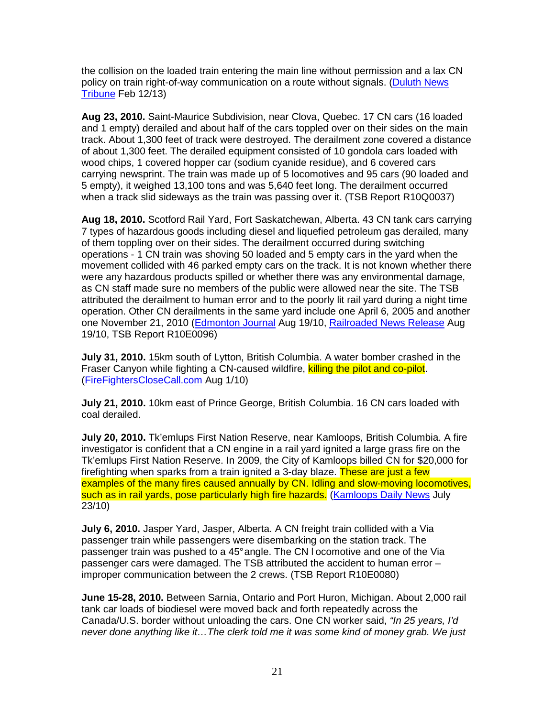the collision on the loaded train entering the main line without permission and a lax CN policy on train right-of-way communication on a route without signals. (Duluth News Tribune Feb 12/13)

**Aug 23, 2010.** Saint-Maurice Subdivision, near Clova, Quebec. 17 CN cars (16 loaded and 1 empty) derailed and about half of the cars toppled over on their sides on the main track. About 1,300 feet of track were destroyed. The derailment zone covered a distance of about 1,300 feet. The derailed equipment consisted of 10 gondola cars loaded with wood chips, 1 covered hopper car (sodium cyanide residue), and 6 covered cars carrying newsprint. The train was made up of 5 locomotives and 95 cars (90 loaded and 5 empty), it weighed 13,100 tons and was 5,640 feet long. The derailment occurred when a track slid sideways as the train was passing over it. (TSB Report R10Q0037)

**Aug 18, 2010.** Scotford Rail Yard, Fort Saskatchewan, Alberta. 43 CN tank cars carrying 7 types of hazardous goods including diesel and liquefied petroleum gas derailed, many of them toppling over on their sides. The derailment occurred during switching operations - 1 CN train was shoving 50 loaded and 5 empty cars in the yard when the movement collided with 46 parked empty cars on the track. It is not known whether there were any hazardous products spilled or whether there was any environmental damage, as CN staff made sure no members of the public were allowed near the site. The TSB attributed the derailment to human error and to the poorly lit rail yard during a night time operation. Other CN derailments in the same yard include one April 6, 2005 and another one November 21, 2010 (Edmonton Journal Aug 19/10, Railroaded News Release Aug 19/10, TSB Report R10E0096)

**July 31, 2010.** 15km south of Lytton, British Columbia. A water bomber crashed in the Fraser Canyon while fighting a CN-caused wildfire, killing the pilot and co-pilot. (FireFightersCloseCall.com Aug 1/10)

**July 21, 2010.** 10km east of Prince George, British Columbia. 16 CN cars loaded with coal derailed.

**July 20, 2010.** Tk'emlups First Nation Reserve, near Kamloops, British Columbia. A fire investigator is confident that a CN engine in a rail yard ignited a large grass fire on the Tk'emlups First Nation Reserve. In 2009, the City of Kamloops billed CN for \$20,000 for firefighting when sparks from a train ignited a 3-day blaze. These are just a few examples of the many fires caused annually by CN. Idling and slow-moving locomotives, such as in rail yards, pose particularly high fire hazards. (Kamloops Daily News July 23/10)

**July 6, 2010.** Jasper Yard, Jasper, Alberta. A CN freight train collided with a Via passenger train while passengers were disembarking on the station track. The passenger train was pushed to a 45° angle. The CN l ocomotive and one of the Via passenger cars were damaged. The TSB attributed the accident to human error – improper communication between the 2 crews. (TSB Report R10E0080)

**June 15-28, 2010.** Between Sarnia, Ontario and Port Huron, Michigan. About 2,000 rail tank car loads of biodiesel were moved back and forth repeatedly across the Canada/U.S. border without unloading the cars. One CN worker said, "In 25 years, I'd never done anything like it…The clerk told me it was some kind of money grab. We just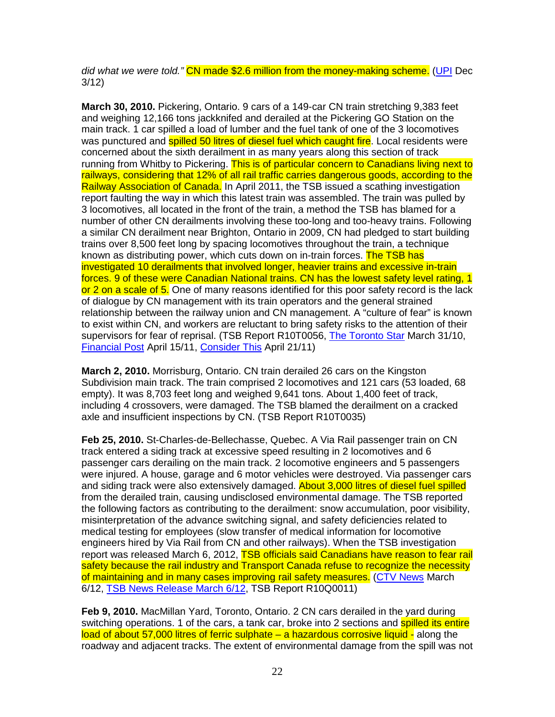did what we were told." CN made \$2.6 million from the money-making scheme. (UPI Dec 3/12)

**March 30, 2010.** Pickering, Ontario. 9 cars of a 149-car CN train stretching 9,383 feet and weighing 12,166 tons jackknifed and derailed at the Pickering GO Station on the main track. 1 car spilled a load of lumber and the fuel tank of one of the 3 locomotives was punctured and **spilled 50 litres of diesel fuel which caught fire**. Local residents were concerned about the sixth derailment in as many years along this section of track running from Whitby to Pickering. This is of particular concern to Canadians living next to railways, considering that 12% of all rail traffic carries dangerous goods, according to the Railway Association of Canada. In April 2011, the TSB issued a scathing investigation report faulting the way in which this latest train was assembled. The train was pulled by 3 locomotives, all located in the front of the train, a method the TSB has blamed for a number of other CN derailments involving these too-long and too-heavy trains. Following a similar CN derailment near Brighton, Ontario in 2009, CN had pledged to start building trains over 8,500 feet long by spacing locomotives throughout the train, a technique known as distributing power, which cuts down on in-train forces. The TSB has investigated 10 derailments that involved longer, heavier trains and excessive in-train forces. 9 of these were Canadian National trains. CN has the lowest safety level rating, 1 or 2 on a scale of 5. One of many reasons identified for this poor safety record is the lack of dialogue by CN management with its train operators and the general strained relationship between the railway union and CN management. A "culture of fear" is known to exist within CN, and workers are reluctant to bring safety risks to the attention of their supervisors for fear of reprisal. (TSB Report R10T0056, The Toronto Star March 31/10, Financial Post April 15/11, Consider This April 21/11)

**March 2, 2010.** Morrisburg, Ontario. CN train derailed 26 cars on the Kingston Subdivision main track. The train comprised 2 locomotives and 121 cars (53 loaded, 68 empty). It was 8,703 feet long and weighed 9,641 tons. About 1,400 feet of track, including 4 crossovers, were damaged. The TSB blamed the derailment on a cracked axle and insufficient inspections by CN. (TSB Report R10T0035)

**Feb 25, 2010.** St-Charles-de-Bellechasse, Quebec. A Via Rail passenger train on CN track entered a siding track at excessive speed resulting in 2 locomotives and 6 passenger cars derailing on the main track. 2 locomotive engineers and 5 passengers were injured. A house, garage and 6 motor vehicles were destroyed. Via passenger cars and siding track were also extensively damaged. About 3,000 litres of diesel fuel spilled from the derailed train, causing undisclosed environmental damage. The TSB reported the following factors as contributing to the derailment: snow accumulation, poor visibility, misinterpretation of the advance switching signal, and safety deficiencies related to medical testing for employees (slow transfer of medical information for locomotive engineers hired by Via Rail from CN and other railways). When the TSB investigation report was released March 6, 2012, TSB officials said Canadians have reason to fear rail safety because the rail industry and Transport Canada refuse to recognize the necessity of maintaining and in many cases improving rail safety measures. (CTV News March 6/12, TSB News Release March 6/12, TSB Report R10Q0011)

**Feb 9, 2010.** MacMillan Yard, Toronto, Ontario. 2 CN cars derailed in the yard during switching operations. 1 of the cars, a tank car, broke into 2 sections and spilled its entire load of about 57,000 litres of ferric sulphate – a hazardous corrosive liquid - along the roadway and adjacent tracks. The extent of environmental damage from the spill was not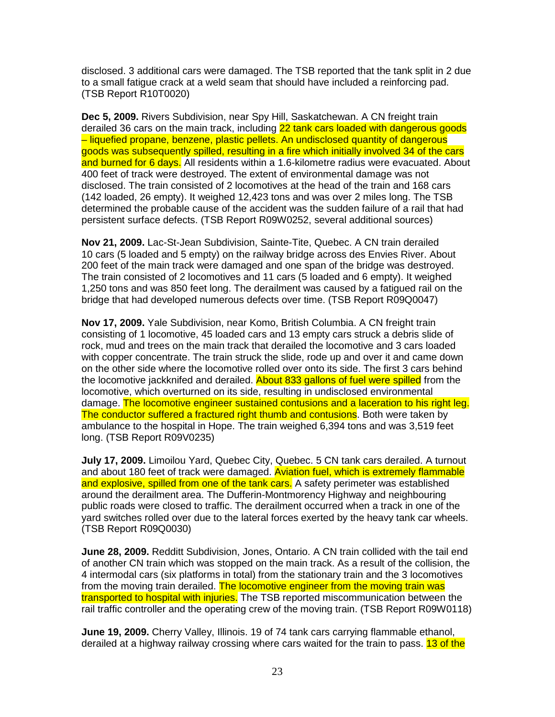disclosed. 3 additional cars were damaged. The TSB reported that the tank split in 2 due to a small fatigue crack at a weld seam that should have included a reinforcing pad. (TSB Report R10T0020)

**Dec 5, 2009.** Rivers Subdivision, near Spy Hill, Saskatchewan. A CN freight train derailed 36 cars on the main track, including 22 tank cars loaded with dangerous goods – liquefied propane, benzene, plastic pellets. An undisclosed quantity of dangerous goods was subsequently spilled, resulting in a fire which initially involved 34 of the cars and burned for 6 days. All residents within a 1.6-kilometre radius were evacuated. About 400 feet of track were destroyed. The extent of environmental damage was not disclosed. The train consisted of 2 locomotives at the head of the train and 168 cars (142 loaded, 26 empty). It weighed 12,423 tons and was over 2 miles long. The TSB determined the probable cause of the accident was the sudden failure of a rail that had persistent surface defects. (TSB Report R09W0252, several additional sources)

**Nov 21, 2009.** Lac-St-Jean Subdivision, Sainte-Tite, Quebec. A CN train derailed 10 cars (5 loaded and 5 empty) on the railway bridge across des Envies River. About 200 feet of the main track were damaged and one span of the bridge was destroyed. The train consisted of 2 locomotives and 11 cars (5 loaded and 6 empty). It weighed 1,250 tons and was 850 feet long. The derailment was caused by a fatigued rail on the bridge that had developed numerous defects over time. (TSB Report R09Q0047)

**Nov 17, 2009.** Yale Subdivision, near Komo, British Columbia. A CN freight train consisting of 1 locomotive, 45 loaded cars and 13 empty cars struck a debris slide of rock, mud and trees on the main track that derailed the locomotive and 3 cars loaded with copper concentrate. The train struck the slide, rode up and over it and came down on the other side where the locomotive rolled over onto its side. The first 3 cars behind the locomotive jackknifed and derailed. About 833 gallons of fuel were spilled from the locomotive, which overturned on its side, resulting in undisclosed environmental damage. The locomotive engineer sustained contusions and a laceration to his right leg. The conductor suffered a fractured right thumb and contusions. Both were taken by ambulance to the hospital in Hope. The train weighed 6,394 tons and was 3,519 feet long. (TSB Report R09V0235)

**July 17, 2009.** Limoilou Yard, Quebec City, Quebec. 5 CN tank cars derailed. A turnout and about 180 feet of track were damaged. Aviation fuel, which is extremely flammable and explosive, spilled from one of the tank cars. A safety perimeter was established around the derailment area. The Dufferin-Montmorency Highway and neighbouring public roads were closed to traffic. The derailment occurred when a track in one of the yard switches rolled over due to the lateral forces exerted by the heavy tank car wheels. (TSB Report R09Q0030)

**June 28, 2009.** Redditt Subdivision, Jones, Ontario. A CN train collided with the tail end of another CN train which was stopped on the main track. As a result of the collision, the 4 intermodal cars (six platforms in total) from the stationary train and the 3 locomotives from the moving train derailed. The locomotive engineer from the moving train was transported to hospital with injuries. The TSB reported miscommunication between the rail traffic controller and the operating crew of the moving train. (TSB Report R09W0118)

**June 19, 2009.** Cherry Valley, Illinois. 19 of 74 tank cars carrying flammable ethanol, derailed at a highway railway crossing where cars waited for the train to pass. 13 of the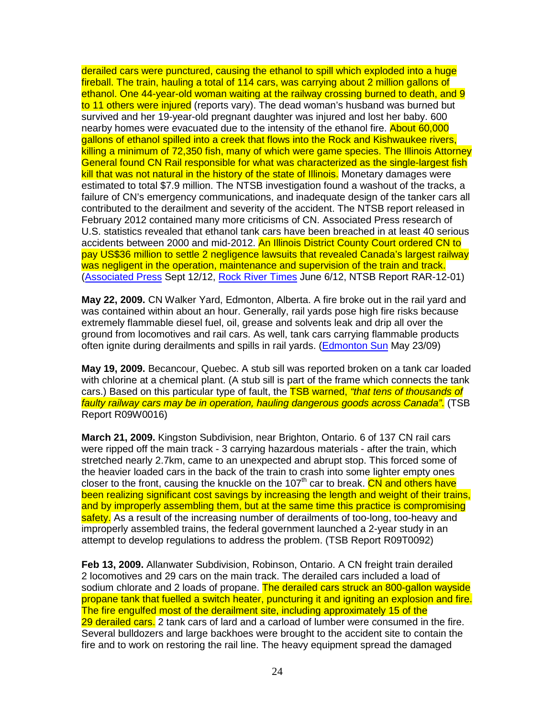derailed cars were punctured, causing the ethanol to spill which exploded into a huge fireball. The train, hauling a total of 114 cars, was carrying about 2 million gallons of ethanol. One 44-year-old woman waiting at the railway crossing burned to death, and 9 to 11 others were injured (reports vary). The dead woman's husband was burned but survived and her 19-year-old pregnant daughter was injured and lost her baby. 600 nearby homes were evacuated due to the intensity of the ethanol fire. About 60,000 gallons of ethanol spilled into a creek that flows into the Rock and Kishwaukee rivers, killing a minimum of 72,350 fish, many of which were game species. The Illinois Attorney General found CN Rail responsible for what was characterized as the single-largest fish kill that was not natural in the history of the state of Illinois. Monetary damages were estimated to total \$7.9 million. The NTSB investigation found a washout of the tracks, a failure of CN's emergency communications, and inadequate design of the tanker cars all contributed to the derailment and severity of the accident. The NTSB report released in February 2012 contained many more criticisms of CN. Associated Press research of U.S. statistics revealed that ethanol tank cars have been breached in at least 40 serious accidents between 2000 and mid-2012. An Illinois District County Court ordered CN to pay US\$36 million to settle 2 negligence lawsuits that revealed Canada's largest railway was negligent in the operation, maintenance and supervision of the train and track. (Associated Press Sept 12/12, Rock River Times June 6/12, NTSB Report RAR-12-01)

**May 22, 2009.** CN Walker Yard, Edmonton, Alberta. A fire broke out in the rail yard and was contained within about an hour. Generally, rail yards pose high fire risks because extremely flammable diesel fuel, oil, grease and solvents leak and drip all over the ground from locomotives and rail cars. As well, tank cars carrying flammable products often ignite during derailments and spills in rail yards. (Edmonton Sun May 23/09)

**May 19, 2009.** Becancour, Quebec. A stub sill was reported broken on a tank car loaded with chlorine at a chemical plant. (A stub sill is part of the frame which connects the tank cars.) Based on this particular type of fault, the TSB warned, "that tens of thousands of faulty railway cars may be in operation, hauling dangerous goods across Canada". (TSB Report R09W0016)

**March 21, 2009.** Kingston Subdivision, near Brighton, Ontario. 6 of 137 CN rail cars were ripped off the main track - 3 carrying hazardous materials - after the train, which stretched nearly 2.7km, came to an unexpected and abrupt stop. This forced some of the heavier loaded cars in the back of the train to crash into some lighter empty ones closer to the front, causing the knuckle on the 107<sup>th</sup> car to break.  $\overrightarrow{CN}$  and others have been realizing significant cost savings by increasing the length and weight of their trains, and by improperly assembling them, but at the same time this practice is compromising safety. As a result of the increasing number of derailments of too-long, too-heavy and improperly assembled trains, the federal government launched a 2-year study in an attempt to develop regulations to address the problem. (TSB Report R09T0092)

**Feb 13, 2009.** Allanwater Subdivision, Robinson, Ontario. A CN freight train derailed 2 locomotives and 29 cars on the main track. The derailed cars included a load of sodium chlorate and 2 loads of propane. The derailed cars struck an 800-gallon wayside propane tank that fuelled a switch heater, puncturing it and igniting an explosion and fire. The fire engulfed most of the derailment site, including approximately 15 of the 29 derailed cars. 2 tank cars of lard and a carload of lumber were consumed in the fire. Several bulldozers and large backhoes were brought to the accident site to contain the fire and to work on restoring the rail line. The heavy equipment spread the damaged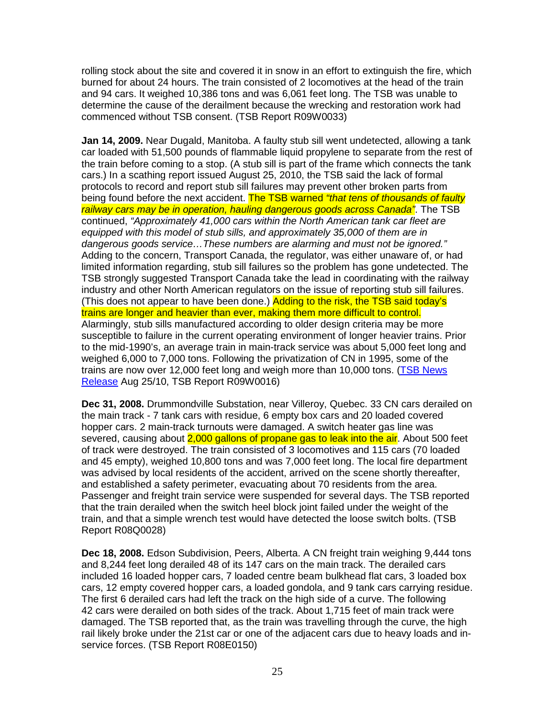rolling stock about the site and covered it in snow in an effort to extinguish the fire, which burned for about 24 hours. The train consisted of 2 locomotives at the head of the train and 94 cars. It weighed 10,386 tons and was 6,061 feet long. The TSB was unable to determine the cause of the derailment because the wrecking and restoration work had commenced without TSB consent. (TSB Report R09W0033)

**Jan 14, 2009.** Near Dugald, Manitoba. A faulty stub sill went undetected, allowing a tank car loaded with 51,500 pounds of flammable liquid propylene to separate from the rest of the train before coming to a stop. (A stub sill is part of the frame which connects the tank cars.) In a scathing report issued August 25, 2010, the TSB said the lack of formal protocols to record and report stub sill failures may prevent other broken parts from being found before the next accident. The TSB warned "that tens of thousands of faulty railway cars may be in operation, hauling dangerous goods across Canada". The TSB continued, "Approximately 41,000 cars within the North American tank car fleet are equipped with this model of stub sills, and approximately 35,000 of them are in dangerous goods service…These numbers are alarming and must not be ignored." Adding to the concern, Transport Canada, the regulator, was either unaware of, or had limited information regarding, stub sill failures so the problem has gone undetected. The TSB strongly suggested Transport Canada take the lead in coordinating with the railway industry and other North American regulators on the issue of reporting stub sill failures. (This does not appear to have been done.) Adding to the risk, the TSB said today's trains are longer and heavier than ever, making them more difficult to control. Alarmingly, stub sills manufactured according to older design criteria may be more susceptible to failure in the current operating environment of longer heavier trains. Prior to the mid-1990's, an average train in main-track service was about 5,000 feet long and weighed 6,000 to 7,000 tons. Following the privatization of CN in 1995, some of the trains are now over 12,000 feet long and weigh more than 10,000 tons. (TSB News Release Aug 25/10, TSB Report R09W0016)

**Dec 31, 2008.** Drummondville Substation, near Villeroy, Quebec. 33 CN cars derailed on the main track - 7 tank cars with residue, 6 empty box cars and 20 loaded covered hopper cars. 2 main-track turnouts were damaged. A switch heater gas line was severed, causing about 2,000 gallons of propane gas to leak into the air. About 500 feet of track were destroyed. The train consisted of 3 locomotives and 115 cars (70 loaded and 45 empty), weighed 10,800 tons and was 7,000 feet long. The local fire department was advised by local residents of the accident, arrived on the scene shortly thereafter, and established a safety perimeter, evacuating about 70 residents from the area. Passenger and freight train service were suspended for several days. The TSB reported that the train derailed when the switch heel block joint failed under the weight of the train, and that a simple wrench test would have detected the loose switch bolts. (TSB Report R08Q0028)

**Dec 18, 2008.** Edson Subdivision, Peers, Alberta. A CN freight train weighing 9,444 tons and 8,244 feet long derailed 48 of its 147 cars on the main track. The derailed cars included 16 loaded hopper cars, 7 loaded centre beam bulkhead flat cars, 3 loaded box cars, 12 empty covered hopper cars, a loaded gondola, and 9 tank cars carrying residue. The first 6 derailed cars had left the track on the high side of a curve. The following 42 cars were derailed on both sides of the track. About 1,715 feet of main track were damaged. The TSB reported that, as the train was travelling through the curve, the high rail likely broke under the 21st car or one of the adjacent cars due to heavy loads and inservice forces. (TSB Report R08E0150)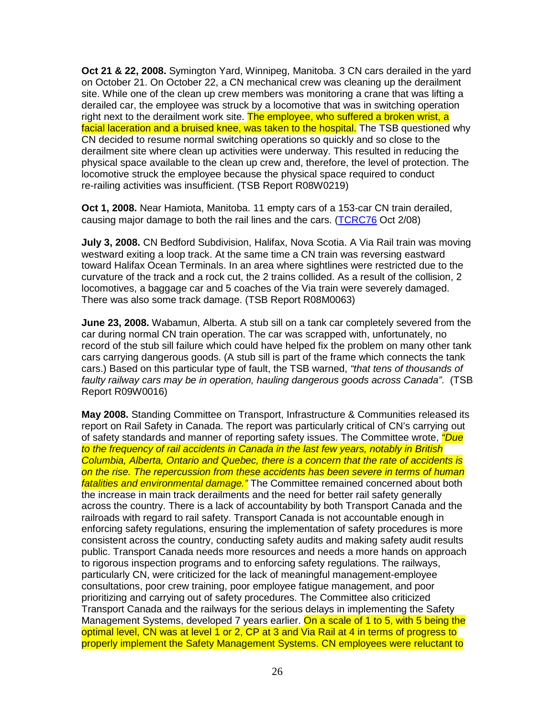**Oct 21 & 22, 2008.** Symington Yard, Winnipeg, Manitoba. 3 CN cars derailed in the yard on October 21. On October 22, a CN mechanical crew was cleaning up the derailment site. While one of the clean up crew members was monitoring a crane that was lifting a derailed car, the employee was struck by a locomotive that was in switching operation right next to the derailment work site. The employee, who suffered a broken wrist, a facial laceration and a bruised knee, was taken to the hospital. The TSB questioned why CN decided to resume normal switching operations so quickly and so close to the derailment site where clean up activities were underway. This resulted in reducing the physical space available to the clean up crew and, therefore, the level of protection. The locomotive struck the employee because the physical space required to conduct re-railing activities was insufficient. (TSB Report R08W0219)

**Oct 1, 2008.** Near Hamiota, Manitoba. 11 empty cars of a 153-car CN train derailed, causing major damage to both the rail lines and the cars. (TCRC76 Oct 2/08)

**July 3, 2008.** CN Bedford Subdivision, Halifax, Nova Scotia. A Via Rail train was moving westward exiting a loop track. At the same time a CN train was reversing eastward toward Halifax Ocean Terminals. In an area where sightlines were restricted due to the curvature of the track and a rock cut, the 2 trains collided. As a result of the collision, 2 locomotives, a baggage car and 5 coaches of the Via train were severely damaged. There was also some track damage. (TSB Report R08M0063)

**June 23, 2008.** Wabamun, Alberta. A stub sill on a tank car completely severed from the car during normal CN train operation. The car was scrapped with, unfortunately, no record of the stub sill failure which could have helped fix the problem on many other tank cars carrying dangerous goods. (A stub sill is part of the frame which connects the tank cars.) Based on this particular type of fault, the TSB warned, "that tens of thousands of faulty railway cars may be in operation, hauling dangerous goods across Canada". (TSB Report R09W0016)

**May 2008.** Standing Committee on Transport, Infrastructure & Communities released its report on Rail Safety in Canada. The report was particularly critical of CN's carrying out of safety standards and manner of reporting safety issues. The Committee wrote, *"Due* to the frequency of rail accidents in Canada in the last few years, notably in British Columbia, Alberta, Ontario and Quebec, there is a concern that the rate of accidents is on the rise. The repercussion from these accidents has been severe in terms of human fatalities and environmental damage." The Committee remained concerned about both the increase in main track derailments and the need for better rail safety generally across the country. There is a lack of accountability by both Transport Canada and the railroads with regard to rail safety. Transport Canada is not accountable enough in enforcing safety regulations, ensuring the implementation of safety procedures is more consistent across the country, conducting safety audits and making safety audit results public. Transport Canada needs more resources and needs a more hands on approach to rigorous inspection programs and to enforcing safety regulations. The railways, particularly CN, were criticized for the lack of meaningful management-employee consultations, poor crew training, poor employee fatigue management, and poor prioritizing and carrying out of safety procedures. The Committee also criticized Transport Canada and the railways for the serious delays in implementing the Safety Management Systems, developed 7 years earlier. On a scale of 1 to 5, with 5 being the optimal level, CN was at level 1 or 2, CP at 3 and Via Rail at 4 in terms of progress to properly implement the Safety Management Systems. CN employees were reluctant to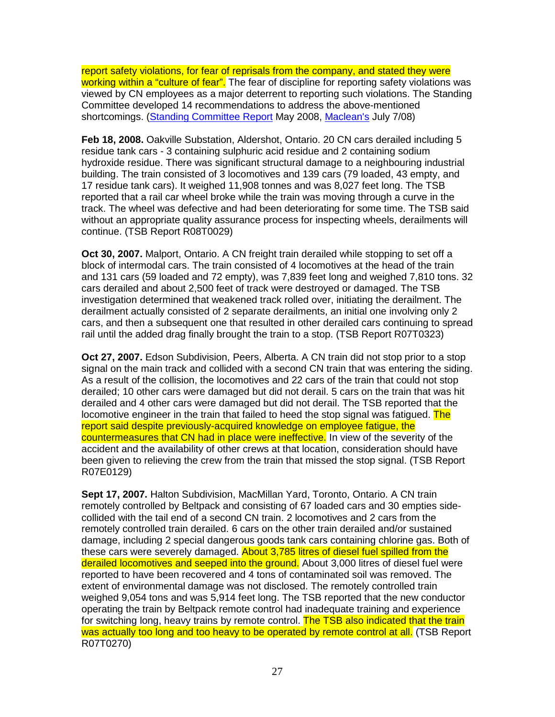report safety violations, for fear of reprisals from the company, and stated they were working within a "culture of fear". The fear of discipline for reporting safety violations was viewed by CN employees as a major deterrent to reporting such violations. The Standing Committee developed 14 recommendations to address the above-mentioned shortcomings. (Standing Committee Report May 2008, Maclean's July 7/08)

**Feb 18, 2008.** Oakville Substation, Aldershot, Ontario. 20 CN cars derailed including 5 residue tank cars - 3 containing sulphuric acid residue and 2 containing sodium hydroxide residue. There was significant structural damage to a neighbouring industrial building. The train consisted of 3 locomotives and 139 cars (79 loaded, 43 empty, and 17 residue tank cars). It weighed 11,908 tonnes and was 8,027 feet long. The TSB reported that a rail car wheel broke while the train was moving through a curve in the track. The wheel was defective and had been deteriorating for some time. The TSB said without an appropriate quality assurance process for inspecting wheels, derailments will continue. (TSB Report R08T0029)

**Oct 30, 2007.** Malport, Ontario. A CN freight train derailed while stopping to set off a block of intermodal cars. The train consisted of 4 locomotives at the head of the train and 131 cars (59 loaded and 72 empty), was 7,839 feet long and weighed 7,810 tons. 32 cars derailed and about 2,500 feet of track were destroyed or damaged. The TSB investigation determined that weakened track rolled over, initiating the derailment. The derailment actually consisted of 2 separate derailments, an initial one involving only 2 cars, and then a subsequent one that resulted in other derailed cars continuing to spread rail until the added drag finally brought the train to a stop. (TSB Report R07T0323)

**Oct 27, 2007.** Edson Subdivision, Peers, Alberta. A CN train did not stop prior to a stop signal on the main track and collided with a second CN train that was entering the siding. As a result of the collision, the locomotives and 22 cars of the train that could not stop derailed; 10 other cars were damaged but did not derail. 5 cars on the train that was hit derailed and 4 other cars were damaged but did not derail. The TSB reported that the locomotive engineer in the train that failed to heed the stop signal was fatigued. The report said despite previously-acquired knowledge on employee fatigue, the countermeasures that CN had in place were ineffective. In view of the severity of the accident and the availability of other crews at that location, consideration should have been given to relieving the crew from the train that missed the stop signal. (TSB Report R07E0129)

**Sept 17, 2007.** Halton Subdivision, MacMillan Yard, Toronto, Ontario. A CN train remotely controlled by Beltpack and consisting of 67 loaded cars and 30 empties sidecollided with the tail end of a second CN train. 2 locomotives and 2 cars from the remotely controlled train derailed. 6 cars on the other train derailed and/or sustained damage, including 2 special dangerous goods tank cars containing chlorine gas. Both of these cars were severely damaged. About 3,785 litres of diesel fuel spilled from the derailed locomotives and seeped into the ground. About 3,000 litres of diesel fuel were reported to have been recovered and 4 tons of contaminated soil was removed. The extent of environmental damage was not disclosed. The remotely controlled train weighed 9,054 tons and was 5,914 feet long. The TSB reported that the new conductor operating the train by Beltpack remote control had inadequate training and experience for switching long, heavy trains by remote control. The TSB also indicated that the train was actually too long and too heavy to be operated by remote control at all. (TSB Report R07T0270)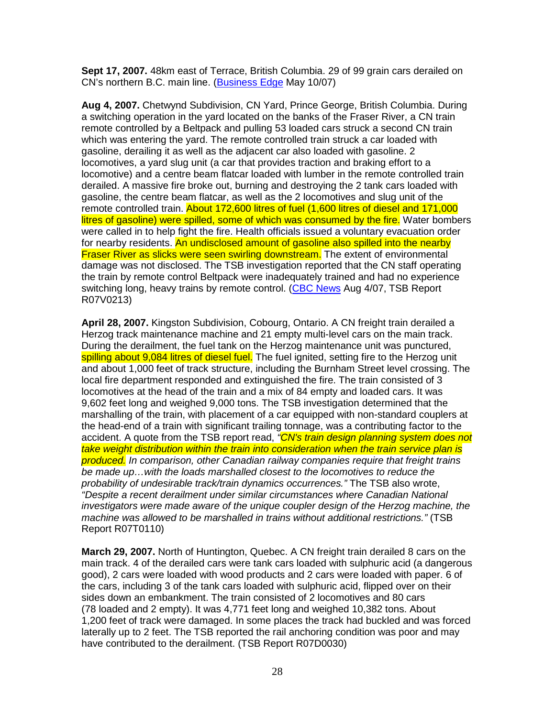**Sept 17, 2007.** 48km east of Terrace, British Columbia. 29 of 99 grain cars derailed on CN's northern B.C. main line. (Business Edge May 10/07)

**Aug 4, 2007.** Chetwynd Subdivision, CN Yard, Prince George, British Columbia. During a switching operation in the yard located on the banks of the Fraser River, a CN train remote controlled by a Beltpack and pulling 53 loaded cars struck a second CN train which was entering the yard. The remote controlled train struck a car loaded with gasoline, derailing it as well as the adjacent car also loaded with gasoline. 2 locomotives, a yard slug unit (a car that provides traction and braking effort to a locomotive) and a centre beam flatcar loaded with lumber in the remote controlled train derailed. A massive fire broke out, burning and destroying the 2 tank cars loaded with gasoline, the centre beam flatcar, as well as the 2 locomotives and slug unit of the remote controlled train. About 172,600 litres of fuel (1,600 litres of diesel and 171,000 litres of gasoline) were spilled, some of which was consumed by the fire. Water bombers were called in to help fight the fire. Health officials issued a voluntary evacuation order for nearby residents. An undisclosed amount of gasoline also spilled into the nearby **Fraser River as slicks were seen swirling downstream.** The extent of environmental damage was not disclosed. The TSB investigation reported that the CN staff operating the train by remote control Beltpack were inadequately trained and had no experience switching long, heavy trains by remote control. (CBC News Aug 4/07, TSB Report R07V0213)

**April 28, 2007.** Kingston Subdivision, Cobourg, Ontario. A CN freight train derailed a Herzog track maintenance machine and 21 empty multi-level cars on the main track. During the derailment, the fuel tank on the Herzog maintenance unit was punctured, spilling about 9,084 litres of diesel fuel. The fuel ignited, setting fire to the Herzog unit and about 1,000 feet of track structure, including the Burnham Street level crossing. The local fire department responded and extinguished the fire. The train consisted of 3 locomotives at the head of the train and a mix of 84 empty and loaded cars. It was 9,602 feet long and weighed 9,000 tons. The TSB investigation determined that the marshalling of the train, with placement of a car equipped with non-standard couplers at the head-end of a train with significant trailing tonnage, was a contributing factor to the accident. A quote from the TSB report read, "CN's train design planning system does not take weight distribution within the train into consideration when the train service plan is produced. In comparison, other Canadian railway companies require that freight trains be made up…with the loads marshalled closest to the locomotives to reduce the probability of undesirable track/train dynamics occurrences." The TSB also wrote, "Despite a recent derailment under similar circumstances where Canadian National investigators were made aware of the unique coupler design of the Herzog machine, the machine was allowed to be marshalled in trains without additional restrictions." (TSB Report R07T0110)

**March 29, 2007.** North of Huntington, Quebec. A CN freight train derailed 8 cars on the main track. 4 of the derailed cars were tank cars loaded with sulphuric acid (a dangerous good), 2 cars were loaded with wood products and 2 cars were loaded with paper. 6 of the cars, including 3 of the tank cars loaded with sulphuric acid, flipped over on their sides down an embankment. The train consisted of 2 locomotives and 80 cars (78 loaded and 2 empty). It was 4,771 feet long and weighed 10,382 tons. About 1,200 feet of track were damaged. In some places the track had buckled and was forced laterally up to 2 feet. The TSB reported the rail anchoring condition was poor and may have contributed to the derailment. (TSB Report R07D0030)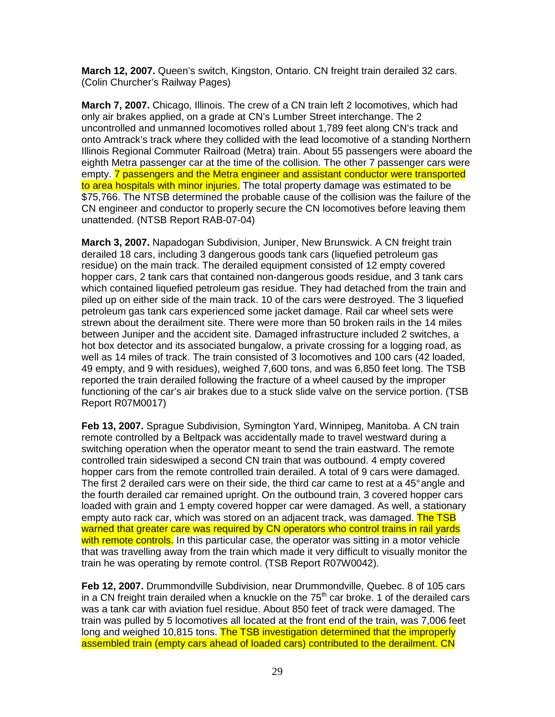**March 12, 2007.** Queen's switch, Kingston, Ontario. CN freight train derailed 32 cars. (Colin Churcher's Railway Pages)

**March 7, 2007.** Chicago, Illinois. The crew of a CN train left 2 locomotives, which had only air brakes applied, on a grade at CN's Lumber Street interchange. The 2 uncontrolled and unmanned locomotives rolled about 1,789 feet along CN's track and onto Amtrack's track where they collided with the lead locomotive of a standing Northern Illinois Regional Commuter Railroad (Metra) train. About 55 passengers were aboard the eighth Metra passenger car at the time of the collision. The other 7 passenger cars were empty. 7 passengers and the Metra engineer and assistant conductor were transported to area hospitals with minor injuries. The total property damage was estimated to be \$75,766. The NTSB determined the probable cause of the collision was the failure of the CN engineer and conductor to properly secure the CN locomotives before leaving them unattended. (NTSB Report RAB-07-04)

**March 3, 2007.** Napadogan Subdivision, Juniper, New Brunswick. A CN freight train derailed 18 cars, including 3 dangerous goods tank cars (liquefied petroleum gas residue) on the main track. The derailed equipment consisted of 12 empty covered hopper cars, 2 tank cars that contained non-dangerous goods residue, and 3 tank cars which contained liquefied petroleum gas residue. They had detached from the train and piled up on either side of the main track. 10 of the cars were destroyed. The 3 liquefied petroleum gas tank cars experienced some jacket damage. Rail car wheel sets were strewn about the derailment site. There were more than 50 broken rails in the 14 miles between Juniper and the accident site. Damaged infrastructure included 2 switches, a hot box detector and its associated bungalow, a private crossing for a logging road, as well as 14 miles of track. The train consisted of 3 locomotives and 100 cars (42 loaded, 49 empty, and 9 with residues), weighed 7,600 tons, and was 6,850 feet long. The TSB reported the train derailed following the fracture of a wheel caused by the improper functioning of the car's air brakes due to a stuck slide valve on the service portion. (TSB Report R07M0017)

**Feb 13, 2007.** Sprague Subdivision, Symington Yard, Winnipeg, Manitoba. A CN train remote controlled by a Beltpack was accidentally made to travel westward during a switching operation when the operator meant to send the train eastward. The remote controlled train sideswiped a second CN train that was outbound. 4 empty covered hopper cars from the remote controlled train derailed. A total of 9 cars were damaged. The first 2 derailed cars were on their side, the third car came to rest at a 45° angle and the fourth derailed car remained upright. On the outbound train, 3 covered hopper cars loaded with grain and 1 empty covered hopper car were damaged. As well, a stationary empty auto rack car, which was stored on an adiacent track, was damaged. The TSB warned that greater care was required by CN operators who control trains in rail yards with remote controls. In this particular case, the operator was sitting in a motor vehicle that was travelling away from the train which made it very difficult to visually monitor the train he was operating by remote control. (TSB Report R07W0042).

**Feb 12, 2007.** Drummondville Subdivision, near Drummondville, Quebec. 8 of 105 cars in a CN freight train derailed when a knuckle on the  $75<sup>th</sup>$  car broke. 1 of the derailed cars was a tank car with aviation fuel residue. About 850 feet of track were damaged. The train was pulled by 5 locomotives all located at the front end of the train, was 7,006 feet long and weighed 10,815 tons. The TSB investigation determined that the improperly assembled train (empty cars ahead of loaded cars) contributed to the derailment. CN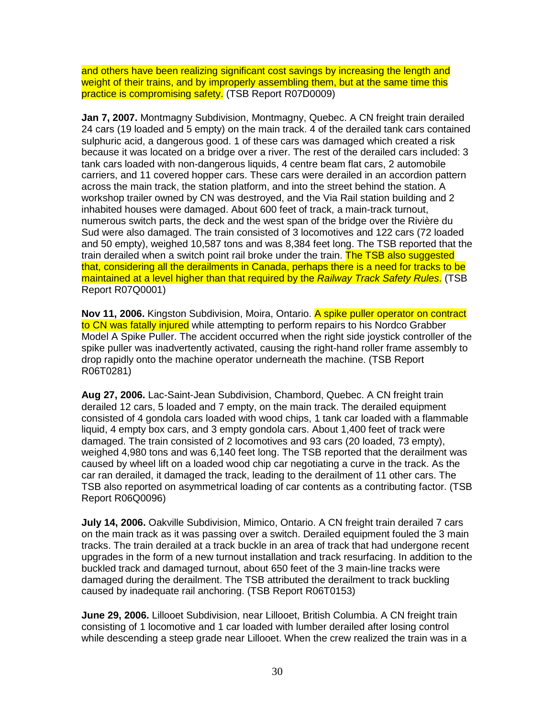and others have been realizing significant cost savings by increasing the length and weight of their trains, and by improperly assembling them, but at the same time this practice is compromising safety. (TSB Report R07D0009)

**Jan 7, 2007.** Montmagny Subdivision, Montmagny, Quebec. A CN freight train derailed 24 cars (19 loaded and 5 empty) on the main track. 4 of the derailed tank cars contained sulphuric acid, a dangerous good. 1 of these cars was damaged which created a risk because it was located on a bridge over a river. The rest of the derailed cars included: 3 tank cars loaded with non-dangerous liquids, 4 centre beam flat cars, 2 automobile carriers, and 11 covered hopper cars. These cars were derailed in an accordion pattern across the main track, the station platform, and into the street behind the station. A workshop trailer owned by CN was destroyed, and the Via Rail station building and 2 inhabited houses were damaged. About 600 feet of track, a main-track turnout, numerous switch parts, the deck and the west span of the bridge over the Rivière du Sud were also damaged. The train consisted of 3 locomotives and 122 cars (72 loaded and 50 empty), weighed 10,587 tons and was 8,384 feet long. The TSB reported that the train derailed when a switch point rail broke under the train. The TSB also suggested that, considering all the derailments in Canada, perhaps there is a need for tracks to be maintained at a level higher than that required by the Railway Track Safety Rules. (TSB Report R07Q0001)

**Nov 11, 2006.** Kingston Subdivision, Moira, Ontario. A spike puller operator on contract to CN was fatally injured while attempting to perform repairs to his Nordco Grabber Model A Spike Puller. The accident occurred when the right side joystick controller of the spike puller was inadvertently activated, causing the right-hand roller frame assembly to drop rapidly onto the machine operator underneath the machine. (TSB Report R06T0281)

**Aug 27, 2006.** Lac-Saint-Jean Subdivision, Chambord, Quebec. A CN freight train derailed 12 cars, 5 loaded and 7 empty, on the main track. The derailed equipment consisted of 4 gondola cars loaded with wood chips, 1 tank car loaded with a flammable liquid, 4 empty box cars, and 3 empty gondola cars. About 1,400 feet of track were damaged. The train consisted of 2 locomotives and 93 cars (20 loaded, 73 empty), weighed 4,980 tons and was 6,140 feet long. The TSB reported that the derailment was caused by wheel lift on a loaded wood chip car negotiating a curve in the track. As the car ran derailed, it damaged the track, leading to the derailment of 11 other cars. The TSB also reported on asymmetrical loading of car contents as a contributing factor. (TSB Report R06Q0096)

**July 14, 2006.** Oakville Subdivision, Mimico, Ontario. A CN freight train derailed 7 cars on the main track as it was passing over a switch. Derailed equipment fouled the 3 main tracks. The train derailed at a track buckle in an area of track that had undergone recent upgrades in the form of a new turnout installation and track resurfacing. In addition to the buckled track and damaged turnout, about 650 feet of the 3 main-line tracks were damaged during the derailment. The TSB attributed the derailment to track buckling caused by inadequate rail anchoring. (TSB Report R06T0153)

**June 29, 2006.** Lillooet Subdivision, near Lillooet, British Columbia. A CN freight train consisting of 1 locomotive and 1 car loaded with lumber derailed after losing control while descending a steep grade near Lillooet. When the crew realized the train was in a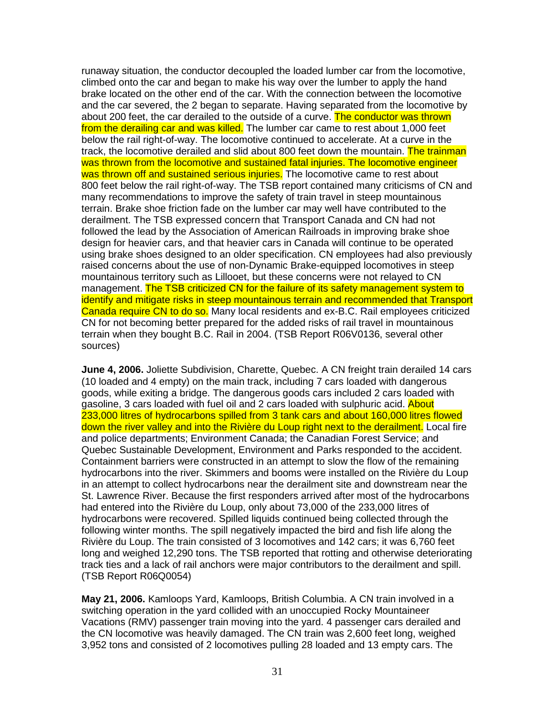runaway situation, the conductor decoupled the loaded lumber car from the locomotive, climbed onto the car and began to make his way over the lumber to apply the hand brake located on the other end of the car. With the connection between the locomotive and the car severed, the 2 began to separate. Having separated from the locomotive by about 200 feet, the car derailed to the outside of a curve. The conductor was thrown from the derailing car and was killed. The lumber car came to rest about 1,000 feet below the rail right-of-way. The locomotive continued to accelerate. At a curve in the track, the locomotive derailed and slid about 800 feet down the mountain. The trainman was thrown from the locomotive and sustained fatal injuries. The locomotive engineer was thrown off and sustained serious injuries. The locomotive came to rest about 800 feet below the rail right-of-way. The TSB report contained many criticisms of CN and many recommendations to improve the safety of train travel in steep mountainous terrain. Brake shoe friction fade on the lumber car may well have contributed to the derailment. The TSB expressed concern that Transport Canada and CN had not followed the lead by the Association of American Railroads in improving brake shoe design for heavier cars, and that heavier cars in Canada will continue to be operated using brake shoes designed to an older specification. CN employees had also previously raised concerns about the use of non-Dynamic Brake-equipped locomotives in steep mountainous territory such as Lillooet, but these concerns were not relayed to CN management. The TSB criticized CN for the failure of its safety management system to identify and mitigate risks in steep mountainous terrain and recommended that Transport Canada require CN to do so. Many local residents and ex-B.C. Rail employees criticized CN for not becoming better prepared for the added risks of rail travel in mountainous terrain when they bought B.C. Rail in 2004. (TSB Report R06V0136, several other sources)

**June 4, 2006.** Joliette Subdivision, Charette, Quebec. A CN freight train derailed 14 cars (10 loaded and 4 empty) on the main track, including 7 cars loaded with dangerous goods, while exiting a bridge. The dangerous goods cars included 2 cars loaded with gasoline, 3 cars loaded with fuel oil and 2 cars loaded with sulphuric acid. About 233,000 litres of hydrocarbons spilled from 3 tank cars and about 160,000 litres flowed down the river valley and into the Rivière du Loup right next to the derailment. Local fire and police departments; Environment Canada; the Canadian Forest Service; and Quebec Sustainable Development, Environment and Parks responded to the accident. Containment barriers were constructed in an attempt to slow the flow of the remaining hydrocarbons into the river. Skimmers and booms were installed on the Rivière du Loup in an attempt to collect hydrocarbons near the derailment site and downstream near the St. Lawrence River. Because the first responders arrived after most of the hydrocarbons had entered into the Rivière du Loup, only about 73,000 of the 233,000 litres of hydrocarbons were recovered. Spilled liquids continued being collected through the following winter months. The spill negatively impacted the bird and fish life along the Rivière du Loup. The train consisted of 3 locomotives and 142 cars; it was 6,760 feet long and weighed 12,290 tons. The TSB reported that rotting and otherwise deteriorating track ties and a lack of rail anchors were major contributors to the derailment and spill. (TSB Report R06Q0054)

**May 21, 2006.** Kamloops Yard, Kamloops, British Columbia. A CN train involved in a switching operation in the yard collided with an unoccupied Rocky Mountaineer Vacations (RMV) passenger train moving into the yard. 4 passenger cars derailed and the CN locomotive was heavily damaged. The CN train was 2,600 feet long, weighed 3,952 tons and consisted of 2 locomotives pulling 28 loaded and 13 empty cars. The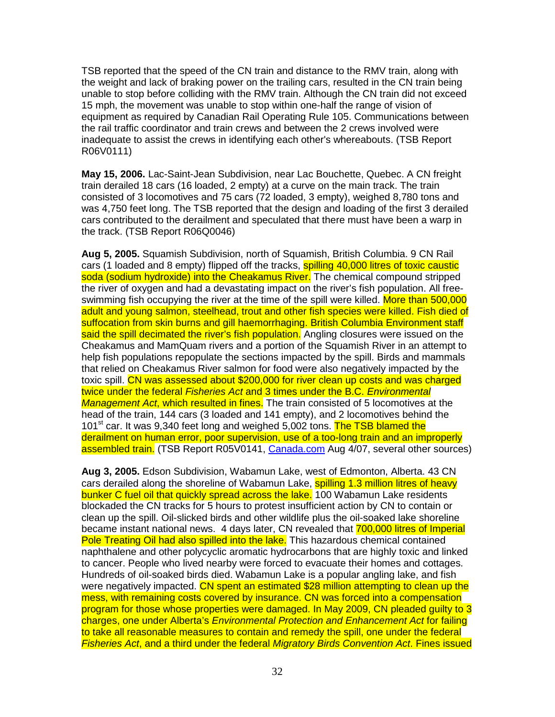TSB reported that the speed of the CN train and distance to the RMV train, along with the weight and lack of braking power on the trailing cars, resulted in the CN train being unable to stop before colliding with the RMV train. Although the CN train did not exceed 15 mph, the movement was unable to stop within one-half the range of vision of equipment as required by Canadian Rail Operating Rule 105. Communications between the rail traffic coordinator and train crews and between the 2 crews involved were inadequate to assist the crews in identifying each other's whereabouts. (TSB Report R06V0111)

**May 15, 2006.** Lac-Saint-Jean Subdivision, near Lac Bouchette, Quebec. A CN freight train derailed 18 cars (16 loaded, 2 empty) at a curve on the main track. The train consisted of 3 locomotives and 75 cars (72 loaded, 3 empty), weighed 8,780 tons and was 4,750 feet long. The TSB reported that the design and loading of the first 3 derailed cars contributed to the derailment and speculated that there must have been a warp in the track. (TSB Report R06Q0046)

**Aug 5, 2005.** Squamish Subdivision, north of Squamish, British Columbia. 9 CN Rail cars (1 loaded and 8 empty) flipped off the tracks, **spilling 40,000 litres of toxic caustic** soda (sodium hydroxide) into the Cheakamus River. The chemical compound stripped the river of oxygen and had a devastating impact on the river's fish population. All freeswimming fish occupying the river at the time of the spill were killed. More than 500,000 adult and young salmon, steelhead, trout and other fish species were killed. Fish died of suffocation from skin burns and gill haemorrhaging. British Columbia Environment staff said the spill decimated the river's fish population. Angling closures were issued on the Cheakamus and MamQuam rivers and a portion of the Squamish River in an attempt to help fish populations repopulate the sections impacted by the spill. Birds and mammals that relied on Cheakamus River salmon for food were also negatively impacted by the toxic spill. CN was assessed about \$200,000 for river clean up costs and was charged twice under the federal *Fisheries Act* and 3 times under the B.C. *Environmental* Management Act, which resulted in fines. The train consisted of 5 locomotives at the head of the train, 144 cars (3 loaded and 141 empty), and 2 locomotives behind the 101<sup>st</sup> car. It was 9,340 feet long and weighed 5,002 tons. The TSB blamed the derailment on human error, poor supervision, use of a too-long train and an improperly assembled train. (TSB Report R05V0141, Canada.com Aug 4/07, several other sources)

**Aug 3, 2005.** Edson Subdivision, Wabamun Lake, west of Edmonton, Alberta. 43 CN cars derailed along the shoreline of Wabamun Lake, spilling 1.3 million litres of heavy bunker C fuel oil that quickly spread across the lake. 100 Wabamun Lake residents blockaded the CN tracks for 5 hours to protest insufficient action by CN to contain or clean up the spill. Oil-slicked birds and other wildlife plus the oil-soaked lake shoreline became instant national news. 4 days later, CN revealed that 700,000 litres of Imperial Pole Treating Oil had also spilled into the lake. This hazardous chemical contained naphthalene and other polycyclic aromatic hydrocarbons that are highly toxic and linked to cancer. People who lived nearby were forced to evacuate their homes and cottages. Hundreds of oil-soaked birds died. Wabamun Lake is a popular angling lake, and fish were negatively impacted. CN spent an estimated \$28 million attempting to clean up the mess, with remaining costs covered by insurance. CN was forced into a compensation program for those whose properties were damaged. In May 2009, CN pleaded guilty to 3 charges, one under Alberta's Environmental Protection and Enhancement Act for failing to take all reasonable measures to contain and remedy the spill, one under the federal Fisheries Act, and a third under the federal Migratory Birds Convention Act. Fines issued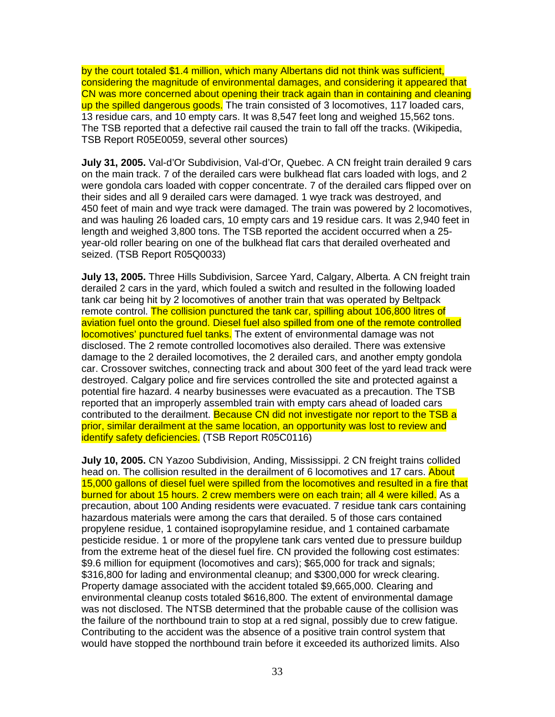by the court totaled \$1.4 million, which many Albertans did not think was sufficient, considering the magnitude of environmental damages, and considering it appeared that CN was more concerned about opening their track again than in containing and cleaning up the spilled dangerous goods. The train consisted of 3 locomotives, 117 loaded cars, 13 residue cars, and 10 empty cars. It was 8,547 feet long and weighed 15,562 tons. The TSB reported that a defective rail caused the train to fall off the tracks. (Wikipedia, TSB Report R05E0059, several other sources)

**July 31, 2005.** Val-d'Or Subdivision, Val-d'Or, Quebec. A CN freight train derailed 9 cars on the main track. 7 of the derailed cars were bulkhead flat cars loaded with logs, and 2 were gondola cars loaded with copper concentrate. 7 of the derailed cars flipped over on their sides and all 9 derailed cars were damaged. 1 wye track was destroyed, and 450 feet of main and wye track were damaged. The train was powered by 2 locomotives, and was hauling 26 loaded cars, 10 empty cars and 19 residue cars. It was 2,940 feet in length and weighed 3,800 tons. The TSB reported the accident occurred when a 25 year-old roller bearing on one of the bulkhead flat cars that derailed overheated and seized. (TSB Report R05Q0033)

**July 13, 2005.** Three Hills Subdivision, Sarcee Yard, Calgary, Alberta. A CN freight train derailed 2 cars in the yard, which fouled a switch and resulted in the following loaded tank car being hit by 2 locomotives of another train that was operated by Beltpack remote control. The collision punctured the tank car, spilling about 106,800 litres of aviation fuel onto the ground. Diesel fuel also spilled from one of the remote controlled locomotives' punctured fuel tanks. The extent of environmental damage was not disclosed. The 2 remote controlled locomotives also derailed. There was extensive damage to the 2 derailed locomotives, the 2 derailed cars, and another empty gondola car. Crossover switches, connecting track and about 300 feet of the yard lead track were destroyed. Calgary police and fire services controlled the site and protected against a potential fire hazard. 4 nearby businesses were evacuated as a precaution. The TSB reported that an improperly assembled train with empty cars ahead of loaded cars contributed to the derailment. Because CN did not investigate nor report to the TSB a prior, similar derailment at the same location, an opportunity was lost to review and identify safety deficiencies. (TSB Report R05C0116)

**July 10, 2005.** CN Yazoo Subdivision, Anding, Mississippi. 2 CN freight trains collided head on. The collision resulted in the derailment of 6 locomotives and 17 cars. About 15,000 gallons of diesel fuel were spilled from the locomotives and resulted in a fire that burned for about 15 hours. 2 crew members were on each train; all 4 were killed. As a precaution, about 100 Anding residents were evacuated. 7 residue tank cars containing hazardous materials were among the cars that derailed. 5 of those cars contained propylene residue, 1 contained isopropylamine residue, and 1 contained carbamate pesticide residue. 1 or more of the propylene tank cars vented due to pressure buildup from the extreme heat of the diesel fuel fire. CN provided the following cost estimates: \$9.6 million for equipment (locomotives and cars); \$65,000 for track and signals; \$316,800 for lading and environmental cleanup; and \$300,000 for wreck clearing. Property damage associated with the accident totaled \$9,665,000. Clearing and environmental cleanup costs totaled \$616,800. The extent of environmental damage was not disclosed. The NTSB determined that the probable cause of the collision was the failure of the northbound train to stop at a red signal, possibly due to crew fatigue. Contributing to the accident was the absence of a positive train control system that would have stopped the northbound train before it exceeded its authorized limits. Also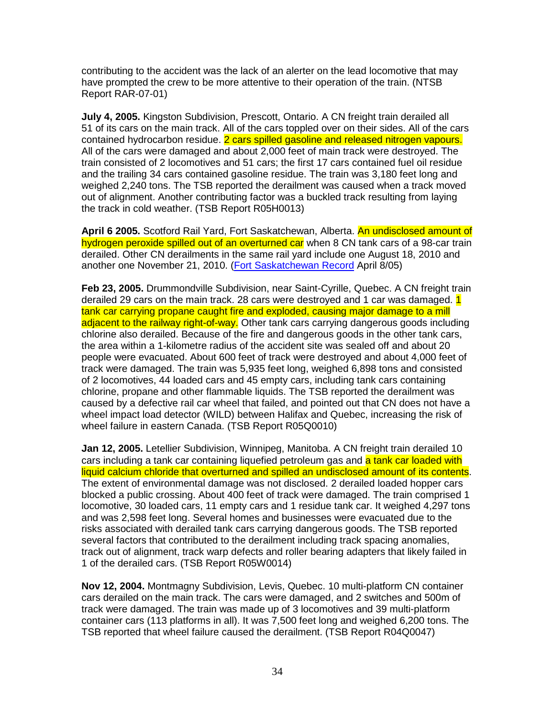contributing to the accident was the lack of an alerter on the lead locomotive that may have prompted the crew to be more attentive to their operation of the train. (NTSB Report RAR-07-01)

**July 4, 2005.** Kingston Subdivision, Prescott, Ontario. A CN freight train derailed all 51 of its cars on the main track. All of the cars toppled over on their sides. All of the cars contained hydrocarbon residue. 2 cars spilled gasoline and released nitrogen vapours. All of the cars were damaged and about 2,000 feet of main track were destroyed. The train consisted of 2 locomotives and 51 cars; the first 17 cars contained fuel oil residue and the trailing 34 cars contained gasoline residue. The train was 3,180 feet long and weighed 2,240 tons. The TSB reported the derailment was caused when a track moved out of alignment. Another contributing factor was a buckled track resulting from laying the track in cold weather. (TSB Report R05H0013)

**April 6 2005.** Scotford Rail Yard, Fort Saskatchewan, Alberta. An undisclosed amount of hydrogen peroxide spilled out of an overturned car when 8 CN tank cars of a 98-car train derailed. Other CN derailments in the same rail yard include one August 18, 2010 and another one November 21, 2010. (Fort Saskatchewan Record April 8/05)

**Feb 23, 2005.** Drummondville Subdivision, near Saint-Cyrille, Quebec. A CN freight train derailed 29 cars on the main track. 28 cars were destroyed and 1 car was damaged. 1 tank car carrying propane caught fire and exploded, causing major damage to a mill adjacent to the railway right-of-way. Other tank cars carrying dangerous goods including chlorine also derailed. Because of the fire and dangerous goods in the other tank cars, the area within a 1-kilometre radius of the accident site was sealed off and about 20 people were evacuated. About 600 feet of track were destroyed and about 4,000 feet of track were damaged. The train was 5,935 feet long, weighed 6,898 tons and consisted of 2 locomotives, 44 loaded cars and 45 empty cars, including tank cars containing chlorine, propane and other flammable liquids. The TSB reported the derailment was caused by a defective rail car wheel that failed, and pointed out that CN does not have a wheel impact load detector (WILD) between Halifax and Quebec, increasing the risk of wheel failure in eastern Canada. (TSB Report R05Q0010)

**Jan 12, 2005.** Letellier Subdivision, Winnipeg, Manitoba. A CN freight train derailed 10 cars including a tank car containing liquefied petroleum gas and a tank car loaded with liquid calcium chloride that overturned and spilled an undisclosed amount of its contents. The extent of environmental damage was not disclosed. 2 derailed loaded hopper cars blocked a public crossing. About 400 feet of track were damaged. The train comprised 1 locomotive, 30 loaded cars, 11 empty cars and 1 residue tank car. It weighed 4,297 tons and was 2,598 feet long. Several homes and businesses were evacuated due to the risks associated with derailed tank cars carrying dangerous goods. The TSB reported several factors that contributed to the derailment including track spacing anomalies, track out of alignment, track warp defects and roller bearing adapters that likely failed in 1 of the derailed cars. (TSB Report R05W0014)

**Nov 12, 2004.** Montmagny Subdivision, Levis, Quebec. 10 multi-platform CN container cars derailed on the main track. The cars were damaged, and 2 switches and 500m of track were damaged. The train was made up of 3 locomotives and 39 multi-platform container cars (113 platforms in all). It was 7,500 feet long and weighed 6,200 tons. The TSB reported that wheel failure caused the derailment. (TSB Report R04Q0047)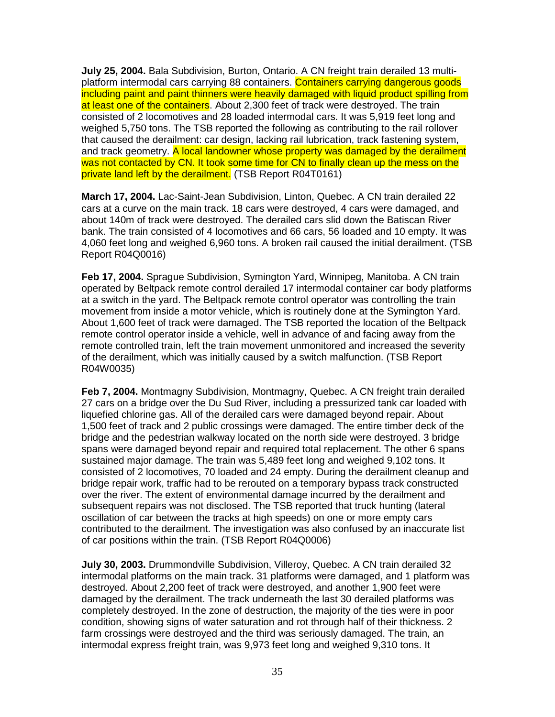**July 25, 2004.** Bala Subdivision, Burton, Ontario. A CN freight train derailed 13 multiplatform intermodal cars carrying 88 containers. Containers carrying dangerous goods including paint and paint thinners were heavily damaged with liquid product spilling from at least one of the containers. About 2,300 feet of track were destroyed. The train consisted of 2 locomotives and 28 loaded intermodal cars. It was 5,919 feet long and weighed 5,750 tons. The TSB reported the following as contributing to the rail rollover that caused the derailment: car design, lacking rail lubrication, track fastening system, and track geometry. A local landowner whose property was damaged by the derailment was not contacted by CN. It took some time for CN to finally clean up the mess on the private land left by the derailment. (TSB Report R04T0161)

**March 17, 2004.** Lac-Saint-Jean Subdivision, Linton, Quebec. A CN train derailed 22 cars at a curve on the main track. 18 cars were destroyed, 4 cars were damaged, and about 140m of track were destroyed. The derailed cars slid down the Batiscan River bank. The train consisted of 4 locomotives and 66 cars, 56 loaded and 10 empty. It was 4,060 feet long and weighed 6,960 tons. A broken rail caused the initial derailment. (TSB Report R04Q0016)

**Feb 17, 2004.** Sprague Subdivision, Symington Yard, Winnipeg, Manitoba. A CN train operated by Beltpack remote control derailed 17 intermodal container car body platforms at a switch in the yard. The Beltpack remote control operator was controlling the train movement from inside a motor vehicle, which is routinely done at the Symington Yard. About 1,600 feet of track were damaged. The TSB reported the location of the Beltpack remote control operator inside a vehicle, well in advance of and facing away from the remote controlled train, left the train movement unmonitored and increased the severity of the derailment, which was initially caused by a switch malfunction. (TSB Report R04W0035)

**Feb 7, 2004.** Montmagny Subdivision, Montmagny, Quebec. A CN freight train derailed 27 cars on a bridge over the Du Sud River, including a pressurized tank car loaded with liquefied chlorine gas. All of the derailed cars were damaged beyond repair. About 1,500 feet of track and 2 public crossings were damaged. The entire timber deck of the bridge and the pedestrian walkway located on the north side were destroyed. 3 bridge spans were damaged beyond repair and required total replacement. The other 6 spans sustained major damage. The train was 5,489 feet long and weighed 9,102 tons. It consisted of 2 locomotives, 70 loaded and 24 empty. During the derailment cleanup and bridge repair work, traffic had to be rerouted on a temporary bypass track constructed over the river. The extent of environmental damage incurred by the derailment and subsequent repairs was not disclosed. The TSB reported that truck hunting (lateral oscillation of car between the tracks at high speeds) on one or more empty cars contributed to the derailment. The investigation was also confused by an inaccurate list of car positions within the train. (TSB Report R04Q0006)

**July 30, 2003.** Drummondville Subdivision, Villeroy, Quebec. A CN train derailed 32 intermodal platforms on the main track. 31 platforms were damaged, and 1 platform was destroyed. About 2,200 feet of track were destroyed, and another 1,900 feet were damaged by the derailment. The track underneath the last 30 derailed platforms was completely destroyed. In the zone of destruction, the majority of the ties were in poor condition, showing signs of water saturation and rot through half of their thickness. 2 farm crossings were destroyed and the third was seriously damaged. The train, an intermodal express freight train, was 9,973 feet long and weighed 9,310 tons. It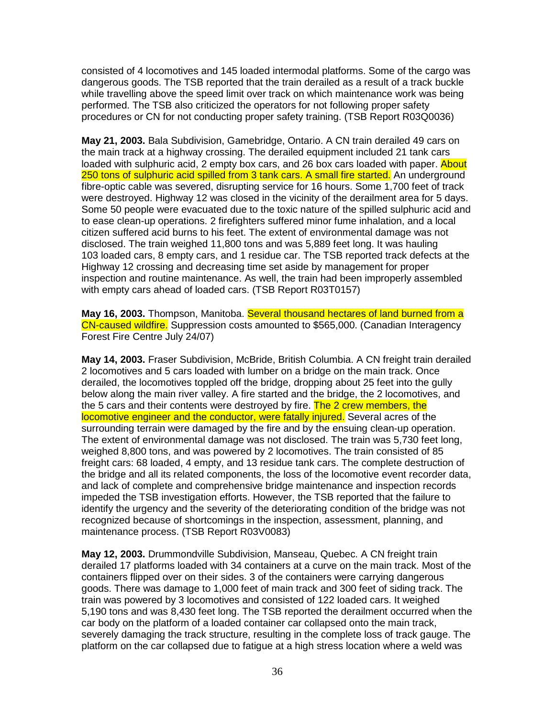consisted of 4 locomotives and 145 loaded intermodal platforms. Some of the cargo was dangerous goods. The TSB reported that the train derailed as a result of a track buckle while travelling above the speed limit over track on which maintenance work was being performed. The TSB also criticized the operators for not following proper safety procedures or CN for not conducting proper safety training. (TSB Report R03Q0036)

**May 21, 2003.** Bala Subdivision, Gamebridge, Ontario. A CN train derailed 49 cars on the main track at a highway crossing. The derailed equipment included 21 tank cars loaded with sulphuric acid, 2 empty box cars, and 26 box cars loaded with paper. About 250 tons of sulphuric acid spilled from 3 tank cars. A small fire started. An underground fibre-optic cable was severed, disrupting service for 16 hours. Some 1,700 feet of track were destroyed. Highway 12 was closed in the vicinity of the derailment area for 5 days. Some 50 people were evacuated due to the toxic nature of the spilled sulphuric acid and to ease clean-up operations. 2 firefighters suffered minor fume inhalation, and a local citizen suffered acid burns to his feet. The extent of environmental damage was not disclosed. The train weighed 11,800 tons and was 5,889 feet long. It was hauling 103 loaded cars, 8 empty cars, and 1 residue car. The TSB reported track defects at the Highway 12 crossing and decreasing time set aside by management for proper inspection and routine maintenance. As well, the train had been improperly assembled with empty cars ahead of loaded cars. (TSB Report R03T0157)

**May 16, 2003.** Thompson, Manitoba. Several thousand hectares of land burned from a CN-caused wildfire. Suppression costs amounted to \$565,000. (Canadian Interagency Forest Fire Centre July 24/07)

**May 14, 2003.** Fraser Subdivision, McBride, British Columbia. A CN freight train derailed 2 locomotives and 5 cars loaded with lumber on a bridge on the main track. Once derailed, the locomotives toppled off the bridge, dropping about 25 feet into the gully below along the main river valley. A fire started and the bridge, the 2 locomotives, and the 5 cars and their contents were destroyed by fire. The 2 crew members, the locomotive engineer and the conductor, were fatally injured. Several acres of the surrounding terrain were damaged by the fire and by the ensuing clean-up operation. The extent of environmental damage was not disclosed. The train was 5,730 feet long, weighed 8,800 tons, and was powered by 2 locomotives. The train consisted of 85 freight cars: 68 loaded, 4 empty, and 13 residue tank cars. The complete destruction of the bridge and all its related components, the loss of the locomotive event recorder data, and lack of complete and comprehensive bridge maintenance and inspection records impeded the TSB investigation efforts. However, the TSB reported that the failure to identify the urgency and the severity of the deteriorating condition of the bridge was not recognized because of shortcomings in the inspection, assessment, planning, and maintenance process. (TSB Report R03V0083)

**May 12, 2003.** Drummondville Subdivision, Manseau, Quebec. A CN freight train derailed 17 platforms loaded with 34 containers at a curve on the main track. Most of the containers flipped over on their sides. 3 of the containers were carrying dangerous goods. There was damage to 1,000 feet of main track and 300 feet of siding track. The train was powered by 3 locomotives and consisted of 122 loaded cars. It weighed 5,190 tons and was 8,430 feet long. The TSB reported the derailment occurred when the car body on the platform of a loaded container car collapsed onto the main track, severely damaging the track structure, resulting in the complete loss of track gauge. The platform on the car collapsed due to fatigue at a high stress location where a weld was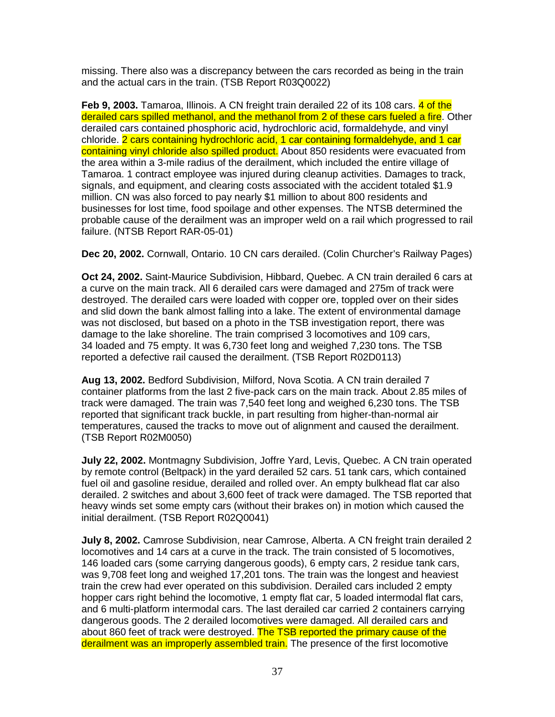missing. There also was a discrepancy between the cars recorded as being in the train and the actual cars in the train. (TSB Report R03Q0022)

**Feb 9, 2003.** Tamaroa, Illinois. A CN freight train derailed 22 of its 108 cars. 4 of the derailed cars spilled methanol, and the methanol from 2 of these cars fueled a fire. Other derailed cars contained phosphoric acid, hydrochloric acid, formaldehyde, and vinyl chloride. 2 cars containing hydrochloric acid, 1 car containing formaldehyde, and 1 car containing vinyl chloride also spilled product. About 850 residents were evacuated from the area within a 3-mile radius of the derailment, which included the entire village of Tamaroa. 1 contract employee was injured during cleanup activities. Damages to track, signals, and equipment, and clearing costs associated with the accident totaled \$1.9 million. CN was also forced to pay nearly \$1 million to about 800 residents and businesses for lost time, food spoilage and other expenses. The NTSB determined the probable cause of the derailment was an improper weld on a rail which progressed to rail failure. (NTSB Report RAR-05-01)

**Dec 20, 2002.** Cornwall, Ontario. 10 CN cars derailed. (Colin Churcher's Railway Pages)

**Oct 24, 2002.** Saint-Maurice Subdivision, Hibbard, Quebec. A CN train derailed 6 cars at a curve on the main track. All 6 derailed cars were damaged and 275m of track were destroyed. The derailed cars were loaded with copper ore, toppled over on their sides and slid down the bank almost falling into a lake. The extent of environmental damage was not disclosed, but based on a photo in the TSB investigation report, there was damage to the lake shoreline. The train comprised 3 locomotives and 109 cars, 34 loaded and 75 empty. It was 6,730 feet long and weighed 7,230 tons. The TSB reported a defective rail caused the derailment. (TSB Report R02D0113)

**Aug 13, 2002.** Bedford Subdivision, Milford, Nova Scotia. A CN train derailed 7 container platforms from the last 2 five-pack cars on the main track. About 2.85 miles of track were damaged. The train was 7,540 feet long and weighed 6,230 tons. The TSB reported that significant track buckle, in part resulting from higher-than-normal air temperatures, caused the tracks to move out of alignment and caused the derailment. (TSB Report R02M0050)

**July 22, 2002.** Montmagny Subdivision, Joffre Yard, Levis, Quebec. A CN train operated by remote control (Beltpack) in the yard derailed 52 cars. 51 tank cars, which contained fuel oil and gasoline residue, derailed and rolled over. An empty bulkhead flat car also derailed. 2 switches and about 3,600 feet of track were damaged. The TSB reported that heavy winds set some empty cars (without their brakes on) in motion which caused the initial derailment. (TSB Report R02Q0041)

**July 8, 2002.** Camrose Subdivision, near Camrose, Alberta. A CN freight train derailed 2 locomotives and 14 cars at a curve in the track. The train consisted of 5 locomotives, 146 loaded cars (some carrying dangerous goods), 6 empty cars, 2 residue tank cars, was 9,708 feet long and weighed 17,201 tons. The train was the longest and heaviest train the crew had ever operated on this subdivision. Derailed cars included 2 empty hopper cars right behind the locomotive, 1 empty flat car, 5 loaded intermodal flat cars, and 6 multi-platform intermodal cars. The last derailed car carried 2 containers carrying dangerous goods. The 2 derailed locomotives were damaged. All derailed cars and about 860 feet of track were destroyed. The TSB reported the primary cause of the derailment was an improperly assembled train. The presence of the first locomotive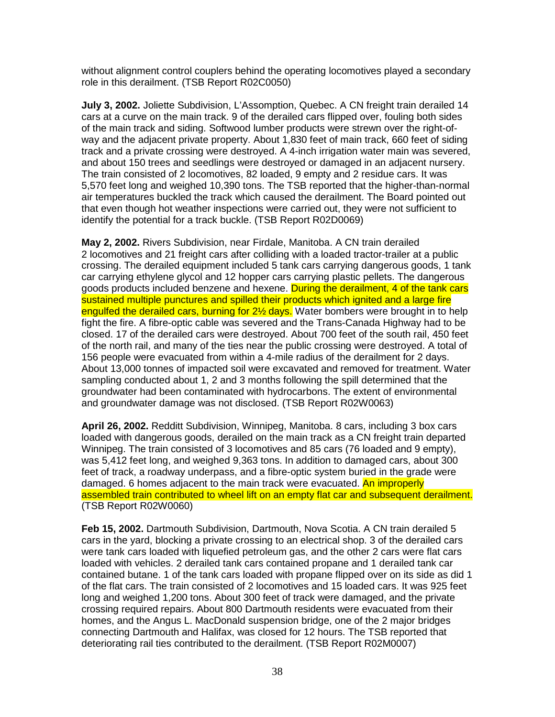without alignment control couplers behind the operating locomotives played a secondary role in this derailment. (TSB Report R02C0050)

**July 3, 2002.** Joliette Subdivision, L'Assomption, Quebec. A CN freight train derailed 14 cars at a curve on the main track. 9 of the derailed cars flipped over, fouling both sides of the main track and siding. Softwood lumber products were strewn over the right-ofway and the adjacent private property. About 1,830 feet of main track, 660 feet of siding track and a private crossing were destroyed. A 4-inch irrigation water main was severed, and about 150 trees and seedlings were destroyed or damaged in an adjacent nursery. The train consisted of 2 locomotives, 82 loaded, 9 empty and 2 residue cars. It was 5,570 feet long and weighed 10,390 tons. The TSB reported that the higher-than-normal air temperatures buckled the track which caused the derailment. The Board pointed out that even though hot weather inspections were carried out, they were not sufficient to identify the potential for a track buckle. (TSB Report R02D0069)

**May 2, 2002.** Rivers Subdivision, near Firdale, Manitoba. A CN train derailed 2 locomotives and 21 freight cars after colliding with a loaded tractor-trailer at a public crossing. The derailed equipment included 5 tank cars carrying dangerous goods, 1 tank car carrying ethylene glycol and 12 hopper cars carrying plastic pellets. The dangerous goods products included benzene and hexene. During the derailment, 4 of the tank cars sustained multiple punctures and spilled their products which ignited and a large fire engulfed the derailed cars, burning for 2<sup>1/2</sup> days. Water bombers were brought in to help fight the fire. A fibre-optic cable was severed and the Trans-Canada Highway had to be closed. 17 of the derailed cars were destroyed. About 700 feet of the south rail, 450 feet of the north rail, and many of the ties near the public crossing were destroyed. A total of 156 people were evacuated from within a 4-mile radius of the derailment for 2 days. About 13,000 tonnes of impacted soil were excavated and removed for treatment. Water sampling conducted about 1, 2 and 3 months following the spill determined that the groundwater had been contaminated with hydrocarbons. The extent of environmental and groundwater damage was not disclosed. (TSB Report R02W0063)

**April 26, 2002.** Redditt Subdivision, Winnipeg, Manitoba. 8 cars, including 3 box cars loaded with dangerous goods, derailed on the main track as a CN freight train departed Winnipeg. The train consisted of 3 locomotives and 85 cars (76 loaded and 9 empty), was 5,412 feet long, and weighed 9,363 tons. In addition to damaged cars, about 300 feet of track, a roadway underpass, and a fibre-optic system buried in the grade were damaged. 6 homes adjacent to the main track were evacuated. An improperly assembled train contributed to wheel lift on an empty flat car and subsequent derailment. (TSB Report R02W0060)

**Feb 15, 2002.** Dartmouth Subdivision, Dartmouth, Nova Scotia. A CN train derailed 5 cars in the yard, blocking a private crossing to an electrical shop. 3 of the derailed cars were tank cars loaded with liquefied petroleum gas, and the other 2 cars were flat cars loaded with vehicles. 2 derailed tank cars contained propane and 1 derailed tank car contained butane. 1 of the tank cars loaded with propane flipped over on its side as did 1 of the flat cars. The train consisted of 2 locomotives and 15 loaded cars. It was 925 feet long and weighed 1,200 tons. About 300 feet of track were damaged, and the private crossing required repairs. About 800 Dartmouth residents were evacuated from their homes, and the Angus L. MacDonald suspension bridge, one of the 2 major bridges connecting Dartmouth and Halifax, was closed for 12 hours. The TSB reported that deteriorating rail ties contributed to the derailment. (TSB Report R02M0007)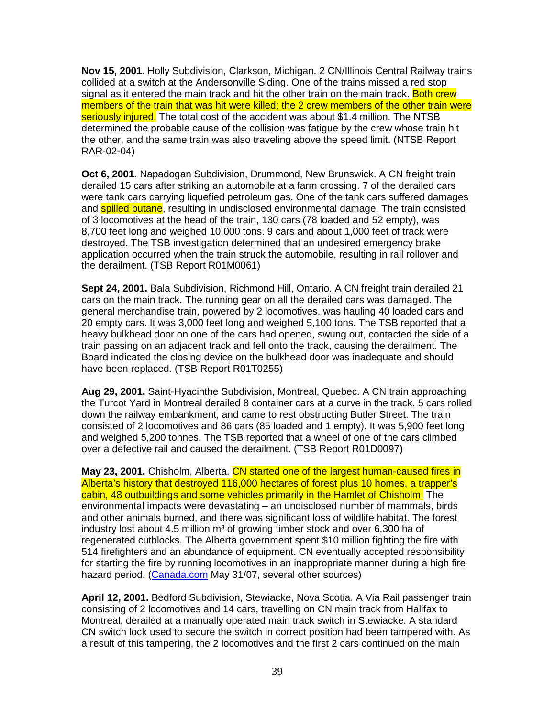**Nov 15, 2001.** Holly Subdivision, Clarkson, Michigan. 2 CN/Illinois Central Railway trains collided at a switch at the Andersonville Siding. One of the trains missed a red stop signal as it entered the main track and hit the other train on the main track. Both crew members of the train that was hit were killed; the 2 crew members of the other train were seriously injured. The total cost of the accident was about \$1.4 million. The NTSB determined the probable cause of the collision was fatigue by the crew whose train hit the other, and the same train was also traveling above the speed limit. (NTSB Report RAR-02-04)

**Oct 6, 2001.** Napadogan Subdivision, Drummond, New Brunswick. A CN freight train derailed 15 cars after striking an automobile at a farm crossing. 7 of the derailed cars were tank cars carrying liquefied petroleum gas. One of the tank cars suffered damages and **spilled butane**, resulting in undisclosed environmental damage. The train consisted of 3 locomotives at the head of the train, 130 cars (78 loaded and 52 empty), was 8,700 feet long and weighed 10,000 tons. 9 cars and about 1,000 feet of track were destroyed. The TSB investigation determined that an undesired emergency brake application occurred when the train struck the automobile, resulting in rail rollover and the derailment. (TSB Report R01M0061)

**Sept 24, 2001.** Bala Subdivision, Richmond Hill, Ontario. A CN freight train derailed 21 cars on the main track. The running gear on all the derailed cars was damaged. The general merchandise train, powered by 2 locomotives, was hauling 40 loaded cars and 20 empty cars. It was 3,000 feet long and weighed 5,100 tons. The TSB reported that a heavy bulkhead door on one of the cars had opened, swung out, contacted the side of a train passing on an adjacent track and fell onto the track, causing the derailment. The Board indicated the closing device on the bulkhead door was inadequate and should have been replaced. (TSB Report R01T0255)

**Aug 29, 2001.** Saint-Hyacinthe Subdivision, Montreal, Quebec. A CN train approaching the Turcot Yard in Montreal derailed 8 container cars at a curve in the track. 5 cars rolled down the railway embankment, and came to rest obstructing Butler Street. The train consisted of 2 locomotives and 86 cars (85 loaded and 1 empty). It was 5,900 feet long and weighed 5,200 tonnes. The TSB reported that a wheel of one of the cars climbed over a defective rail and caused the derailment. (TSB Report R01D0097)

**May 23, 2001.** Chisholm, Alberta. CN started one of the largest human-caused fires in Alberta's history that destroyed 116,000 hectares of forest plus 10 homes, a trapper's cabin, 48 outbuildings and some vehicles primarily in the Hamlet of Chisholm. The environmental impacts were devastating – an undisclosed number of mammals, birds and other animals burned, and there was significant loss of wildlife habitat. The forest industry lost about 4.5 million  $m<sup>3</sup>$  of growing timber stock and over 6,300 ha of regenerated cutblocks. The Alberta government spent \$10 million fighting the fire with 514 firefighters and an abundance of equipment. CN eventually accepted responsibility for starting the fire by running locomotives in an inappropriate manner during a high fire hazard period. (Canada.com May 31/07, several other sources)

**April 12, 2001.** Bedford Subdivision, Stewiacke, Nova Scotia. A Via Rail passenger train consisting of 2 locomotives and 14 cars, travelling on CN main track from Halifax to Montreal, derailed at a manually operated main track switch in Stewiacke. A standard CN switch lock used to secure the switch in correct position had been tampered with. As a result of this tampering, the 2 locomotives and the first 2 cars continued on the main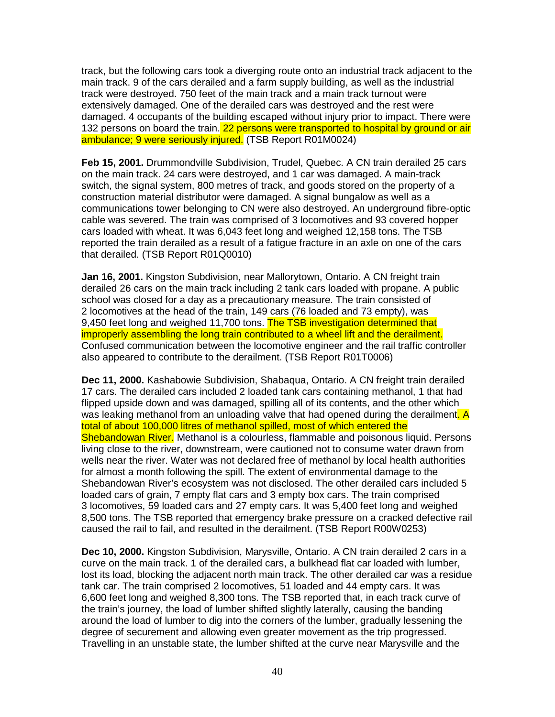track, but the following cars took a diverging route onto an industrial track adjacent to the main track. 9 of the cars derailed and a farm supply building, as well as the industrial track were destroyed. 750 feet of the main track and a main track turnout were extensively damaged. One of the derailed cars was destroyed and the rest were damaged. 4 occupants of the building escaped without injury prior to impact. There were 132 persons on board the train. 22 persons were transported to hospital by ground or air ambulance; 9 were seriously injured. (TSB Report R01M0024)

**Feb 15, 2001.** Drummondville Subdivision, Trudel, Quebec. A CN train derailed 25 cars on the main track. 24 cars were destroyed, and 1 car was damaged. A main-track switch, the signal system, 800 metres of track, and goods stored on the property of a construction material distributor were damaged. A signal bungalow as well as a communications tower belonging to CN were also destroyed. An underground fibre-optic cable was severed. The train was comprised of 3 locomotives and 93 covered hopper cars loaded with wheat. It was 6,043 feet long and weighed 12,158 tons. The TSB reported the train derailed as a result of a fatigue fracture in an axle on one of the cars that derailed. (TSB Report R01Q0010)

**Jan 16, 2001.** Kingston Subdivision, near Mallorytown, Ontario. A CN freight train derailed 26 cars on the main track including 2 tank cars loaded with propane. A public school was closed for a day as a precautionary measure. The train consisted of 2 locomotives at the head of the train, 149 cars (76 loaded and 73 empty), was 9,450 feet long and weighed 11,700 tons. The TSB investigation determined that improperly assembling the long train contributed to a wheel lift and the derailment. Confused communication between the locomotive engineer and the rail traffic controller also appeared to contribute to the derailment. (TSB Report R01T0006)

**Dec 11, 2000.** Kashabowie Subdivision, Shabaqua, Ontario. A CN freight train derailed 17 cars. The derailed cars included 2 loaded tank cars containing methanol, 1 that had flipped upside down and was damaged, spilling all of its contents, and the other which was leaking methanol from an unloading valve that had opened during the derailment. A total of about 100,000 litres of methanol spilled, most of which entered the Shebandowan River. Methanol is a colourless, flammable and poisonous liquid. Persons living close to the river, downstream, were cautioned not to consume water drawn from wells near the river. Water was not declared free of methanol by local health authorities for almost a month following the spill. The extent of environmental damage to the Shebandowan River's ecosystem was not disclosed. The other derailed cars included 5 loaded cars of grain, 7 empty flat cars and 3 empty box cars. The train comprised 3 locomotives, 59 loaded cars and 27 empty cars. It was 5,400 feet long and weighed 8,500 tons. The TSB reported that emergency brake pressure on a cracked defective rail caused the rail to fail, and resulted in the derailment. (TSB Report R00W0253)

**Dec 10, 2000.** Kingston Subdivision, Marysville, Ontario. A CN train derailed 2 cars in a curve on the main track. 1 of the derailed cars, a bulkhead flat car loaded with lumber, lost its load, blocking the adjacent north main track. The other derailed car was a residue tank car. The train comprised 2 locomotives, 51 loaded and 44 empty cars. It was 6,600 feet long and weighed 8,300 tons. The TSB reported that, in each track curve of the train's journey, the load of lumber shifted slightly laterally, causing the banding around the load of lumber to dig into the corners of the lumber, gradually lessening the degree of securement and allowing even greater movement as the trip progressed. Travelling in an unstable state, the lumber shifted at the curve near Marysville and the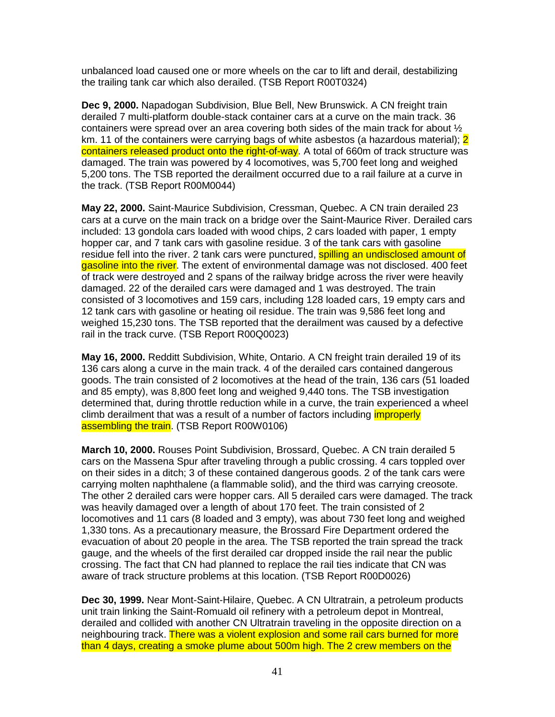unbalanced load caused one or more wheels on the car to lift and derail, destabilizing the trailing tank car which also derailed. (TSB Report R00T0324)

**Dec 9, 2000.** Napadogan Subdivision, Blue Bell, New Brunswick. A CN freight train derailed 7 multi-platform double-stack container cars at a curve on the main track. 36 containers were spread over an area covering both sides of the main track for about ½ km. 11 of the containers were carrying bags of white asbestos (a hazardous material); 2 containers released product onto the right-of-way. A total of 660m of track structure was damaged. The train was powered by 4 locomotives, was 5,700 feet long and weighed 5,200 tons. The TSB reported the derailment occurred due to a rail failure at a curve in the track. (TSB Report R00M0044)

**May 22, 2000.** Saint-Maurice Subdivision, Cressman, Quebec. A CN train derailed 23 cars at a curve on the main track on a bridge over the Saint-Maurice River. Derailed cars included: 13 gondola cars loaded with wood chips, 2 cars loaded with paper, 1 empty hopper car, and 7 tank cars with gasoline residue. 3 of the tank cars with gasoline residue fell into the river. 2 tank cars were punctured, spilling an undisclosed amount of gasoline into the river. The extent of environmental damage was not disclosed. 400 feet of track were destroyed and 2 spans of the railway bridge across the river were heavily damaged. 22 of the derailed cars were damaged and 1 was destroyed. The train consisted of 3 locomotives and 159 cars, including 128 loaded cars, 19 empty cars and 12 tank cars with gasoline or heating oil residue. The train was 9,586 feet long and weighed 15,230 tons. The TSB reported that the derailment was caused by a defective rail in the track curve. (TSB Report R00Q0023)

**May 16, 2000.** Redditt Subdivision, White, Ontario. A CN freight train derailed 19 of its 136 cars along a curve in the main track. 4 of the derailed cars contained dangerous goods. The train consisted of 2 locomotives at the head of the train, 136 cars (51 loaded and 85 empty), was 8,800 feet long and weighed 9,440 tons. The TSB investigation determined that, during throttle reduction while in a curve, the train experienced a wheel climb derailment that was a result of a number of factors including *improperly* assembling the train. (TSB Report R00W0106)

**March 10, 2000.** Rouses Point Subdivision, Brossard, Quebec. A CN train derailed 5 cars on the Massena Spur after traveling through a public crossing. 4 cars toppled over on their sides in a ditch; 3 of these contained dangerous goods. 2 of the tank cars were carrying molten naphthalene (a flammable solid), and the third was carrying creosote. The other 2 derailed cars were hopper cars. All 5 derailed cars were damaged. The track was heavily damaged over a length of about 170 feet. The train consisted of 2 locomotives and 11 cars (8 loaded and 3 empty), was about 730 feet long and weighed 1,330 tons. As a precautionary measure, the Brossard Fire Department ordered the evacuation of about 20 people in the area. The TSB reported the train spread the track gauge, and the wheels of the first derailed car dropped inside the rail near the public crossing. The fact that CN had planned to replace the rail ties indicate that CN was aware of track structure problems at this location. (TSB Report R00D0026)

**Dec 30, 1999.** Near Mont-Saint-Hilaire, Quebec. A CN Ultratrain, a petroleum products unit train linking the Saint-Romuald oil refinery with a petroleum depot in Montreal, derailed and collided with another CN Ultratrain traveling in the opposite direction on a neighbouring track. There was a violent explosion and some rail cars burned for more than 4 days, creating a smoke plume about 500m high. The 2 crew members on the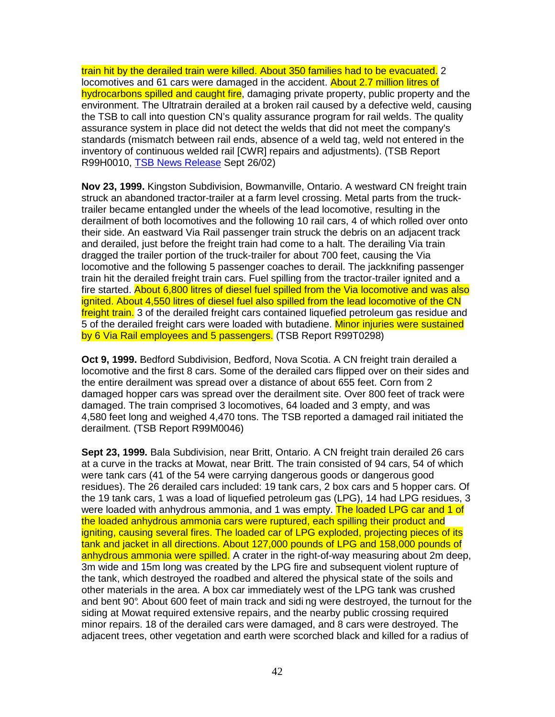train hit by the derailed train were killed. About 350 families had to be evacuated. 2 locomotives and 61 cars were damaged in the accident. About 2.7 million litres of hydrocarbons spilled and caught fire, damaging private property, public property and the environment. The Ultratrain derailed at a broken rail caused by a defective weld, causing the TSB to call into question CN's quality assurance program for rail welds. The quality assurance system in place did not detect the welds that did not meet the company's standards (mismatch between rail ends, absence of a weld tag, weld not entered in the inventory of continuous welded rail [CWR] repairs and adjustments). (TSB Report R99H0010, TSB News Release Sept 26/02)

**Nov 23, 1999.** Kingston Subdivision, Bowmanville, Ontario. A westward CN freight train struck an abandoned tractor-trailer at a farm level crossing. Metal parts from the trucktrailer became entangled under the wheels of the lead locomotive, resulting in the derailment of both locomotives and the following 10 rail cars, 4 of which rolled over onto their side. An eastward Via Rail passenger train struck the debris on an adjacent track and derailed, just before the freight train had come to a halt. The derailing Via train dragged the trailer portion of the truck-trailer for about 700 feet, causing the Via locomotive and the following 5 passenger coaches to derail. The jackknifing passenger train hit the derailed freight train cars. Fuel spilling from the tractor-trailer ignited and a fire started. About 6,800 litres of diesel fuel spilled from the Via locomotive and was also ignited. About 4,550 litres of diesel fuel also spilled from the lead locomotive of the CN freight train. 3 of the derailed freight cars contained liquefied petroleum gas residue and 5 of the derailed freight cars were loaded with butadiene. Minor injuries were sustained by 6 Via Rail employees and 5 passengers. (TSB Report R99T0298)

**Oct 9, 1999.** Bedford Subdivision, Bedford, Nova Scotia. A CN freight train derailed a locomotive and the first 8 cars. Some of the derailed cars flipped over on their sides and the entire derailment was spread over a distance of about 655 feet. Corn from 2 damaged hopper cars was spread over the derailment site. Over 800 feet of track were damaged. The train comprised 3 locomotives, 64 loaded and 3 empty, and was 4,580 feet long and weighed 4,470 tons. The TSB reported a damaged rail initiated the derailment. (TSB Report R99M0046)

**Sept 23, 1999.** Bala Subdivision, near Britt, Ontario. A CN freight train derailed 26 cars at a curve in the tracks at Mowat, near Britt. The train consisted of 94 cars, 54 of which were tank cars (41 of the 54 were carrying dangerous goods or dangerous good residues). The 26 derailed cars included: 19 tank cars, 2 box cars and 5 hopper cars. Of the 19 tank cars, 1 was a load of liquefied petroleum gas (LPG), 14 had LPG residues, 3 were loaded with anhydrous ammonia, and 1 was empty. The loaded LPG car and 1 of the loaded anhydrous ammonia cars were ruptured, each spilling their product and igniting, causing several fires. The loaded car of LPG exploded, projecting pieces of its tank and jacket in all directions. About 127,000 pounds of LPG and 158,000 pounds of anhydrous ammonia were spilled. A crater in the right-of-way measuring about 2m deep, 3m wide and 15m long was created by the LPG fire and subsequent violent rupture of the tank, which destroyed the roadbed and altered the physical state of the soils and other materials in the area. A box car immediately west of the LPG tank was crushed and bent 90°. About 600 feet of main track and sidi ng were destroyed, the turnout for the siding at Mowat required extensive repairs, and the nearby public crossing required minor repairs. 18 of the derailed cars were damaged, and 8 cars were destroyed. The adjacent trees, other vegetation and earth were scorched black and killed for a radius of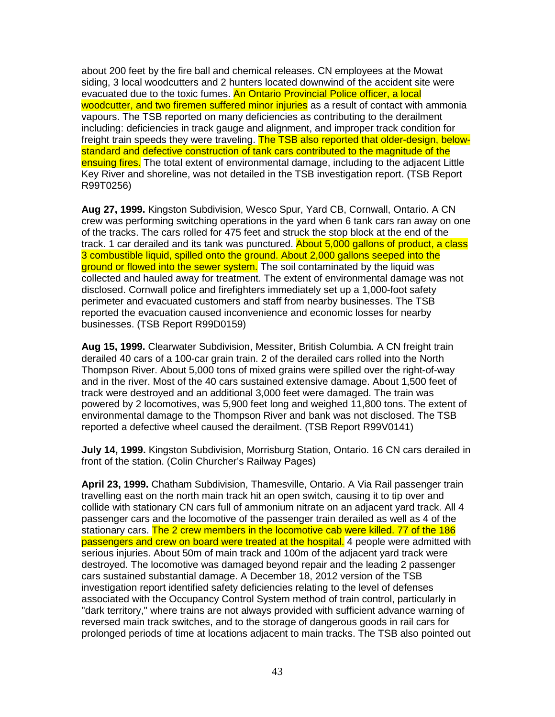about 200 feet by the fire ball and chemical releases. CN employees at the Mowat siding, 3 local woodcutters and 2 hunters located downwind of the accident site were evacuated due to the toxic fumes. An Ontario Provincial Police officer, a local woodcutter, and two firemen suffered minor injuries as a result of contact with ammonia vapours. The TSB reported on many deficiencies as contributing to the derailment including: deficiencies in track gauge and alignment, and improper track condition for freight train speeds they were traveling. The TSB also reported that older-design, belowstandard and defective construction of tank cars contributed to the magnitude of the ensuing fires. The total extent of environmental damage, including to the adiacent Little Key River and shoreline, was not detailed in the TSB investigation report. (TSB Report R99T0256)

**Aug 27, 1999.** Kingston Subdivision, Wesco Spur, Yard CB, Cornwall, Ontario. A CN crew was performing switching operations in the yard when 6 tank cars ran away on one of the tracks. The cars rolled for 475 feet and struck the stop block at the end of the track. 1 car derailed and its tank was punctured. About 5,000 gallons of product, a class 3 combustible liquid, spilled onto the ground. About 2,000 gallons seeped into the ground or flowed into the sewer system. The soil contaminated by the liquid was collected and hauled away for treatment. The extent of environmental damage was not disclosed. Cornwall police and firefighters immediately set up a 1,000-foot safety perimeter and evacuated customers and staff from nearby businesses. The TSB reported the evacuation caused inconvenience and economic losses for nearby businesses. (TSB Report R99D0159)

**Aug 15, 1999.** Clearwater Subdivision, Messiter, British Columbia. A CN freight train derailed 40 cars of a 100-car grain train. 2 of the derailed cars rolled into the North Thompson River. About 5,000 tons of mixed grains were spilled over the right-of-way and in the river. Most of the 40 cars sustained extensive damage. About 1,500 feet of track were destroyed and an additional 3,000 feet were damaged. The train was powered by 2 locomotives, was 5,900 feet long and weighed 11,800 tons. The extent of environmental damage to the Thompson River and bank was not disclosed. The TSB reported a defective wheel caused the derailment. (TSB Report R99V0141)

**July 14, 1999.** Kingston Subdivision, Morrisburg Station, Ontario. 16 CN cars derailed in front of the station. (Colin Churcher's Railway Pages)

**April 23, 1999.** Chatham Subdivision, Thamesville, Ontario. A Via Rail passenger train travelling east on the north main track hit an open switch, causing it to tip over and collide with stationary CN cars full of ammonium nitrate on an adjacent yard track. All 4 passenger cars and the locomotive of the passenger train derailed as well as 4 of the stationary cars. The 2 crew members in the locomotive cab were killed. 77 of the 186 passengers and crew on board were treated at the hospital. 4 people were admitted with serious injuries. About 50m of main track and 100m of the adjacent yard track were destroyed. The locomotive was damaged beyond repair and the leading 2 passenger cars sustained substantial damage. A December 18, 2012 version of the TSB investigation report identified safety deficiencies relating to the level of defenses associated with the Occupancy Control System method of train control, particularly in "dark territory," where trains are not always provided with sufficient advance warning of reversed main track switches, and to the storage of dangerous goods in rail cars for prolonged periods of time at locations adjacent to main tracks. The TSB also pointed out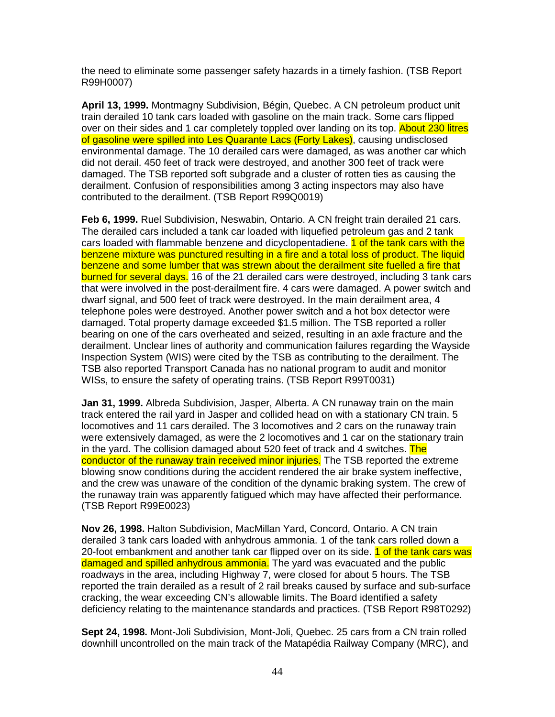the need to eliminate some passenger safety hazards in a timely fashion. (TSB Report R99H0007)

**April 13, 1999.** Montmagny Subdivision, Bégin, Quebec. A CN petroleum product unit train derailed 10 tank cars loaded with gasoline on the main track. Some cars flipped over on their sides and 1 car completely toppled over landing on its top. About 230 litres of gasoline were spilled into Les Quarante Lacs (Forty Lakes), causing undisclosed environmental damage. The 10 derailed cars were damaged, as was another car which did not derail. 450 feet of track were destroyed, and another 300 feet of track were damaged. The TSB reported soft subgrade and a cluster of rotten ties as causing the derailment. Confusion of responsibilities among 3 acting inspectors may also have contributed to the derailment. (TSB Report R99Q0019)

**Feb 6, 1999.** Ruel Subdivision, Neswabin, Ontario. A CN freight train derailed 21 cars. The derailed cars included a tank car loaded with liquefied petroleum gas and 2 tank cars loaded with flammable benzene and dicyclopentadiene. **1 of the tank cars with the** benzene mixture was punctured resulting in a fire and a total loss of product. The liquid benzene and some lumber that was strewn about the derailment site fuelled a fire that burned for several days. 16 of the 21 derailed cars were destroyed, including 3 tank cars that were involved in the post-derailment fire. 4 cars were damaged. A power switch and dwarf signal, and 500 feet of track were destroyed. In the main derailment area, 4 telephone poles were destroyed. Another power switch and a hot box detector were damaged. Total property damage exceeded \$1.5 million. The TSB reported a roller bearing on one of the cars overheated and seized, resulting in an axle fracture and the derailment. Unclear lines of authority and communication failures regarding the Wayside Inspection System (WIS) were cited by the TSB as contributing to the derailment. The TSB also reported Transport Canada has no national program to audit and monitor WISs, to ensure the safety of operating trains. (TSB Report R99T0031)

**Jan 31, 1999.** Albreda Subdivision, Jasper, Alberta. A CN runaway train on the main track entered the rail yard in Jasper and collided head on with a stationary CN train. 5 locomotives and 11 cars derailed. The 3 locomotives and 2 cars on the runaway train were extensively damaged, as were the 2 locomotives and 1 car on the stationary train in the yard. The collision damaged about 520 feet of track and 4 switches. The conductor of the runaway train received minor injuries. The TSB reported the extreme blowing snow conditions during the accident rendered the air brake system ineffective, and the crew was unaware of the condition of the dynamic braking system. The crew of the runaway train was apparently fatigued which may have affected their performance. (TSB Report R99E0023)

**Nov 26, 1998.** Halton Subdivision, MacMillan Yard, Concord, Ontario. A CN train derailed 3 tank cars loaded with anhydrous ammonia. 1 of the tank cars rolled down a 20-foot embankment and another tank car flipped over on its side. 1 of the tank cars was damaged and spilled anhydrous ammonia. The yard was evacuated and the public roadways in the area, including Highway 7, were closed for about 5 hours. The TSB reported the train derailed as a result of 2 rail breaks caused by surface and sub-surface cracking, the wear exceeding CN's allowable limits. The Board identified a safety deficiency relating to the maintenance standards and practices. (TSB Report R98T0292)

**Sept 24, 1998.** Mont-Joli Subdivision, Mont-Joli, Quebec. 25 cars from a CN train rolled downhill uncontrolled on the main track of the Matapédia Railway Company (MRC), and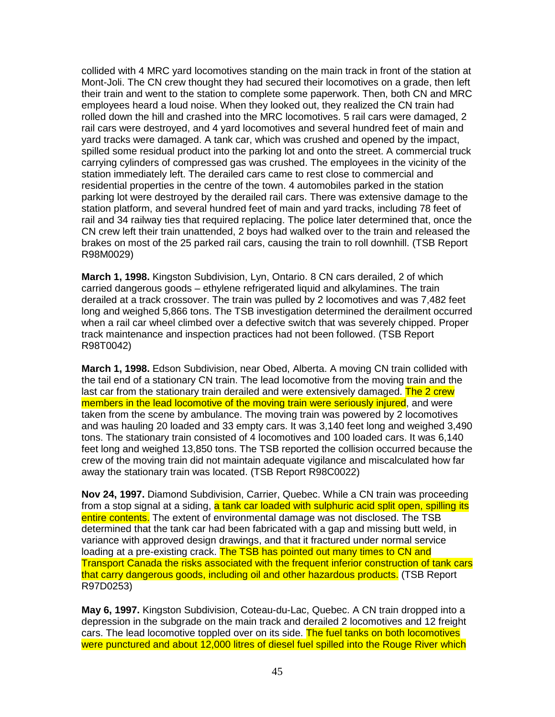collided with 4 MRC yard locomotives standing on the main track in front of the station at Mont-Joli. The CN crew thought they had secured their locomotives on a grade, then left their train and went to the station to complete some paperwork. Then, both CN and MRC employees heard a loud noise. When they looked out, they realized the CN train had rolled down the hill and crashed into the MRC locomotives. 5 rail cars were damaged, 2 rail cars were destroyed, and 4 yard locomotives and several hundred feet of main and yard tracks were damaged. A tank car, which was crushed and opened by the impact, spilled some residual product into the parking lot and onto the street. A commercial truck carrying cylinders of compressed gas was crushed. The employees in the vicinity of the station immediately left. The derailed cars came to rest close to commercial and residential properties in the centre of the town. 4 automobiles parked in the station parking lot were destroyed by the derailed rail cars. There was extensive damage to the station platform, and several hundred feet of main and yard tracks, including 78 feet of rail and 34 railway ties that required replacing. The police later determined that, once the CN crew left their train unattended, 2 boys had walked over to the train and released the brakes on most of the 25 parked rail cars, causing the train to roll downhill. (TSB Report R98M0029)

**March 1, 1998.** Kingston Subdivision, Lyn, Ontario. 8 CN cars derailed, 2 of which carried dangerous goods – ethylene refrigerated liquid and alkylamines. The train derailed at a track crossover. The train was pulled by 2 locomotives and was 7,482 feet long and weighed 5,866 tons. The TSB investigation determined the derailment occurred when a rail car wheel climbed over a defective switch that was severely chipped. Proper track maintenance and inspection practices had not been followed. (TSB Report R98T0042)

**March 1, 1998.** Edson Subdivision, near Obed, Alberta. A moving CN train collided with the tail end of a stationary CN train. The lead locomotive from the moving train and the last car from the stationary train derailed and were extensively damaged. The 2 crew members in the lead locomotive of the moving train were seriously injured, and were taken from the scene by ambulance. The moving train was powered by 2 locomotives and was hauling 20 loaded and 33 empty cars. It was 3,140 feet long and weighed 3,490 tons. The stationary train consisted of 4 locomotives and 100 loaded cars. It was 6,140 feet long and weighed 13,850 tons. The TSB reported the collision occurred because the crew of the moving train did not maintain adequate vigilance and miscalculated how far away the stationary train was located. (TSB Report R98C0022)

**Nov 24, 1997.** Diamond Subdivision, Carrier, Quebec. While a CN train was proceeding from a stop signal at a siding, a tank car loaded with sulphuric acid split open, spilling its entire contents. The extent of environmental damage was not disclosed. The TSB determined that the tank car had been fabricated with a gap and missing butt weld, in variance with approved design drawings, and that it fractured under normal service loading at a pre-existing crack. The TSB has pointed out many times to CN and Transport Canada the risks associated with the frequent inferior construction of tank cars that carry dangerous goods, including oil and other hazardous products. (TSB Report R97D0253)

**May 6, 1997.** Kingston Subdivision, Coteau-du-Lac, Quebec. A CN train dropped into a depression in the subgrade on the main track and derailed 2 locomotives and 12 freight cars. The lead locomotive toppled over on its side. The fuel tanks on both locomotives were punctured and about 12,000 litres of diesel fuel spilled into the Rouge River which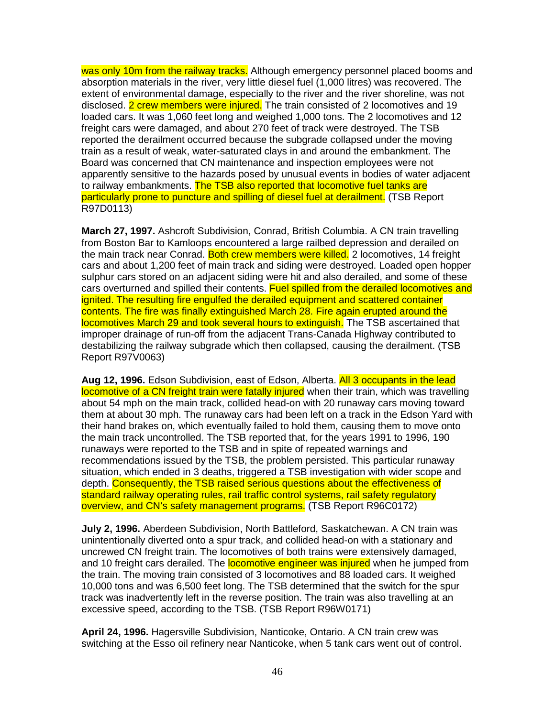was only 10m from the railway tracks. Although emergency personnel placed booms and absorption materials in the river, very little diesel fuel (1,000 litres) was recovered. The extent of environmental damage, especially to the river and the river shoreline, was not disclosed. 2 crew members were injured. The train consisted of 2 locomotives and 19 loaded cars. It was 1,060 feet long and weighed 1,000 tons. The 2 locomotives and 12 freight cars were damaged, and about 270 feet of track were destroyed. The TSB reported the derailment occurred because the subgrade collapsed under the moving train as a result of weak, water-saturated clays in and around the embankment. The Board was concerned that CN maintenance and inspection employees were not apparently sensitive to the hazards posed by unusual events in bodies of water adjacent to railway embankments. The TSB also reported that locomotive fuel tanks are particularly prone to puncture and spilling of diesel fuel at derailment. (TSB Report R97D0113)

**March 27, 1997.** Ashcroft Subdivision, Conrad, British Columbia. A CN train travelling from Boston Bar to Kamloops encountered a large railbed depression and derailed on the main track near Conrad. Both crew members were killed. 2 locomotives, 14 freight cars and about 1,200 feet of main track and siding were destroyed. Loaded open hopper sulphur cars stored on an adjacent siding were hit and also derailed, and some of these cars overturned and spilled their contents. Fuel spilled from the derailed locomotives and ignited. The resulting fire engulfed the derailed equipment and scattered container contents. The fire was finally extinguished March 28. Fire again erupted around the locomotives March 29 and took several hours to extinguish. The TSB ascertained that improper drainage of run-off from the adjacent Trans-Canada Highway contributed to destabilizing the railway subgrade which then collapsed, causing the derailment. (TSB Report R97V0063)

**Aug 12, 1996.** Edson Subdivision, east of Edson, Alberta. All 3 occupants in the lead locomotive of a CN freight train were fatally injured when their train, which was travelling about 54 mph on the main track, collided head-on with 20 runaway cars moving toward them at about 30 mph. The runaway cars had been left on a track in the Edson Yard with their hand brakes on, which eventually failed to hold them, causing them to move onto the main track uncontrolled. The TSB reported that, for the years 1991 to 1996, 190 runaways were reported to the TSB and in spite of repeated warnings and recommendations issued by the TSB, the problem persisted. This particular runaway situation, which ended in 3 deaths, triggered a TSB investigation with wider scope and depth. Consequently, the TSB raised serious questions about the effectiveness of standard railway operating rules, rail traffic control systems, rail safety regulatory overview, and CN's safety management programs. (TSB Report R96C0172)

**July 2, 1996.** Aberdeen Subdivision, North Battleford, Saskatchewan. A CN train was unintentionally diverted onto a spur track, and collided head-on with a stationary and uncrewed CN freight train. The locomotives of both trains were extensively damaged, and 10 freight cars derailed. The **locomotive engineer was injured** when he jumped from the train. The moving train consisted of 3 locomotives and 88 loaded cars. It weighed 10,000 tons and was 6,500 feet long. The TSB determined that the switch for the spur track was inadvertently left in the reverse position. The train was also travelling at an excessive speed, according to the TSB. (TSB Report R96W0171)

**April 24, 1996.** Hagersville Subdivision, Nanticoke, Ontario. A CN train crew was switching at the Esso oil refinery near Nanticoke, when 5 tank cars went out of control.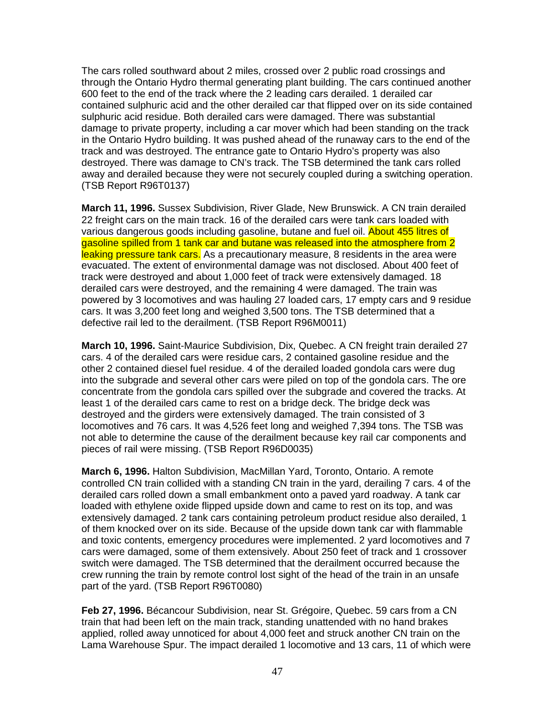The cars rolled southward about 2 miles, crossed over 2 public road crossings and through the Ontario Hydro thermal generating plant building. The cars continued another 600 feet to the end of the track where the 2 leading cars derailed. 1 derailed car contained sulphuric acid and the other derailed car that flipped over on its side contained sulphuric acid residue. Both derailed cars were damaged. There was substantial damage to private property, including a car mover which had been standing on the track in the Ontario Hydro building. It was pushed ahead of the runaway cars to the end of the track and was destroyed. The entrance gate to Ontario Hydro's property was also destroyed. There was damage to CN's track. The TSB determined the tank cars rolled away and derailed because they were not securely coupled during a switching operation. (TSB Report R96T0137)

**March 11, 1996.** Sussex Subdivision, River Glade, New Brunswick. A CN train derailed 22 freight cars on the main track. 16 of the derailed cars were tank cars loaded with various dangerous goods including gasoline, butane and fuel oil. About 455 litres of gasoline spilled from 1 tank car and butane was released into the atmosphere from 2 leaking pressure tank cars. As a precautionary measure, 8 residents in the area were evacuated. The extent of environmental damage was not disclosed. About 400 feet of track were destroyed and about 1,000 feet of track were extensively damaged. 18 derailed cars were destroyed, and the remaining 4 were damaged. The train was powered by 3 locomotives and was hauling 27 loaded cars, 17 empty cars and 9 residue cars. It was 3,200 feet long and weighed 3,500 tons. The TSB determined that a defective rail led to the derailment. (TSB Report R96M0011)

**March 10, 1996.** Saint-Maurice Subdivision, Dix, Quebec. A CN freight train derailed 27 cars. 4 of the derailed cars were residue cars, 2 contained gasoline residue and the other 2 contained diesel fuel residue. 4 of the derailed loaded gondola cars were dug into the subgrade and several other cars were piled on top of the gondola cars. The ore concentrate from the gondola cars spilled over the subgrade and covered the tracks. At least 1 of the derailed cars came to rest on a bridge deck. The bridge deck was destroyed and the girders were extensively damaged. The train consisted of 3 locomotives and 76 cars. It was 4,526 feet long and weighed 7,394 tons. The TSB was not able to determine the cause of the derailment because key rail car components and pieces of rail were missing. (TSB Report R96D0035)

**March 6, 1996.** Halton Subdivision, MacMillan Yard, Toronto, Ontario. A remote controlled CN train collided with a standing CN train in the yard, derailing 7 cars. 4 of the derailed cars rolled down a small embankment onto a paved yard roadway. A tank car loaded with ethylene oxide flipped upside down and came to rest on its top, and was extensively damaged. 2 tank cars containing petroleum product residue also derailed, 1 of them knocked over on its side. Because of the upside down tank car with flammable and toxic contents, emergency procedures were implemented. 2 yard locomotives and 7 cars were damaged, some of them extensively. About 250 feet of track and 1 crossover switch were damaged. The TSB determined that the derailment occurred because the crew running the train by remote control lost sight of the head of the train in an unsafe part of the yard. (TSB Report R96T0080)

**Feb 27, 1996.** Bécancour Subdivision, near St. Grégoire, Quebec. 59 cars from a CN train that had been left on the main track, standing unattended with no hand brakes applied, rolled away unnoticed for about 4,000 feet and struck another CN train on the Lama Warehouse Spur. The impact derailed 1 locomotive and 13 cars, 11 of which were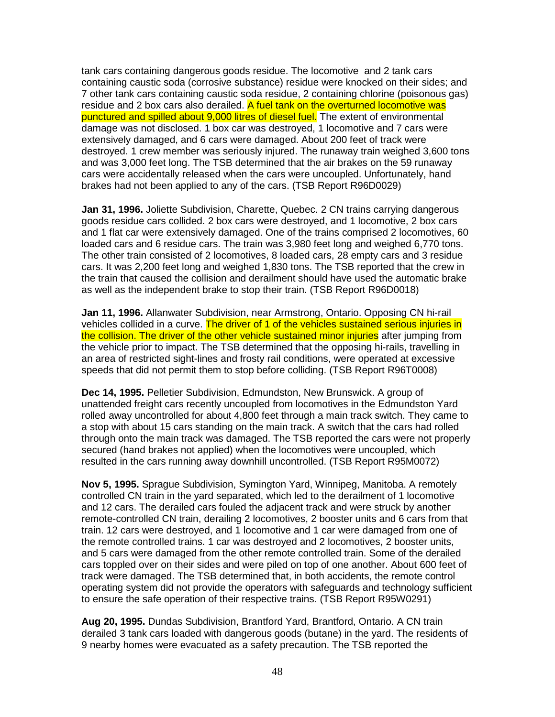tank cars containing dangerous goods residue. The locomotive and 2 tank cars containing caustic soda (corrosive substance) residue were knocked on their sides; and 7 other tank cars containing caustic soda residue, 2 containing chlorine (poisonous gas) residue and 2 box cars also derailed. A fuel tank on the overturned locomotive was punctured and spilled about 9,000 litres of diesel fuel. The extent of environmental damage was not disclosed. 1 box car was destroyed, 1 locomotive and 7 cars were extensively damaged, and 6 cars were damaged. About 200 feet of track were destroyed. 1 crew member was seriously injured. The runaway train weighed 3,600 tons and was 3,000 feet long. The TSB determined that the air brakes on the 59 runaway cars were accidentally released when the cars were uncoupled. Unfortunately, hand brakes had not been applied to any of the cars. (TSB Report R96D0029)

**Jan 31, 1996.** Joliette Subdivision, Charette, Quebec. 2 CN trains carrying dangerous goods residue cars collided. 2 box cars were destroyed, and 1 locomotive, 2 box cars and 1 flat car were extensively damaged. One of the trains comprised 2 locomotives, 60 loaded cars and 6 residue cars. The train was 3,980 feet long and weighed 6,770 tons. The other train consisted of 2 locomotives, 8 loaded cars, 28 empty cars and 3 residue cars. It was 2,200 feet long and weighed 1,830 tons. The TSB reported that the crew in the train that caused the collision and derailment should have used the automatic brake as well as the independent brake to stop their train. (TSB Report R96D0018)

**Jan 11, 1996.** Allanwater Subdivision, near Armstrong, Ontario. Opposing CN hi-rail vehicles collided in a curve. The driver of 1 of the vehicles sustained serious injuries in the collision. The driver of the other vehicle sustained minor injuries after jumping from the vehicle prior to impact. The TSB determined that the opposing hi-rails, travelling in an area of restricted sight-lines and frosty rail conditions, were operated at excessive speeds that did not permit them to stop before colliding. (TSB Report R96T0008)

**Dec 14, 1995.** Pelletier Subdivision, Edmundston, New Brunswick. A group of unattended freight cars recently uncoupled from locomotives in the Edmundston Yard rolled away uncontrolled for about 4,800 feet through a main track switch. They came to a stop with about 15 cars standing on the main track. A switch that the cars had rolled through onto the main track was damaged. The TSB reported the cars were not properly secured (hand brakes not applied) when the locomotives were uncoupled, which resulted in the cars running away downhill uncontrolled. (TSB Report R95M0072)

**Nov 5, 1995.** Sprague Subdivision, Symington Yard, Winnipeg, Manitoba. A remotely controlled CN train in the yard separated, which led to the derailment of 1 locomotive and 12 cars. The derailed cars fouled the adjacent track and were struck by another remote-controlled CN train, derailing 2 locomotives, 2 booster units and 6 cars from that train. 12 cars were destroyed, and 1 locomotive and 1 car were damaged from one of the remote controlled trains. 1 car was destroyed and 2 locomotives, 2 booster units, and 5 cars were damaged from the other remote controlled train. Some of the derailed cars toppled over on their sides and were piled on top of one another. About 600 feet of track were damaged. The TSB determined that, in both accidents, the remote control operating system did not provide the operators with safeguards and technology sufficient to ensure the safe operation of their respective trains. (TSB Report R95W0291)

**Aug 20, 1995.** Dundas Subdivision, Brantford Yard, Brantford, Ontario. A CN train derailed 3 tank cars loaded with dangerous goods (butane) in the yard. The residents of 9 nearby homes were evacuated as a safety precaution. The TSB reported the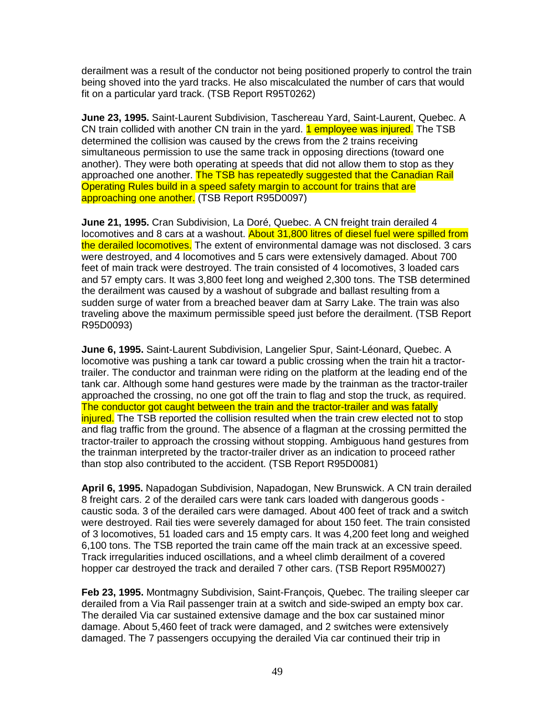derailment was a result of the conductor not being positioned properly to control the train being shoved into the yard tracks. He also miscalculated the number of cars that would fit on a particular yard track. (TSB Report R95T0262)

**June 23, 1995.** Saint-Laurent Subdivision, Taschereau Yard, Saint-Laurent, Quebec. A CN train collided with another CN train in the yard. **1 employee was injured.** The TSB determined the collision was caused by the crews from the 2 trains receiving simultaneous permission to use the same track in opposing directions (toward one another). They were both operating at speeds that did not allow them to stop as they approached one another. The TSB has repeatedly suggested that the Canadian Rail Operating Rules build in a speed safety margin to account for trains that are approaching one another. (TSB Report R95D0097)

**June 21, 1995.** Cran Subdivision, La Doré, Quebec. A CN freight train derailed 4 locomotives and 8 cars at a washout. About 31,800 litres of diesel fuel were spilled from the derailed locomotives. The extent of environmental damage was not disclosed. 3 cars were destroyed, and 4 locomotives and 5 cars were extensively damaged. About 700 feet of main track were destroyed. The train consisted of 4 locomotives, 3 loaded cars and 57 empty cars. It was 3,800 feet long and weighed 2,300 tons. The TSB determined the derailment was caused by a washout of subgrade and ballast resulting from a sudden surge of water from a breached beaver dam at Sarry Lake. The train was also traveling above the maximum permissible speed just before the derailment. (TSB Report R95D0093)

**June 6, 1995.** Saint-Laurent Subdivision, Langelier Spur, Saint-Léonard, Quebec. A locomotive was pushing a tank car toward a public crossing when the train hit a tractortrailer. The conductor and trainman were riding on the platform at the leading end of the tank car. Although some hand gestures were made by the trainman as the tractor-trailer approached the crossing, no one got off the train to flag and stop the truck, as required. The conductor got caught between the train and the tractor-trailer and was fatally injured. The TSB reported the collision resulted when the train crew elected not to stop and flag traffic from the ground. The absence of a flagman at the crossing permitted the tractor-trailer to approach the crossing without stopping. Ambiguous hand gestures from the trainman interpreted by the tractor-trailer driver as an indication to proceed rather than stop also contributed to the accident. (TSB Report R95D0081)

**April 6, 1995.** Napadogan Subdivision, Napadogan, New Brunswick. A CN train derailed 8 freight cars. 2 of the derailed cars were tank cars loaded with dangerous goods caustic soda. 3 of the derailed cars were damaged. About 400 feet of track and a switch were destroyed. Rail ties were severely damaged for about 150 feet. The train consisted of 3 locomotives, 51 loaded cars and 15 empty cars. It was 4,200 feet long and weighed 6,100 tons. The TSB reported the train came off the main track at an excessive speed. Track irregularities induced oscillations, and a wheel climb derailment of a covered hopper car destroyed the track and derailed 7 other cars. (TSB Report R95M0027)

**Feb 23, 1995.** Montmagny Subdivision, Saint-François, Quebec. The trailing sleeper car derailed from a Via Rail passenger train at a switch and side-swiped an empty box car. The derailed Via car sustained extensive damage and the box car sustained minor damage. About 5,460 feet of track were damaged, and 2 switches were extensively damaged. The 7 passengers occupying the derailed Via car continued their trip in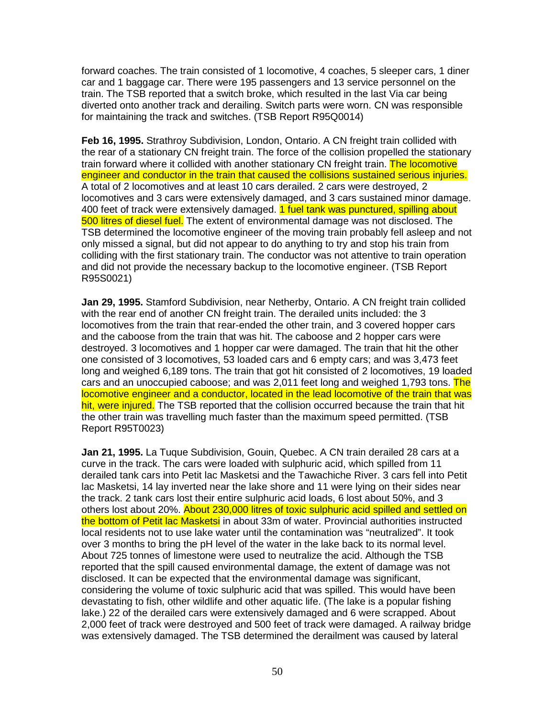forward coaches. The train consisted of 1 locomotive, 4 coaches, 5 sleeper cars, 1 diner car and 1 baggage car. There were 195 passengers and 13 service personnel on the train. The TSB reported that a switch broke, which resulted in the last Via car being diverted onto another track and derailing. Switch parts were worn. CN was responsible for maintaining the track and switches. (TSB Report R95Q0014)

**Feb 16, 1995.** Strathroy Subdivision, London, Ontario. A CN freight train collided with the rear of a stationary CN freight train. The force of the collision propelled the stationary train forward where it collided with another stationary CN freight train. The locomotive engineer and conductor in the train that caused the collisions sustained serious injuries. A total of 2 locomotives and at least 10 cars derailed. 2 cars were destroyed, 2 locomotives and 3 cars were extensively damaged, and 3 cars sustained minor damage. 400 feet of track were extensively damaged. **1 fuel tank was punctured, spilling about** 500 litres of diesel fuel. The extent of environmental damage was not disclosed. The TSB determined the locomotive engineer of the moving train probably fell asleep and not only missed a signal, but did not appear to do anything to try and stop his train from colliding with the first stationary train. The conductor was not attentive to train operation and did not provide the necessary backup to the locomotive engineer. (TSB Report R95S0021)

**Jan 29, 1995.** Stamford Subdivision, near Netherby, Ontario. A CN freight train collided with the rear end of another CN freight train. The derailed units included: the 3 locomotives from the train that rear-ended the other train, and 3 covered hopper cars and the caboose from the train that was hit. The caboose and 2 hopper cars were destroyed. 3 locomotives and 1 hopper car were damaged. The train that hit the other one consisted of 3 locomotives, 53 loaded cars and 6 empty cars; and was 3,473 feet long and weighed 6,189 tons. The train that got hit consisted of 2 locomotives, 19 loaded cars and an unoccupied caboose; and was 2,011 feet long and weighed 1,793 tons. The locomotive engineer and a conductor, located in the lead locomotive of the train that was hit, were injured. The TSB reported that the collision occurred because the train that hit the other train was travelling much faster than the maximum speed permitted. (TSB Report R95T0023)

**Jan 21, 1995.** La Tuque Subdivision, Gouin, Quebec. A CN train derailed 28 cars at a curve in the track. The cars were loaded with sulphuric acid, which spilled from 11 derailed tank cars into Petit lac Masketsi and the Tawachiche River. 3 cars fell into Petit lac Masketsi, 14 lay inverted near the lake shore and 11 were lying on their sides near the track. 2 tank cars lost their entire sulphuric acid loads, 6 lost about 50%, and 3 others lost about 20%. About 230,000 litres of toxic sulphuric acid spilled and settled on the bottom of Petit lac Masketsi in about 33m of water. Provincial authorities instructed local residents not to use lake water until the contamination was "neutralized". It took over 3 months to bring the pH level of the water in the lake back to its normal level. About 725 tonnes of limestone were used to neutralize the acid. Although the TSB reported that the spill caused environmental damage, the extent of damage was not disclosed. It can be expected that the environmental damage was significant, considering the volume of toxic sulphuric acid that was spilled. This would have been devastating to fish, other wildlife and other aquatic life. (The lake is a popular fishing lake.) 22 of the derailed cars were extensively damaged and 6 were scrapped. About 2,000 feet of track were destroyed and 500 feet of track were damaged. A railway bridge was extensively damaged. The TSB determined the derailment was caused by lateral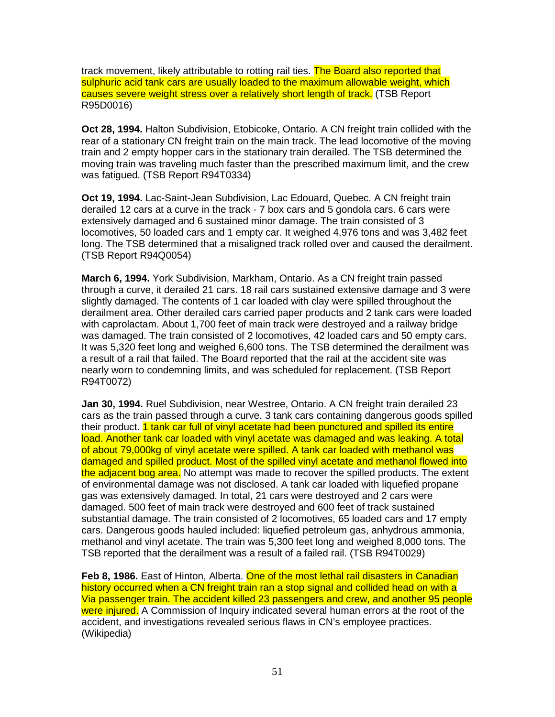track movement, likely attributable to rotting rail ties. The Board also reported that sulphuric acid tank cars are usually loaded to the maximum allowable weight, which causes severe weight stress over a relatively short length of track. (TSB Report R95D0016)

**Oct 28, 1994.** Halton Subdivision, Etobicoke, Ontario. A CN freight train collided with the rear of a stationary CN freight train on the main track. The lead locomotive of the moving train and 2 empty hopper cars in the stationary train derailed. The TSB determined the moving train was traveling much faster than the prescribed maximum limit, and the crew was fatigued. (TSB Report R94T0334)

**Oct 19, 1994.** Lac-Saint-Jean Subdivision, Lac Edouard, Quebec. A CN freight train derailed 12 cars at a curve in the track - 7 box cars and 5 gondola cars. 6 cars were extensively damaged and 6 sustained minor damage. The train consisted of 3 locomotives, 50 loaded cars and 1 empty car. It weighed 4,976 tons and was 3,482 feet long. The TSB determined that a misaligned track rolled over and caused the derailment. (TSB Report R94Q0054)

**March 6, 1994.** York Subdivision, Markham, Ontario. As a CN freight train passed through a curve, it derailed 21 cars. 18 rail cars sustained extensive damage and 3 were slightly damaged. The contents of 1 car loaded with clay were spilled throughout the derailment area. Other derailed cars carried paper products and 2 tank cars were loaded with caprolactam. About 1,700 feet of main track were destroyed and a railway bridge was damaged. The train consisted of 2 locomotives, 42 loaded cars and 50 empty cars. It was 5,320 feet long and weighed 6,600 tons. The TSB determined the derailment was a result of a rail that failed. The Board reported that the rail at the accident site was nearly worn to condemning limits, and was scheduled for replacement. (TSB Report R94T0072)

**Jan 30, 1994.** Ruel Subdivision, near Westree, Ontario. A CN freight train derailed 23 cars as the train passed through a curve. 3 tank cars containing dangerous goods spilled their product. 1 tank car full of vinyl acetate had been punctured and spilled its entire load. Another tank car loaded with vinyl acetate was damaged and was leaking. A total of about 79,000kg of vinyl acetate were spilled. A tank car loaded with methanol was damaged and spilled product. Most of the spilled vinyl acetate and methanol flowed into the adjacent bog area. No attempt was made to recover the spilled products. The extent of environmental damage was not disclosed. A tank car loaded with liquefied propane gas was extensively damaged. In total, 21 cars were destroyed and 2 cars were damaged. 500 feet of main track were destroyed and 600 feet of track sustained substantial damage. The train consisted of 2 locomotives, 65 loaded cars and 17 empty cars. Dangerous goods hauled included: liquefied petroleum gas, anhydrous ammonia, methanol and vinyl acetate. The train was 5,300 feet long and weighed 8,000 tons. The TSB reported that the derailment was a result of a failed rail. (TSB R94T0029)

**Feb 8, 1986.** East of Hinton, Alberta. One of the most lethal rail disasters in Canadian history occurred when a CN freight train ran a stop signal and collided head on with a Via passenger train. The accident killed 23 passengers and crew, and another 95 people were injured. A Commission of Inquiry indicated several human errors at the root of the accident, and investigations revealed serious flaws in CN's employee practices. (Wikipedia)